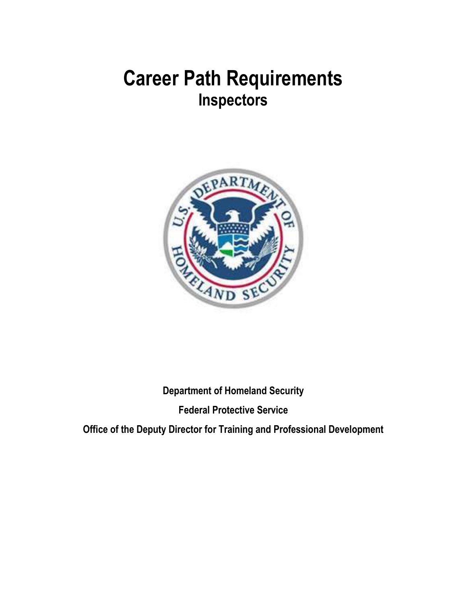

**Department of Homeland Security Federal Protective Service**

**Office of the Deputy Director for Training and Professional Development**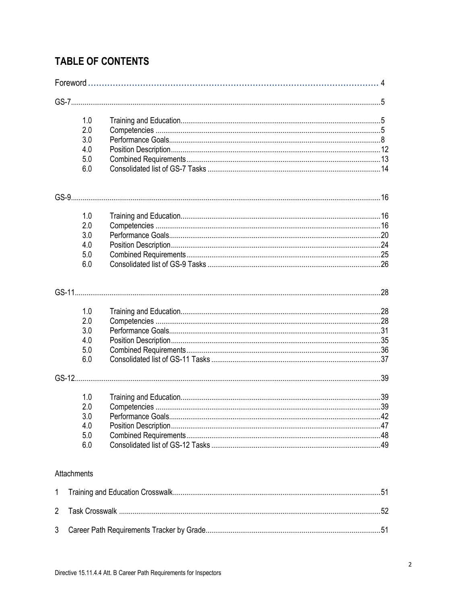### **TABLE OF CONTENTS**

|                | 1.0         |                   |     |
|----------------|-------------|-------------------|-----|
|                | 2.0         |                   |     |
|                | 3.0         |                   |     |
|                | 4.0         |                   |     |
|                | 5.0         |                   |     |
|                | 6.0         |                   |     |
|                |             |                   |     |
|                |             |                   |     |
|                | 1.0         |                   |     |
|                | 2.0         |                   |     |
|                | 3.0         |                   |     |
|                | 4.0         |                   |     |
|                | 5.0         |                   |     |
|                | 6.0         |                   |     |
|                |             |                   |     |
|                | 1.0         |                   |     |
|                | 2.0         |                   |     |
|                | 3.0         |                   |     |
|                | 4.0         |                   |     |
|                | 5.0         |                   |     |
|                | 6.0         |                   |     |
|                |             |                   |     |
|                | 1.0         |                   |     |
|                | 2.0         |                   |     |
|                | 3.0         | Performance Goals | .42 |
|                | 4.0         |                   |     |
|                | 5.0         |                   |     |
|                | 6.0         |                   |     |
|                | Attachments |                   |     |
| 1              |             |                   |     |
| $\overline{2}$ |             |                   |     |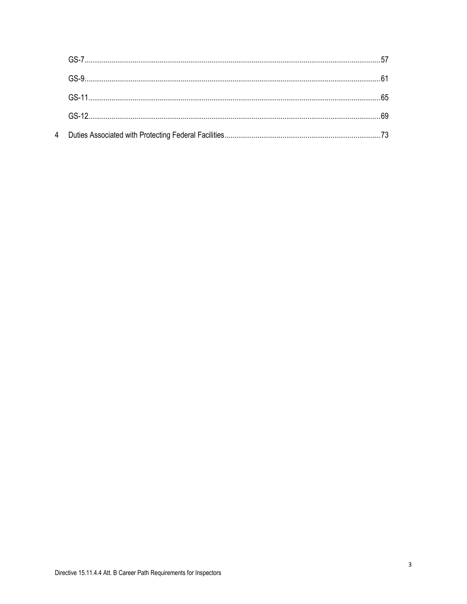$\overline{4}$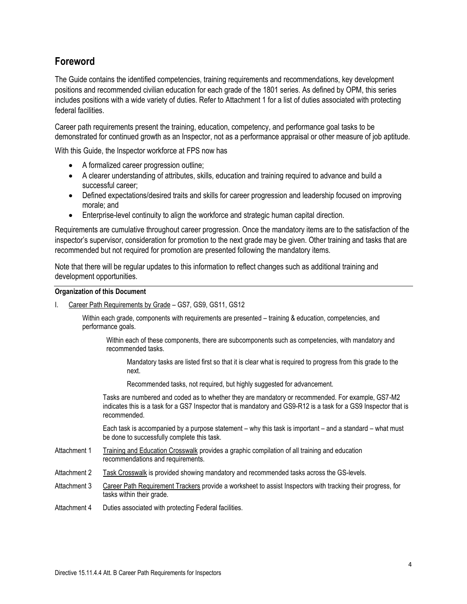### **Foreword**

The Guide contains the identified competencies, training requirements and recommendations, key development positions and recommended civilian education for each grade of the 1801 series. As defined by OPM, this series includes positions with a wide variety of duties. Refer to Attachment 1 for a list of duties associated with protecting federal facilities.

Career path requirements present the training, education, competency, and performance goal tasks to be demonstrated for continued growth as an Inspector, not as a performance appraisal or other measure of job aptitude.

With this Guide, the Inspector workforce at FPS now has

- A formalized career progression outline;
- A clearer understanding of attributes, skills, education and training required to advance and build a successful career;
- Defined expectations/desired traits and skills for career progression and leadership focused on improving morale; and
- Enterprise-level continuity to align the workforce and strategic human capital direction.

Requirements are cumulative throughout career progression. Once the mandatory items are to the satisfaction of the inspector's supervisor, consideration for promotion to the next grade may be given. Other training and tasks that are recommended but not required for promotion are presented following the mandatory items.

Note that there will be regular updates to this information to reflect changes such as additional training and development opportunities.

#### **Organization of this Document**

I. Career Path Requirements by Grade – GS7, GS9, GS11, GS12

Within each grade, components with requirements are presented – training & education, competencies, and performance goals.

Within each of these components, there are subcomponents such as competencies, with mandatory and recommended tasks.

Mandatory tasks are listed first so that it is clear what is required to progress from this grade to the next.

Recommended tasks, not required, but highly suggested for advancement.

Tasks are numbered and coded as to whether they are mandatory or recommended. For example, GS7-M2 indicates this is a task for a GS7 Inspector that is mandatory and GS9-R12 is a task for a GS9 Inspector that is recommended.

Each task is accompanied by a purpose statement – why this task is important – and a standard – what must be done to successfully complete this task.

- Attachment 1 Training and Education Crosswalk provides a graphic compilation of all training and education recommendations and requirements.
- Attachment 2 Task Crosswalk is provided showing mandatory and recommended tasks across the GS-levels.
- Attachment 3 Career Path Requirement Trackers provide a worksheet to assist Inspectors with tracking their progress, for tasks within their grade.
- Attachment 4 Duties associated with protecting Federal facilities.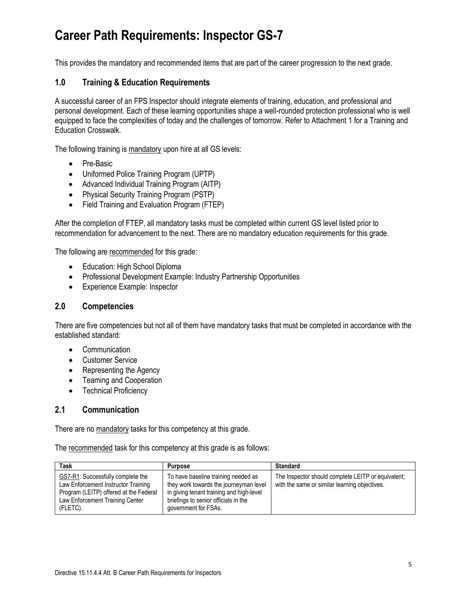This provides the mandatory and recommended items that are part of the career progression to the next grade.

### **1.0 Training & Education Requirements**

A successful career of an FPS Inspector should integrate elements of training, education, and professional and personal development. Each of these learning opportunities shape a well-rounded protection professional who is well equipped to face the complexities of today and the challenges of tomorrow. Refer to Attachment 1 for a Training and Education Crosswalk.

The following training is mandatory upon hire at all GS levels:

- Pre-Basic
- Uniformed Police Training Program (UPTP)
- Advanced Individual Training Program (AITP)
- Physical Security Training Program (PSTP)
- Field Training and Evaluation Program (FTEP)

After the completion of FTEP, all mandatory tasks must be completed within current GS level listed prior to recommendation for advancement to the next. There are no mandatory education requirements for this grade.

The following are recommended for this grade:

- Education: High School Diploma
- Professional Development Example: Industry Partnership Opportunities
- Experience Example: Inspector

#### **2.0 Competencies**

There are five competencies but not all of them have mandatory tasks that must be completed in accordance with the established standard:

- Communication
- Customer Service
- Representing the Agency
- Teaming and Cooperation
- Technical Proficiency

#### **2.1 Communication**

There are no mandatory tasks for this competency at this grade.

The recommended task for this competency at this grade is as follows:

| Task                                                                                                                                                              | <b>Purpose</b>                                                                                                                                                                            | <b>Standard</b>                                                                                     |
|-------------------------------------------------------------------------------------------------------------------------------------------------------------------|-------------------------------------------------------------------------------------------------------------------------------------------------------------------------------------------|-----------------------------------------------------------------------------------------------------|
| GS7-R1: Successfully complete the<br>Law Enforcement Instructor Training<br>Program (LEITP) offered at the Federal<br>Law Enforcement Training Center<br>(FLETC). | To have baseline training needed as<br>they work towards the journeyman level<br>in giving tenant training and high-level<br>briefings to senior officials in the<br>government for FSAs. | The Inspector should complete LEITP or equivalent:<br>with the same or similar learning objectives. |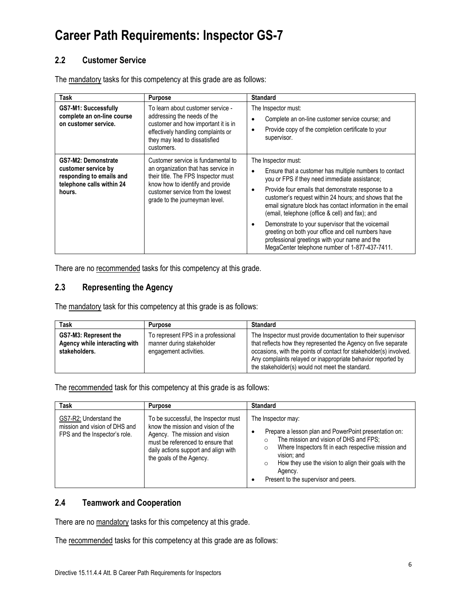### **2.2 Customer Service**

The mandatory tasks for this competency at this grade are as follows:

| Task                                                                                                          | <b>Purpose</b>                                                                                                                                                                                                             | <b>Standard</b>                                                                                                                                                                                                                                                                                                                                                                                                                                                                                                                                                                                 |
|---------------------------------------------------------------------------------------------------------------|----------------------------------------------------------------------------------------------------------------------------------------------------------------------------------------------------------------------------|-------------------------------------------------------------------------------------------------------------------------------------------------------------------------------------------------------------------------------------------------------------------------------------------------------------------------------------------------------------------------------------------------------------------------------------------------------------------------------------------------------------------------------------------------------------------------------------------------|
| <b>GS7-M1: Successfully</b><br>complete an on-line course<br>on customer service.                             | To learn about customer service -<br>addressing the needs of the<br>customer and how important it is in<br>effectively handling complaints or<br>they may lead to dissatisfied<br>customers.                               | The Inspector must:<br>Complete an on-line customer service course; and<br>Provide copy of the completion certificate to your<br>$\bullet$<br>supervisor.                                                                                                                                                                                                                                                                                                                                                                                                                                       |
| GS7-M2: Demonstrate<br>customer service by<br>responding to emails and<br>telephone calls within 24<br>hours. | Customer service is fundamental to<br>an organization that has service in<br>their title. The FPS Inspector must<br>know how to identify and provide<br>customer service from the lowest<br>grade to the journeyman level. | The Inspector must:<br>Ensure that a customer has multiple numbers to contact<br>$\bullet$<br>you or FPS if they need immediate assistance;<br>Provide four emails that demonstrate response to a<br>٠<br>customer's request within 24 hours; and shows that the<br>email signature block has contact information in the email<br>(email, telephone (office & cell) and fax); and<br>Demonstrate to your supervisor that the voicemail<br>greeting on both your office and cell numbers have<br>professional greetings with your name and the<br>MegaCenter telephone number of 1-877-437-7411. |

There are no recommended tasks for this competency at this grade.

### **2.3 Representing the Agency**

The mandatory task for this competency at this grade is as follows:

| Task                                                                    | <b>Purpose</b>                                                                            | <b>Standard</b>                                                                                                                                                                                                                                                                                                         |
|-------------------------------------------------------------------------|-------------------------------------------------------------------------------------------|-------------------------------------------------------------------------------------------------------------------------------------------------------------------------------------------------------------------------------------------------------------------------------------------------------------------------|
| GS7-M3: Represent the<br>Agency while interacting with<br>stakeholders. | To represent FPS in a professional<br>manner during stakeholder<br>engagement activities. | The Inspector must provide documentation to their supervisor<br>that reflects how they represented the Agency on five separate<br>occasions, with the points of contact for stakeholder(s) involved.<br>Any complaints relayed or inappropriate behavior reported by<br>the stakeholder(s) would not meet the standard. |

The recommended task for this competency at this grade is as follows:

| <b>Task</b>                                                                              | <b>Purpose</b>                                                                                                                                                                                                        | <b>Standard</b>                                                                                                                                                                                                                                                                                                                |
|------------------------------------------------------------------------------------------|-----------------------------------------------------------------------------------------------------------------------------------------------------------------------------------------------------------------------|--------------------------------------------------------------------------------------------------------------------------------------------------------------------------------------------------------------------------------------------------------------------------------------------------------------------------------|
| GS7-R2: Understand the<br>mission and vision of DHS and<br>FPS and the Inspector's role. | To be successful, the Inspector must<br>know the mission and vision of the<br>Agency. The mission and vision<br>must be referenced to ensure that<br>daily actions support and align with<br>the goals of the Agency. | The Inspector may:<br>Prepare a lesson plan and PowerPoint presentation on:<br>The mission and vision of DHS and FPS;<br>Where Inspectors fit in each respective mission and<br>$\Omega$<br>vision: and<br>How they use the vision to align their goals with the<br>$\circ$<br>Agency.<br>Present to the supervisor and peers. |

### **2.4 Teamwork and Cooperation**

There are no mandatory tasks for this competency at this grade.

The recommended tasks for this competency at this grade are as follows: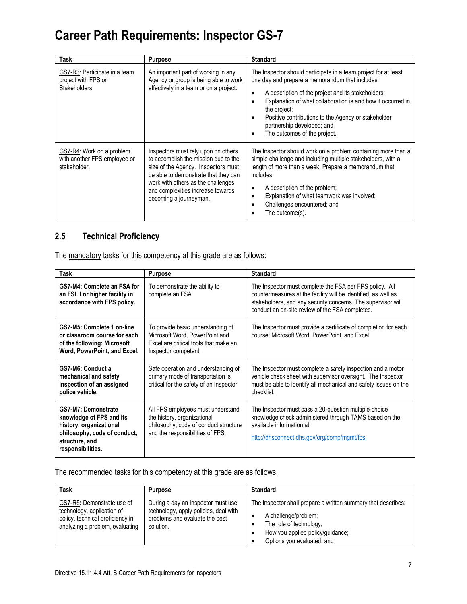| Task                                                                      | <b>Purpose</b>                                                                                                                                                                                                                                                  | <b>Standard</b>                                                                                                                                                                                                                                                                                                                                                              |
|---------------------------------------------------------------------------|-----------------------------------------------------------------------------------------------------------------------------------------------------------------------------------------------------------------------------------------------------------------|------------------------------------------------------------------------------------------------------------------------------------------------------------------------------------------------------------------------------------------------------------------------------------------------------------------------------------------------------------------------------|
| GS7-R3: Participate in a team<br>project with FPS or<br>Stakeholders.     | An important part of working in any<br>Agency or group is being able to work<br>effectively in a team or on a project.                                                                                                                                          | The Inspector should participate in a team project for at least<br>one day and prepare a memorandum that includes:<br>A description of the project and its stakeholders;<br>Explanation of what collaboration is and how it occurred in<br>the project;<br>Positive contributions to the Agency or stakeholder<br>partnership developed; and<br>The outcomes of the project. |
| GS7-R4: Work on a problem<br>with another FPS employee or<br>stakeholder. | Inspectors must rely upon on others<br>to accomplish the mission due to the<br>size of the Agency. Inspectors must<br>be able to demonstrate that they can<br>work with others as the challenges<br>and complexities increase towards<br>becoming a journeyman. | The Inspector should work on a problem containing more than a<br>simple challenge and including multiple stakeholders, with a<br>length of more than a week. Prepare a memorandum that<br>includes:<br>A description of the problem;<br>٠<br>Explanation of what teamwork was involved;<br>٠<br>Challenges encountered; and<br>The outcome(s).                               |

### **2.5 Technical Proficiency**

The mandatory tasks for this competency at this grade are as follows:

| Task                                                                                                                                                     | <b>Purpose</b>                                                                                                                                | <b>Standard</b>                                                                                                                                                                                                                              |
|----------------------------------------------------------------------------------------------------------------------------------------------------------|-----------------------------------------------------------------------------------------------------------------------------------------------|----------------------------------------------------------------------------------------------------------------------------------------------------------------------------------------------------------------------------------------------|
| GS7-M4: Complete an FSA for<br>an FSL I or higher facility in<br>accordance with FPS policy.                                                             | To demonstrate the ability to<br>complete an FSA.                                                                                             | The Inspector must complete the FSA per FPS policy. All<br>countermeasures at the facility will be identified, as well as<br>stakeholders, and any security concerns. The supervisor will<br>conduct an on-site review of the FSA completed. |
| GS7-M5: Complete 1 on-line<br>or classroom course for each<br>of the following: Microsoft<br>Word, PowerPoint, and Excel.                                | To provide basic understanding of<br>Microsoft Word, PowerPoint and<br>Excel are critical tools that make an<br>Inspector competent.          | The Inspector must provide a certificate of completion for each<br>course: Microsoft Word, PowerPoint, and Excel.                                                                                                                            |
| GS7-M6: Conduct a<br>mechanical and safety<br>inspection of an assigned<br>police vehicle.                                                               | Safe operation and understanding of<br>primary mode of transportation is<br>critical for the safety of an Inspector.                          | The Inspector must complete a safety inspection and a motor<br>vehicle check sheet with supervisor oversight. The Inspector<br>must be able to identify all mechanical and safety issues on the<br>checklist.                                |
| <b>GS7-M7: Demonstrate</b><br>knowledge of FPS and its<br>history, organizational<br>philosophy, code of conduct,<br>structure, and<br>responsibilities. | All FPS employees must understand<br>the history, organizational<br>philosophy, code of conduct structure<br>and the responsibilities of FPS. | The Inspector must pass a 20-question multiple-choice<br>knowledge check administered through TAMS based on the<br>available information at:<br>http://dhsconnect.dhs.gov/org/comp/mgmt/fps                                                  |

The recommended tasks for this competency at this grade are as follows:

| Task                                                                                                                            | <b>Purpose</b>                                                                                                             | <b>Standard</b>                                                                                                                                                                    |
|---------------------------------------------------------------------------------------------------------------------------------|----------------------------------------------------------------------------------------------------------------------------|------------------------------------------------------------------------------------------------------------------------------------------------------------------------------------|
| GS7-R5: Demonstrate use of<br>technology, application of<br>policy, technical proficiency in<br>analyzing a problem, evaluating | During a day an Inspector must use<br>technology, apply policies, deal with<br>problems and evaluate the best<br>solution. | The Inspector shall prepare a written summary that describes:<br>A challenge/problem;<br>The role of technology;<br>How you applied policy/quidance;<br>Options you evaluated; and |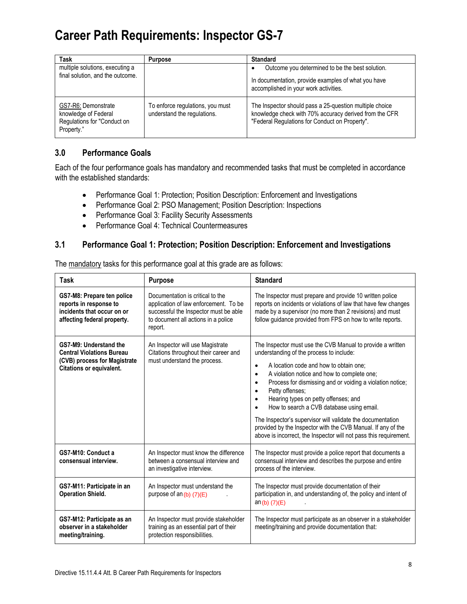| Task                                                                                     | <b>Purpose</b>                                                  | <b>Standard</b>                                                                                                                                                     |
|------------------------------------------------------------------------------------------|-----------------------------------------------------------------|---------------------------------------------------------------------------------------------------------------------------------------------------------------------|
| multiple solutions, executing a<br>final solution, and the outcome.                      |                                                                 | Outcome you determined to be the best solution.<br>In documentation, provide examples of what you have<br>accomplished in your work activities.                     |
| GS7-R6: Demonstrate<br>knowledge of Federal<br>Regulations for "Conduct on<br>Property." | To enforce regulations, you must<br>understand the regulations. | The Inspector should pass a 25-question multiple choice<br>knowledge check with 70% accuracy derived from the CFR<br>"Federal Regulations for Conduct on Property". |

### **3.0 Performance Goals**

Each of the four performance goals has mandatory and recommended tasks that must be completed in accordance with the established standards:

- Performance Goal 1: Protection; Position Description: Enforcement and Investigations
- Performance Goal 2: PSO Management; Position Description: Inspections
- Performance Goal 3: Facility Security Assessments
- Performance Goal 4: Technical Countermeasures

#### **3.1 Performance Goal 1: Protection; Position Description: Enforcement and Investigations**

| Task                                                                                                                          | <b>Purpose</b>                                                                                                                                                       | <b>Standard</b>                                                                                                                                                                                                                                                                                                                                                                                                                                                                                                                                                                                                                          |
|-------------------------------------------------------------------------------------------------------------------------------|----------------------------------------------------------------------------------------------------------------------------------------------------------------------|------------------------------------------------------------------------------------------------------------------------------------------------------------------------------------------------------------------------------------------------------------------------------------------------------------------------------------------------------------------------------------------------------------------------------------------------------------------------------------------------------------------------------------------------------------------------------------------------------------------------------------------|
| GS7-M8: Prepare ten police<br>reports in response to<br>incidents that occur on or<br>affecting federal property.             | Documentation is critical to the<br>application of law enforcement. To be<br>successful the Inspector must be able<br>to document all actions in a police<br>report. | The Inspector must prepare and provide 10 written police<br>reports on incidents or violations of law that have few changes<br>made by a supervisor (no more than 2 revisions) and must<br>follow guidance provided from FPS on how to write reports.                                                                                                                                                                                                                                                                                                                                                                                    |
| GS7-M9: Understand the<br><b>Central Violations Bureau</b><br>(CVB) process for Magistrate<br><b>Citations or equivalent.</b> | An Inspector will use Magistrate<br>Citations throughout their career and<br>must understand the process.                                                            | The Inspector must use the CVB Manual to provide a written<br>understanding of the process to include:<br>A location code and how to obtain one;<br>$\bullet$<br>A violation notice and how to complete one;<br>$\bullet$<br>Process for dismissing and or voiding a violation notice;<br>$\bullet$<br>Petty offenses;<br>$\bullet$<br>Hearing types on petty offenses; and<br>$\bullet$<br>How to search a CVB database using email.<br>The Inspector's supervisor will validate the documentation<br>provided by the Inspector with the CVB Manual. If any of the<br>above is incorrect, the Inspector will not pass this requirement. |
| GS7-M10: Conduct a<br>consensual interview.                                                                                   | An Inspector must know the difference<br>between a consensual interview and<br>an investigative interview.                                                           | The Inspector must provide a police report that documents a<br>consensual interview and describes the purpose and entire<br>process of the interview.                                                                                                                                                                                                                                                                                                                                                                                                                                                                                    |
| GS7-M11: Participate in an<br><b>Operation Shield.</b>                                                                        | An Inspector must understand the<br>purpose of an $(b)$ (7) $(E)$                                                                                                    | The Inspector must provide documentation of their<br>participation in, and understanding of, the policy and intent of<br>$an(b)$ (7)(E)                                                                                                                                                                                                                                                                                                                                                                                                                                                                                                  |
| GS7-M12: Participate as an<br>observer in a stakeholder<br>meeting/training.                                                  | An Inspector must provide stakeholder<br>training as an essential part of their<br>protection responsibilities.                                                      | The Inspector must participate as an observer in a stakeholder<br>meeting/training and provide documentation that:                                                                                                                                                                                                                                                                                                                                                                                                                                                                                                                       |

The mandatory tasks for this performance goal at this grade are as follows: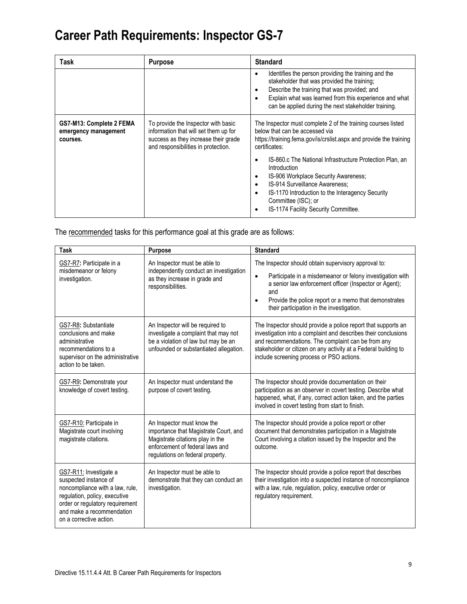| Task                                                         | <b>Purpose</b>                                                                                                                                              | <b>Standard</b>                                                                                                                                                                                                                                                       |
|--------------------------------------------------------------|-------------------------------------------------------------------------------------------------------------------------------------------------------------|-----------------------------------------------------------------------------------------------------------------------------------------------------------------------------------------------------------------------------------------------------------------------|
|                                                              |                                                                                                                                                             | Identifies the person providing the training and the<br>stakeholder that was provided the training;<br>Describe the training that was provided; and<br>Explain what was learned from this experience and what<br>can be applied during the next stakeholder training. |
| GS7-M13: Complete 2 FEMA<br>emergency management<br>courses. | To provide the Inspector with basic<br>information that will set them up for<br>success as they increase their grade<br>and responsibilities in protection. | The Inspector must complete 2 of the training courses listed<br>below that can be accessed via<br>https://training.fema.gov/is/crslist.aspx and provide the training<br>certificates:                                                                                 |
|                                                              |                                                                                                                                                             | IS-860.c The National Infrastructure Protection Plan. an<br>Introduction<br>IS-906 Workplace Security Awareness;<br>IS-914 Surveillance Awareness:<br>IS-1170 Introduction to the Interagency Security<br>Committee (ISC); or<br>IS-1174 Facility Security Committee. |

The recommended tasks for this performance goal at this grade are as follows:

| <b>Task</b>                                                                                                                                                                                                    | <b>Purpose</b>                                                                                                                                                                 | <b>Standard</b>                                                                                                                                                                                                                                                                                                    |
|----------------------------------------------------------------------------------------------------------------------------------------------------------------------------------------------------------------|--------------------------------------------------------------------------------------------------------------------------------------------------------------------------------|--------------------------------------------------------------------------------------------------------------------------------------------------------------------------------------------------------------------------------------------------------------------------------------------------------------------|
| GS7-R7: Participate in a<br>misdemeanor or felony<br>investigation.                                                                                                                                            | An Inspector must be able to<br>independently conduct an investigation<br>as they increase in grade and<br>responsibilities.                                                   | The Inspector should obtain supervisory approval to:<br>Participate in a misdemeanor or felony investigation with<br>$\bullet$<br>a senior law enforcement officer (Inspector or Agent);<br>and<br>Provide the police report or a memo that demonstrates<br>$\bullet$<br>their participation in the investigation. |
| GS7-R8: Substantiate<br>conclusions and make<br>administrative<br>recommendations to a<br>supervisor on the administrative<br>action to be taken.                                                              | An Inspector will be required to<br>investigate a complaint that may not<br>be a violation of law but may be an<br>unfounded or substantiated allegation.                      | The Inspector should provide a police report that supports an<br>investigation into a complaint and describes their conclusions<br>and recommendations. The complaint can be from any<br>stakeholder or citizen on any activity at a Federal building to<br>include screening process or PSO actions.              |
| GS7-R9: Demonstrate your<br>knowledge of covert testing.                                                                                                                                                       | An Inspector must understand the<br>purpose of covert testing.                                                                                                                 | The Inspector should provide documentation on their<br>participation as an observer in covert testing. Describe what<br>happened, what, if any, correct action taken, and the parties<br>involved in covert testing from start to finish.                                                                          |
| GS7-R10: Participate in<br>Magistrate court involving<br>magistrate citations.                                                                                                                                 | An Inspector must know the<br>importance that Magistrate Court, and<br>Magistrate citations play in the<br>enforcement of federal laws and<br>regulations on federal property. | The Inspector should provide a police report or other<br>document that demonstrates participation in a Magistrate<br>Court involving a citation issued by the Inspector and the<br>outcome.                                                                                                                        |
| GS7-R11: Investigate a<br>suspected instance of<br>noncompliance with a law, rule,<br>regulation, policy, executive<br>order or regulatory requirement<br>and make a recommendation<br>on a corrective action. | An Inspector must be able to<br>demonstrate that they can conduct an<br>investigation.                                                                                         | The Inspector should provide a police report that describes<br>their investigation into a suspected instance of noncompliance<br>with a law, rule, regulation, policy, executive order or<br>regulatory requirement.                                                                                               |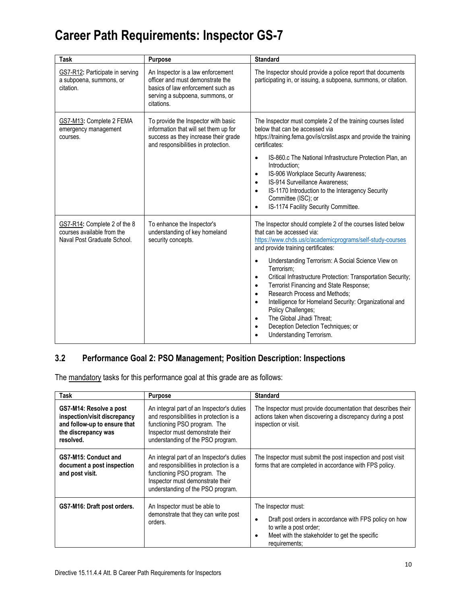| Task                                                                                      | <b>Purpose</b>                                                                                                                                              | <b>Standard</b>                                                                                                                                                                                                                                                                                                                                                                                                                                                                                                                                                                                                                                    |
|-------------------------------------------------------------------------------------------|-------------------------------------------------------------------------------------------------------------------------------------------------------------|----------------------------------------------------------------------------------------------------------------------------------------------------------------------------------------------------------------------------------------------------------------------------------------------------------------------------------------------------------------------------------------------------------------------------------------------------------------------------------------------------------------------------------------------------------------------------------------------------------------------------------------------------|
| GS7-R12: Participate in serving<br>a subpoena, summons, or<br>citation.                   | An Inspector is a law enforcement<br>officer and must demonstrate the<br>basics of law enforcement such as<br>serving a subpoena, summons, or<br>citations. | The Inspector should provide a police report that documents<br>participating in, or issuing, a subpoena, summons, or citation.                                                                                                                                                                                                                                                                                                                                                                                                                                                                                                                     |
| GS7-M13: Complete 2 FEMA<br>emergency management<br>courses.                              | To provide the Inspector with basic<br>information that will set them up for<br>success as they increase their grade<br>and responsibilities in protection. | The Inspector must complete 2 of the training courses listed<br>below that can be accessed via<br>https://training.fema.gov/is/crslist.aspx and provide the training<br>certificates:<br>IS-860.c The National Infrastructure Protection Plan, an<br>٠<br>Introduction:<br>IS-906 Workplace Security Awareness;<br>$\bullet$<br>IS-914 Surveillance Awareness;<br>$\bullet$<br>IS-1170 Introduction to the Interagency Security<br>$\bullet$<br>Committee (ISC); or<br>IS-1174 Facility Security Committee.                                                                                                                                        |
| GS7-R14: Complete 2 of the 8<br>courses available from the<br>Naval Post Graduate School. | To enhance the Inspector's<br>understanding of key homeland<br>security concepts.                                                                           | The Inspector should complete 2 of the courses listed below<br>that can be accessed via:<br>https://www.chds.us/c/academicprograms/self-study-courses<br>and provide training certificates:<br>Understanding Terrorism: A Social Science View on<br>Terrorism:<br>Critical Infrastructure Protection: Transportation Security;<br>٠<br>Terrorist Financing and State Response;<br>$\bullet$<br>Research Process and Methods:<br>$\bullet$<br>Intelligence for Homeland Security: Organizational and<br>$\bullet$<br>Policy Challenges;<br>The Global Jihadi Threat;<br>$\bullet$<br>Deception Detection Techniques; or<br>Understanding Terrorism. |

### **3.2 Performance Goal 2: PSO Management; Position Description: Inspections**

The mandatory tasks for this performance goal at this grade are as follows:

| Task                                                                                                                        | <b>Purpose</b>                                                                                                                                                                                | <b>Standard</b>                                                                                                                                                           |
|-----------------------------------------------------------------------------------------------------------------------------|-----------------------------------------------------------------------------------------------------------------------------------------------------------------------------------------------|---------------------------------------------------------------------------------------------------------------------------------------------------------------------------|
| GS7-M14: Resolve a post<br>inspection/visit discrepancy<br>and follow-up to ensure that<br>the discrepancy was<br>resolved. | An integral part of an Inspector's duties<br>and responsibilities in protection is a<br>functioning PSO program. The<br>Inspector must demonstrate their<br>understanding of the PSO program. | The Inspector must provide documentation that describes their<br>actions taken when discovering a discrepancy during a post<br>inspection or visit.                       |
| GS7-M15: Conduct and<br>document a post inspection<br>and post visit.                                                       | An integral part of an Inspector's duties<br>and responsibilities in protection is a<br>functioning PSO program. The<br>Inspector must demonstrate their<br>understanding of the PSO program. | The Inspector must submit the post inspection and post visit<br>forms that are completed in accordance with FPS policy.                                                   |
| GS7-M16: Draft post orders.                                                                                                 | An Inspector must be able to<br>demonstrate that they can write post<br>orders.                                                                                                               | The Inspector must:<br>Draft post orders in accordance with FPS policy on how<br>to write a post order;<br>Meet with the stakeholder to get the specific<br>requirements; |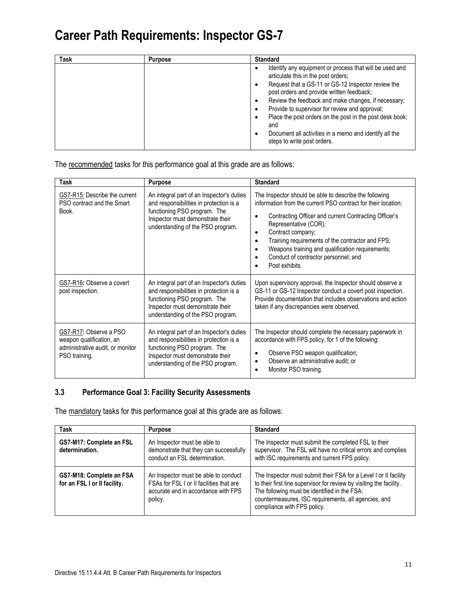| <b>Task</b> | <b>Purpose</b> | <b>Standard</b>                                                                                                                                                                                                                                                                                                                                                                                                                                                        |
|-------------|----------------|------------------------------------------------------------------------------------------------------------------------------------------------------------------------------------------------------------------------------------------------------------------------------------------------------------------------------------------------------------------------------------------------------------------------------------------------------------------------|
|             |                | Identify any equipment or process that will be used and<br>articulate this in the post orders;<br>Request that a GS-11 or GS-12 Inspector review the<br>post orders and provide written feedback;<br>Review the feedback and make changes, if necessary;<br>Provide to supervisor for review and approval;<br>Place the post orders on the post in the post desk book;<br>and<br>Document all activities in a memo and identify all the<br>steps to write post orders. |

The recommended tasks for this performance goal at this grade are as follows:

| Task                                                                                                    | <b>Purpose</b>                                                                                                                                                                                | <b>Standard</b>                                                                                                                                                                                                                                                                                                                                                                                                         |
|---------------------------------------------------------------------------------------------------------|-----------------------------------------------------------------------------------------------------------------------------------------------------------------------------------------------|-------------------------------------------------------------------------------------------------------------------------------------------------------------------------------------------------------------------------------------------------------------------------------------------------------------------------------------------------------------------------------------------------------------------------|
| GS7-R15: Describe the current<br>PSO contract and the Smart<br>Book.                                    | An integral part of an Inspector's duties<br>and responsibilities in protection is a<br>functioning PSO program. The<br>Inspector must demonstrate their<br>understanding of the PSO program. | The Inspector should be able to describe the following<br>information from the current PSO contract for their location:<br>Contracting Officer and current Contracting Officer's<br>Representative (COR);<br>Contract company;<br>$\bullet$<br>Training requirements of the contractor and FPS;<br>٠<br>Weapons training and qualification requirements;<br>٠<br>Conduct of contractor personnel; and<br>Post exhibits. |
| GS7-R16: Observe a covert<br>post inspection.                                                           | An integral part of an Inspector's duties<br>and responsibilities in protection is a<br>functioning PSO program. The<br>Inspector must demonstrate their<br>understanding of the PSO program. | Upon supervisory approval, the Inspector should observe a<br>GS-11 or GS-12 Inspector conduct a covert post inspection.<br>Provide documentation that includes observations and action<br>taken if any discrepancies were observed.                                                                                                                                                                                     |
| GS7-R17: Observe a PSO<br>weapon qualification, an<br>administrative audit, or monitor<br>PSO training. | An integral part of an Inspector's duties<br>and responsibilities in protection is a<br>functioning PSO program. The<br>Inspector must demonstrate their<br>understanding of the PSO program. | The Inspector should complete the necessary paperwork in<br>accordance with FPS policy, for 1 of the following:<br>Observe PSO weapon qualification;<br>$\bullet$<br>Observe an administrative audit; or<br>Monitor PSO training.                                                                                                                                                                                       |

### **3.3 Performance Goal 3: Facility Security Assessments**

The mandatory tasks for this performance goal at this grade are as follows:

| <b>Task</b>                                              | <b>Purpose</b>                                                                                                                     | <b>Standard</b>                                                                                                                                                                                                                                                                |
|----------------------------------------------------------|------------------------------------------------------------------------------------------------------------------------------------|--------------------------------------------------------------------------------------------------------------------------------------------------------------------------------------------------------------------------------------------------------------------------------|
| GS7-M17: Complete an FSL<br>determination.               | An Inspector must be able to<br>demonstrate that they can successfully<br>conduct an FSL determination.                            | The Inspector must submit the completed FSL to their<br>supervisor. The FSL will have no critical errors and complies<br>with ISC requirements and current FPS policy.                                                                                                         |
| GS7-M18: Complete an FSA<br>for an FSL I or II facility. | An Inspector must be able to conduct<br>FSAs for FSL I or II facilities that are<br>accurate and in accordance with FPS<br>policy. | The Inspector must submit their FSA for a Level I or II facility<br>to their first line supervisor for review by visiting the facility.<br>The following must be identified in the FSA:<br>countermeasures, ISC requirements, all agencies, and<br>compliance with FPS policy. |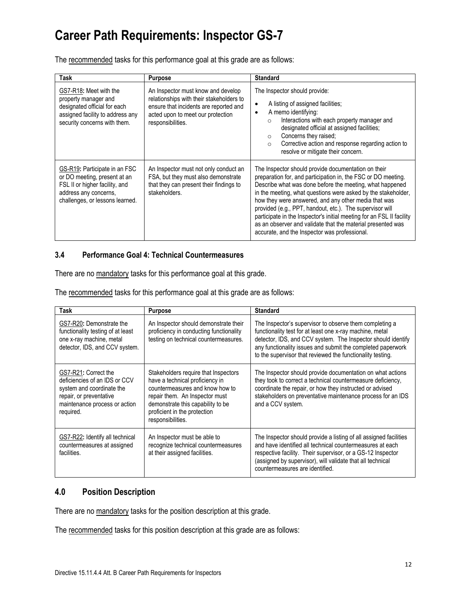The recommended tasks for this performance goal at this grade are as follows:

| Task                                                                                                                                                        | <b>Purpose</b>                                                                                                                                                                     | <b>Standard</b>                                                                                                                                                                                                                                                                                                                                                                                                                                                                                                                                                |
|-------------------------------------------------------------------------------------------------------------------------------------------------------------|------------------------------------------------------------------------------------------------------------------------------------------------------------------------------------|----------------------------------------------------------------------------------------------------------------------------------------------------------------------------------------------------------------------------------------------------------------------------------------------------------------------------------------------------------------------------------------------------------------------------------------------------------------------------------------------------------------------------------------------------------------|
| GS7-R18: Meet with the<br>property manager and<br>designated official for each<br>assigned facility to address any<br>security concerns with them.          | An Inspector must know and develop<br>relationships with their stakeholders to<br>ensure that incidents are reported and<br>acted upon to meet our protection<br>responsibilities. | The Inspector should provide:<br>A listing of assigned facilities:<br>$\bullet$<br>A memo identifying:<br>$\bullet$<br>Interactions with each property manager and<br>$\circ$<br>designated official at assigned facilities;<br>Concerns they raised;<br>$\Omega$<br>Corrective action and response regarding action to<br>$\circ$<br>resolve or mitigate their concern.                                                                                                                                                                                       |
| GS-R19: Participate in an FSC<br>or DO meeting, present at an<br>FSL II or higher facility, and<br>address any concerns,<br>challenges, or lessons learned. | An Inspector must not only conduct an<br>FSA, but they must also demonstrate<br>that they can present their findings to<br>stakeholders.                                           | The Inspector should provide documentation on their<br>preparation for, and participation in, the FSC or DO meeting.<br>Describe what was done before the meeting, what happened<br>in the meeting, what questions were asked by the stakeholder,<br>how they were answered, and any other media that was<br>provided (e.g., PPT, handout, etc.). The supervisor will<br>participate in the Inspector's initial meeting for an FSL II facility<br>as an observer and validate that the material presented was<br>accurate, and the Inspector was professional. |

#### **3.4 Performance Goal 4: Technical Countermeasures**

There are no mandatory tasks for this performance goal at this grade.

The recommended tasks for this performance goal at this grade are as follows:

| Task                                                                                                                                                        | <b>Purpose</b>                                                                                                                                                                                                                         | <b>Standard</b>                                                                                                                                                                                                                                                                                                  |
|-------------------------------------------------------------------------------------------------------------------------------------------------------------|----------------------------------------------------------------------------------------------------------------------------------------------------------------------------------------------------------------------------------------|------------------------------------------------------------------------------------------------------------------------------------------------------------------------------------------------------------------------------------------------------------------------------------------------------------------|
| GS7-R20: Demonstrate the<br>functionality testing of at least<br>one x-ray machine, metal<br>detector, IDS, and CCV system.                                 | An Inspector should demonstrate their<br>proficiency in conducting functionality<br>testing on technical countermeasures.                                                                                                              | The Inspector's supervisor to observe them completing a<br>functionality test for at least one x-ray machine, metal<br>detector, IDS, and CCV system. The Inspector should identify<br>any functionality issues and submit the completed paperwork<br>to the supervisor that reviewed the functionality testing. |
| GS7-R21: Correct the<br>deficiencies of an IDS or CCV<br>system and coordinate the<br>repair, or preventative<br>maintenance process or action<br>required. | Stakeholders require that Inspectors<br>have a technical proficiency in<br>countermeasures and know how to<br>repair them. An Inspector must<br>demonstrate this capability to be<br>proficient in the protection<br>responsibilities. | The Inspector should provide documentation on what actions<br>they took to correct a technical countermeasure deficiency,<br>coordinate the repair, or how they instructed or advised<br>stakeholders on preventative maintenance process for an IDS<br>and a CCV system.                                        |
| GS7-R22: Identify all technical<br>countermeasures at assigned<br>facilities.                                                                               | An Inspector must be able to<br>recognize technical countermeasures<br>at their assigned facilities.                                                                                                                                   | The Inspector should provide a listing of all assigned facilities<br>and have identified all technical countermeasures at each<br>respective facility. Their supervisor, or a GS-12 Inspector<br>(assigned by supervisor), will validate that all technical<br>countermeasures are identified.                   |

### **4.0 Position Description**

There are no mandatory tasks for the position description at this grade.

The recommended tasks for this position description at this grade are as follows: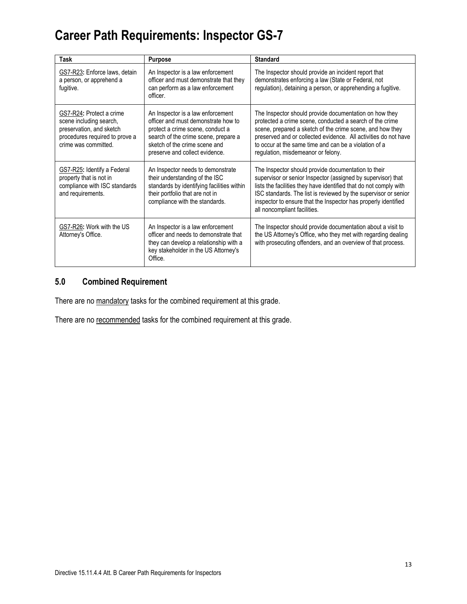| Task                                                                                                                                      | <b>Purpose</b>                                                                                                                                                                                                          | <b>Standard</b>                                                                                                                                                                                                                                                                                                                                               |
|-------------------------------------------------------------------------------------------------------------------------------------------|-------------------------------------------------------------------------------------------------------------------------------------------------------------------------------------------------------------------------|---------------------------------------------------------------------------------------------------------------------------------------------------------------------------------------------------------------------------------------------------------------------------------------------------------------------------------------------------------------|
| GS7-R23: Enforce laws, detain<br>a person, or apprehend a<br>fugitive.                                                                    | An Inspector is a law enforcement<br>officer and must demonstrate that they<br>can perform as a law enforcement<br>officer.                                                                                             | The Inspector should provide an incident report that<br>demonstrates enforcing a law (State or Federal, not<br>regulation), detaining a person, or apprehending a fugitive.                                                                                                                                                                                   |
| GS7-R24: Protect a crime<br>scene including search,<br>preservation, and sketch<br>procedures required to prove a<br>crime was committed. | An Inspector is a law enforcement<br>officer and must demonstrate how to<br>protect a crime scene, conduct a<br>search of the crime scene, prepare a<br>sketch of the crime scene and<br>preserve and collect evidence. | The Inspector should provide documentation on how they<br>protected a crime scene, conducted a search of the crime<br>scene, prepared a sketch of the crime scene, and how they<br>preserved and or collected evidence. All activities do not have<br>to occur at the same time and can be a violation of a<br>regulation, misdemeanor or felony.             |
| GS7-R25: Identify a Federal<br>property that is not in<br>compliance with ISC standards<br>and requirements.                              | An Inspector needs to demonstrate<br>their understanding of the ISC<br>standards by identifying facilities within<br>their portfolio that are not in<br>compliance with the standards.                                  | The Inspector should provide documentation to their<br>supervisor or senior Inspector (assigned by supervisor) that<br>lists the facilities they have identified that do not comply with<br>ISC standards. The list is reviewed by the supervisor or senior<br>inspector to ensure that the Inspector has properly identified<br>all noncompliant facilities. |
| GS7-R26: Work with the US<br>Attorney's Office.                                                                                           | An Inspector is a law enforcement<br>officer and needs to demonstrate that<br>they can develop a relationship with a<br>key stakeholder in the US Attorney's<br>Office.                                                 | The Inspector should provide documentation about a visit to<br>the US Attorney's Office, who they met with regarding dealing<br>with prosecuting offenders, and an overview of that process.                                                                                                                                                                  |

### **5.0 Combined Requirement**

There are no mandatory tasks for the combined requirement at this grade.

There are no recommended tasks for the combined requirement at this grade.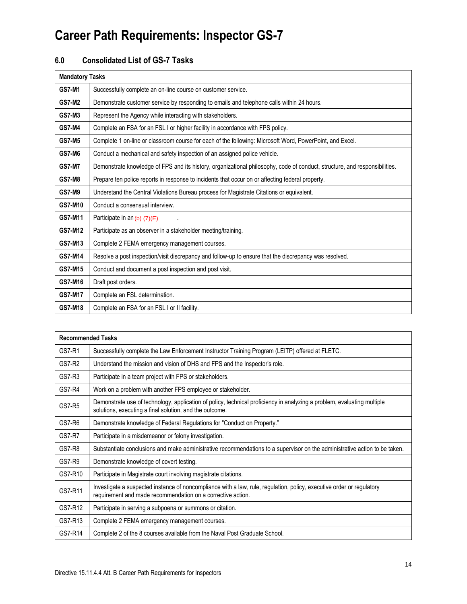### **6.0 Consolidated List of GS-7 Tasks**

| <b>Mandatory Tasks</b> |                                                                                                                            |
|------------------------|----------------------------------------------------------------------------------------------------------------------------|
| <b>GS7-M1</b>          | Successfully complete an on-line course on customer service.                                                               |
| <b>GS7-M2</b>          | Demonstrate customer service by responding to emails and telephone calls within 24 hours.                                  |
| <b>GS7-M3</b>          | Represent the Agency while interacting with stakeholders.                                                                  |
| <b>GS7-M4</b>          | Complete an FSA for an FSL I or higher facility in accordance with FPS policy.                                             |
| <b>GS7-M5</b>          | Complete 1 on-line or classroom course for each of the following: Microsoft Word, PowerPoint, and Excel.                   |
| <b>GS7-M6</b>          | Conduct a mechanical and safety inspection of an assigned police vehicle.                                                  |
| <b>GS7-M7</b>          | Demonstrate knowledge of FPS and its history, organizational philosophy, code of conduct, structure, and responsibilities. |
| <b>GS7-M8</b>          | Prepare ten police reports in response to incidents that occur on or affecting federal property.                           |
| <b>GS7-M9</b>          | Understand the Central Violations Bureau process for Magistrate Citations or equivalent.                                   |
| <b>GS7-M10</b>         | Conduct a consensual interview.                                                                                            |
| GS7-M11                | Participate in an (b) (7)(E)                                                                                               |
| GS7-M12                | Participate as an observer in a stakeholder meeting/training.                                                              |
| GS7-M13                | Complete 2 FEMA emergency management courses.                                                                              |
| <b>GS7-M14</b>         | Resolve a post inspection/visit discrepancy and follow-up to ensure that the discrepancy was resolved.                     |
| GS7-M15                | Conduct and document a post inspection and post visit.                                                                     |
| GS7-M16                | Draft post orders.                                                                                                         |
| <b>GS7-M17</b>         | Complete an FSL determination.                                                                                             |
| GS7-M18                | Complete an FSA for an FSL I or II facility.                                                                               |

|               | <b>Recommended Tasks</b>                                                                                                                                                             |  |
|---------------|--------------------------------------------------------------------------------------------------------------------------------------------------------------------------------------|--|
| GS7-R1        | Successfully complete the Law Enforcement Instructor Training Program (LEITP) offered at FLETC.                                                                                      |  |
| <b>GS7-R2</b> | Understand the mission and vision of DHS and FPS and the Inspector's role.                                                                                                           |  |
| GS7-R3        | Participate in a team project with FPS or stakeholders.                                                                                                                              |  |
| GS7-R4        | Work on a problem with another FPS employee or stakeholder.                                                                                                                          |  |
| <b>GS7-R5</b> | Demonstrate use of technology, application of policy, technical proficiency in analyzing a problem, evaluating multiple<br>solutions, executing a final solution, and the outcome.   |  |
| GS7-R6        | Demonstrate knowledge of Federal Regulations for "Conduct on Property."                                                                                                              |  |
| <b>GS7-R7</b> | Participate in a misdemeanor or felony investigation.                                                                                                                                |  |
| GS7-R8        | Substantiate conclusions and make administrative recommendations to a supervisor on the administrative action to be taken.                                                           |  |
| GS7-R9        | Demonstrate knowledge of covert testing.                                                                                                                                             |  |
| GS7-R10       | Participate in Magistrate court involving magistrate citations.                                                                                                                      |  |
| GS7-R11       | Investigate a suspected instance of noncompliance with a law, rule, regulation, policy, executive order or regulatory<br>requirement and made recommendation on a corrective action. |  |
| GS7-R12       | Participate in serving a subpoena or summons or citation.                                                                                                                            |  |
| GS7-R13       | Complete 2 FEMA emergency management courses.                                                                                                                                        |  |
| GS7-R14       | Complete 2 of the 8 courses available from the Naval Post Graduate School.                                                                                                           |  |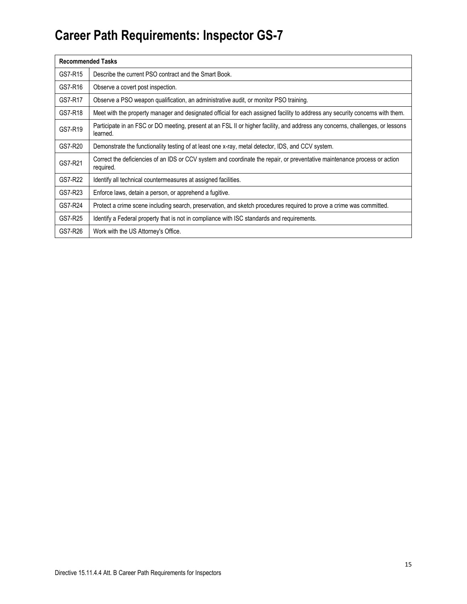| <b>Recommended Tasks</b> |                                                                                                                                            |
|--------------------------|--------------------------------------------------------------------------------------------------------------------------------------------|
| GS7-R15                  | Describe the current PSO contract and the Smart Book.                                                                                      |
| GS7-R16                  | Observe a covert post inspection.                                                                                                          |
| GS7-R17                  | Observe a PSO weapon qualification, an administrative audit, or monitor PSO training.                                                      |
| GS7-R18                  | Meet with the property manager and designated official for each assigned facility to address any security concerns with them.              |
| GS7-R19                  | Participate in an FSC or DO meeting, present at an FSL II or higher facility, and address any concerns, challenges, or lessons<br>learned. |
| GS7-R20                  | Demonstrate the functionality testing of at least one x-ray, metal detector, IDS, and CCV system.                                          |
| GS7-R21                  | Correct the deficiencies of an IDS or CCV system and coordinate the repair, or preventative maintenance process or action<br>required.     |
| GS7-R22                  | Identify all technical countermeasures at assigned facilities.                                                                             |
| GS7-R23                  | Enforce laws, detain a person, or apprehend a fugitive.                                                                                    |
| GS7-R24                  | Protect a crime scene including search, preservation, and sketch procedures required to prove a crime was committed.                       |
| GS7-R25                  | Identify a Federal property that is not in compliance with ISC standards and requirements.                                                 |
| GS7-R26                  | Work with the US Attorney's Office.                                                                                                        |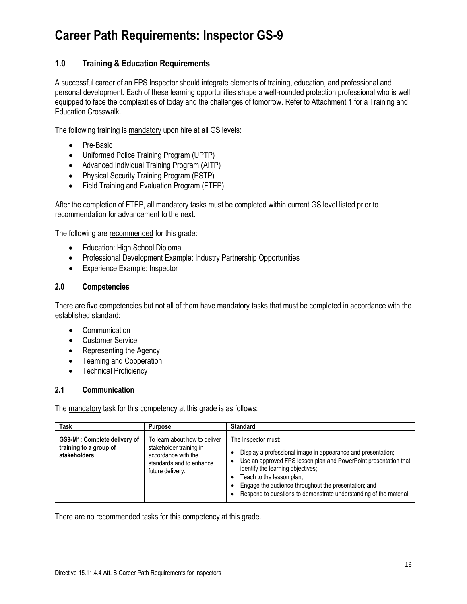### **1.0 Training & Education Requirements**

A successful career of an FPS Inspector should integrate elements of training, education, and professional and personal development. Each of these learning opportunities shape a well-rounded protection professional who is well equipped to face the complexities of today and the challenges of tomorrow. Refer to Attachment 1 for a Training and Education Crosswalk.

The following training is mandatory upon hire at all GS levels:

- Pre-Basic
- Uniformed Police Training Program (UPTP)
- Advanced Individual Training Program (AITP)
- Physical Security Training Program (PSTP)
- Field Training and Evaluation Program (FTEP)

After the completion of FTEP, all mandatory tasks must be completed within current GS level listed prior to recommendation for advancement to the next.

The following are recommended for this grade:

- Education: High School Diploma
- Professional Development Example: Industry Partnership Opportunities
- Experience Example: Inspector

#### **2.0 Competencies**

There are five competencies but not all of them have mandatory tasks that must be completed in accordance with the established standard:

- Communication
- Customer Service
- Representing the Agency
- Teaming and Cooperation
- Technical Proficiency

#### **2.1 Communication**

The mandatory task for this competency at this grade is as follows:

| <b>Task</b>                                                            | <b>Purpose</b>                                                                                                                  | <b>Standard</b>                                                                                                                                                                                                                                                                                                                                         |
|------------------------------------------------------------------------|---------------------------------------------------------------------------------------------------------------------------------|---------------------------------------------------------------------------------------------------------------------------------------------------------------------------------------------------------------------------------------------------------------------------------------------------------------------------------------------------------|
| GS9-M1: Complete delivery of<br>training to a group of<br>stakeholders | To learn about how to deliver<br>stakeholder training in<br>accordance with the<br>standards and to enhance<br>future delivery. | The Inspector must:<br>Display a professional image in appearance and presentation;<br>Use an approved FPS lesson plan and PowerPoint presentation that<br>identify the learning objectives;<br>Teach to the lesson plan;<br>Engage the audience throughout the presentation; and<br>Respond to questions to demonstrate understanding of the material. |

There are no recommended tasks for this competency at this grade.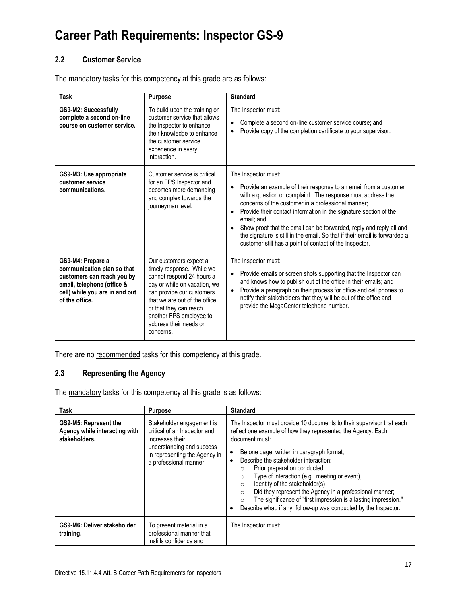#### **2.2 Customer Service**

The mandatory tasks for this competency at this grade are as follows:

| Task                                                                                                                                                            | <b>Purpose</b>                                                                                                                                                                                                                                                             | <b>Standard</b>                                                                                                                                                                                                                                                                                                                                                                                                                                                                                                 |
|-----------------------------------------------------------------------------------------------------------------------------------------------------------------|----------------------------------------------------------------------------------------------------------------------------------------------------------------------------------------------------------------------------------------------------------------------------|-----------------------------------------------------------------------------------------------------------------------------------------------------------------------------------------------------------------------------------------------------------------------------------------------------------------------------------------------------------------------------------------------------------------------------------------------------------------------------------------------------------------|
| GS9-M2: Successfully<br>complete a second on-line<br>course on customer service.                                                                                | To build upon the training on<br>customer service that allows<br>the Inspector to enhance<br>their knowledge to enhance<br>the customer service<br>experience in every<br>interaction.                                                                                     | The Inspector must:<br>Complete a second on-line customer service course; and<br>Provide copy of the completion certificate to your supervisor.                                                                                                                                                                                                                                                                                                                                                                 |
| GS9-M3: Use appropriate<br>customer service<br>communications.                                                                                                  | Customer service is critical<br>for an FPS Inspector and<br>becomes more demanding<br>and complex towards the<br>journeyman level.                                                                                                                                         | The Inspector must:<br>Provide an example of their response to an email from a customer<br>with a question or complaint. The response must address the<br>concerns of the customer in a professional manner;<br>Provide their contact information in the signature section of the<br>email: and<br>Show proof that the email can be forwarded, reply and reply all and<br>the signature is still in the email. So that if their email is forwarded a<br>customer still has a point of contact of the Inspector. |
| GS9-M4: Prepare a<br>communication plan so that<br>customers can reach you by<br>email, telephone (office &<br>cell) while you are in and out<br>of the office. | Our customers expect a<br>timely response. While we<br>cannot respond 24 hours a<br>day or while on vacation, we<br>can provide our customers<br>that we are out of the office<br>or that they can reach<br>another FPS employee to<br>address their needs or<br>concerns. | The Inspector must:<br>Provide emails or screen shots supporting that the Inspector can<br>and knows how to publish out of the office in their emails; and<br>Provide a paragraph on their process for office and cell phones to<br>notify their stakeholders that they will be out of the office and<br>provide the MegaCenter telephone number.                                                                                                                                                               |

There are no recommended tasks for this competency at this grade.

### **2.3 Representing the Agency**

The mandatory tasks for this competency at this grade is as follows:

| Task                                                                    | <b>Purpose</b>                                                                                                                                                       | <b>Standard</b>                                                                                                                                                                                                                                                                                                                                                                                                                                                                                                                                                                                                                             |
|-------------------------------------------------------------------------|----------------------------------------------------------------------------------------------------------------------------------------------------------------------|---------------------------------------------------------------------------------------------------------------------------------------------------------------------------------------------------------------------------------------------------------------------------------------------------------------------------------------------------------------------------------------------------------------------------------------------------------------------------------------------------------------------------------------------------------------------------------------------------------------------------------------------|
| GS9-M5: Represent the<br>Agency while interacting with<br>stakeholders. | Stakeholder engagement is<br>critical of an Inspector and<br>increases their<br>understanding and success<br>in representing the Agency in<br>a professional manner. | The Inspector must provide 10 documents to their supervisor that each<br>reflect one example of how they represented the Agency. Each<br>document must:<br>Be one page, written in paragraph format;<br>$\bullet$<br>Describe the stakeholder interaction:<br>٠<br>Prior preparation conducted,<br>$\circ$<br>Type of interaction (e.g., meeting or event),<br>$\circ$<br>Identity of the stakeholder(s)<br>$\circ$<br>Did they represent the Agency in a professional manner;<br>$\circ$<br>The significance of "first impression is a lasting impression."<br>$\circ$<br>Describe what, if any, follow-up was conducted by the Inspector. |
| GS9-M6: Deliver stakeholder<br>training.                                | To present material in a<br>professional manner that<br>instills confidence and                                                                                      | The Inspector must:                                                                                                                                                                                                                                                                                                                                                                                                                                                                                                                                                                                                                         |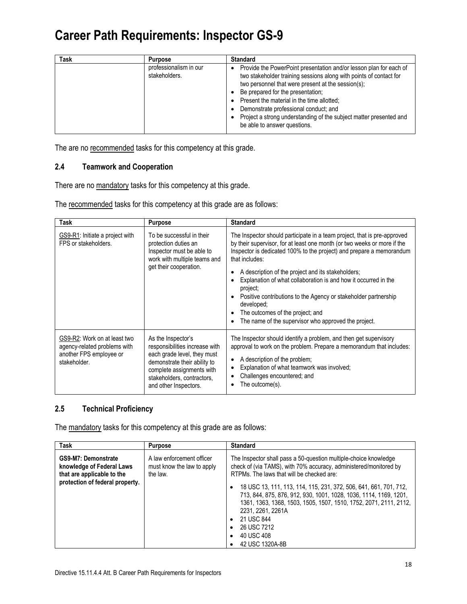| <b>Task</b> | <b>Purpose</b>                          | <b>Standard</b>                                                                                                                                                                                                                                                                                                                                                                                                                  |
|-------------|-----------------------------------------|----------------------------------------------------------------------------------------------------------------------------------------------------------------------------------------------------------------------------------------------------------------------------------------------------------------------------------------------------------------------------------------------------------------------------------|
|             | professionalism in our<br>stakeholders. | Provide the PowerPoint presentation and/or lesson plan for each of<br>two stakeholder training sessions along with points of contact for<br>two personnel that were present at the session(s);<br>Be prepared for the presentation;<br>Present the material in the time allotted;<br>Demonstrate professional conduct; and<br>Project a strong understanding of the subject matter presented and<br>be able to answer questions. |

The are no recommended tasks for this competency at this grade.

#### **2.4 Teamwork and Cooperation**

There are no mandatory tasks for this competency at this grade.

The recommended tasks for this competency at this grade are as follows:

| Task                                                                                                    | <b>Purpose</b>                                                                                                                                                                                          | <b>Standard</b>                                                                                                                                                                                                                                                                                                                                                                                                                                                                                                                                                  |
|---------------------------------------------------------------------------------------------------------|---------------------------------------------------------------------------------------------------------------------------------------------------------------------------------------------------------|------------------------------------------------------------------------------------------------------------------------------------------------------------------------------------------------------------------------------------------------------------------------------------------------------------------------------------------------------------------------------------------------------------------------------------------------------------------------------------------------------------------------------------------------------------------|
| GS9-R1: Initiate a project with<br>FPS or stakeholders.                                                 | To be successful in their<br>protection duties an<br>Inspector must be able to<br>work with multiple teams and<br>get their cooperation.                                                                | The Inspector should participate in a team project, that is pre-approved<br>by their supervisor, for at least one month (or two weeks or more if the<br>Inspector is dedicated 100% to the project) and prepare a memorandum<br>that includes:<br>A description of the project and its stakeholders;<br>Explanation of what collaboration is and how it occurred in the<br>project;<br>Positive contributions to the Agency or stakeholder partnership<br>developed;<br>The outcomes of the project; and<br>The name of the supervisor who approved the project. |
| GS9-R2: Work on at least two<br>agency-related problems with<br>another FPS employee or<br>stakeholder. | As the Inspector's<br>responsibilities increase with<br>each grade level, they must<br>demonstrate their ability to<br>complete assignments with<br>stakeholders, contractors,<br>and other Inspectors. | The Inspector should identify a problem, and then get supervisory<br>approval to work on the problem. Prepare a memorandum that includes:<br>A description of the problem;<br>Explanation of what teamwork was involved;<br>Challenges encountered; and<br>The outcome(s).                                                                                                                                                                                                                                                                                       |

### **2.5 Technical Proficiency**

The mandatory tasks for this competency at this grade are as follows:

| Task                                                                                                              | <b>Purpose</b>                                                      | <b>Standard</b>                                                                                                                                                                                                                                                                                                                                                                                                                                                                                                  |
|-------------------------------------------------------------------------------------------------------------------|---------------------------------------------------------------------|------------------------------------------------------------------------------------------------------------------------------------------------------------------------------------------------------------------------------------------------------------------------------------------------------------------------------------------------------------------------------------------------------------------------------------------------------------------------------------------------------------------|
| GS9-M7: Demonstrate<br>knowledge of Federal Laws<br>that are applicable to the<br>protection of federal property. | A law enforcement officer<br>must know the law to apply<br>the law. | The Inspector shall pass a 50-question multiple-choice knowledge<br>check of (via TAMS), with 70% accuracy, administered/monitored by<br>RTPMs. The laws that will be checked are:<br>18 USC 13, 111, 113, 114, 115, 231, 372, 506, 641, 661, 701, 712,<br>٠<br>713, 844, 875, 876, 912, 930, 1001, 1028, 1036, 1114, 1169, 1201,<br>1361, 1363, 1368, 1503, 1505, 1507, 1510, 1752, 2071, 2111, 2112,<br>2231, 2261, 2261A<br>21 USC 844<br>٠<br>26 USC 7212<br>$\bullet$<br>40 USC 408<br>٠<br>42 USC 1320A-8B |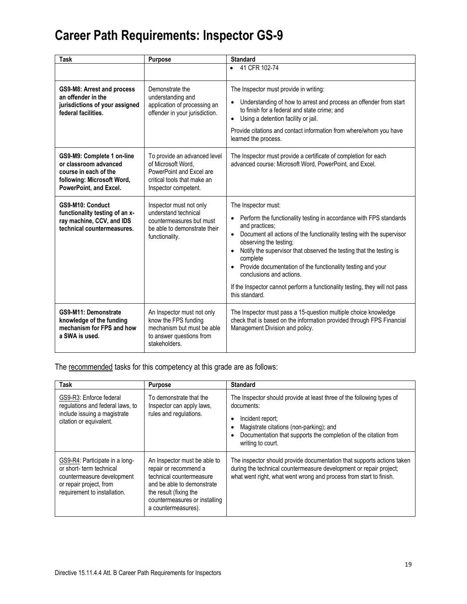| Task                                                                                                                                 | Purpose                                                                                                                               | <b>Standard</b>                                                                                                                                                                                                                                                                                                                                                                                                                                                                                                                      |
|--------------------------------------------------------------------------------------------------------------------------------------|---------------------------------------------------------------------------------------------------------------------------------------|--------------------------------------------------------------------------------------------------------------------------------------------------------------------------------------------------------------------------------------------------------------------------------------------------------------------------------------------------------------------------------------------------------------------------------------------------------------------------------------------------------------------------------------|
|                                                                                                                                      |                                                                                                                                       | • 41 CFR 102-74                                                                                                                                                                                                                                                                                                                                                                                                                                                                                                                      |
| GS9-M8: Arrest and process<br>an offender in the<br>jurisdictions of your assigned<br>federal facilities.                            | Demonstrate the<br>understanding and<br>application of processing an<br>offender in your jurisdiction.                                | The Inspector must provide in writing:<br>Understanding of how to arrest and process an offender from start<br>to finish for a federal and state crime: and<br>Using a detention facility or jail.<br>$\bullet$<br>Provide citations and contact information from where/whom you have<br>learned the process.                                                                                                                                                                                                                        |
| GS9-M9: Complete 1 on-line<br>or classroom advanced<br>course in each of the<br>following: Microsoft Word,<br>PowerPoint, and Excel. | To provide an advanced level<br>of Microsoft Word.<br>PowerPoint and Excel are<br>critical tools that make an<br>Inspector competent. | The Inspector must provide a certificate of completion for each<br>advanced course: Microsoft Word, PowerPoint, and Excel.                                                                                                                                                                                                                                                                                                                                                                                                           |
| GS9-M10: Conduct<br>functionality testing of an x-<br>ray machine, CCV, and IDS<br>technical countermeasures.                        | Inspector must not only<br>understand technical<br>countermeasures but must<br>be able to demonstrate their<br>functionality.         | The Inspector must:<br>Perform the functionality testing in accordance with FPS standards<br>and practices;<br>Document all actions of the functionality testing with the supervisor<br>$\bullet$<br>observing the testing;<br>Notify the supervisor that observed the testing that the testing is<br>$\bullet$<br>complete<br>Provide documentation of the functionality testing and your<br>$\bullet$<br>conclusions and actions.<br>If the Inspector cannot perform a functionality testing, they will not pass<br>this standard. |
| GS9-M11: Demonstrate<br>knowledge of the funding<br>mechanism for FPS and how<br>a SWA is used.                                      | An Inspector must not only<br>know the FPS funding<br>mechanism but must be able<br>to answer questions from<br>stakeholders.         | The Inspector must pass a 15-question multiple choice knowledge<br>check that is based on the information provided through FPS Financial<br>Management Division and policy.                                                                                                                                                                                                                                                                                                                                                          |

The recommended tasks for this competency at this grade are as follows:

| <b>Task</b>                                                                                                                                         | <b>Purpose</b>                                                                                                                                                                                    | <b>Standard</b>                                                                                                                                                                                                                            |
|-----------------------------------------------------------------------------------------------------------------------------------------------------|---------------------------------------------------------------------------------------------------------------------------------------------------------------------------------------------------|--------------------------------------------------------------------------------------------------------------------------------------------------------------------------------------------------------------------------------------------|
| GS9-R3: Enforce federal<br>regulations and federal laws, to<br>include issuing a magistrate<br>citation or equivalent.                              | To demonstrate that the<br>Inspector can apply laws,<br>rules and regulations.                                                                                                                    | The Inspector should provide at least three of the following types of<br>documents:<br>Incident report:<br>Magistrate citations (non-parking); and<br>Documentation that supports the completion of the citation from<br>writing to court. |
| GS9-R4: Participate in a long-<br>or short- term technical<br>countermeasure development<br>or repair project, from<br>requirement to installation. | An Inspector must be able to<br>repair or recommend a<br>technical countermeasure<br>and be able to demonstrate<br>the result (fixing the<br>countermeasures or installing<br>a countermeasures). | The inspector should provide documentation that supports actions taken<br>during the technical countermeasure development or repair project;<br>what went right, what went wrong and process from start to finish.                         |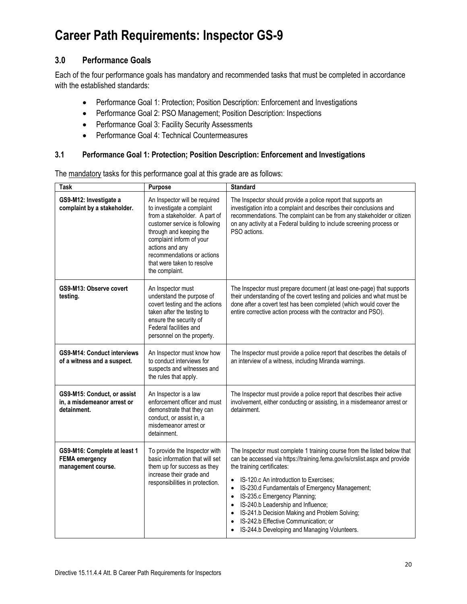### **3.0 Performance Goals**

Each of the four performance goals has mandatory and recommended tasks that must be completed in accordance with the established standards:

- Performance Goal 1: Protection; Position Description: Enforcement and Investigations
- Performance Goal 2: PSO Management; Position Description: Inspections
- Performance Goal 3: Facility Security Assessments
- Performance Goal 4: Technical Countermeasures

#### **3.1 Performance Goal 1: Protection; Position Description: Enforcement and Investigations**

| <b>Task</b>                                                                 | <b>Purpose</b>                                                                                                                                                                                                                                                                        | <b>Standard</b>                                                                                                                                                                                                                                                                                                                                                                                                                                                                                                                       |
|-----------------------------------------------------------------------------|---------------------------------------------------------------------------------------------------------------------------------------------------------------------------------------------------------------------------------------------------------------------------------------|---------------------------------------------------------------------------------------------------------------------------------------------------------------------------------------------------------------------------------------------------------------------------------------------------------------------------------------------------------------------------------------------------------------------------------------------------------------------------------------------------------------------------------------|
| GS9-M12: Investigate a<br>complaint by a stakeholder.                       | An Inspector will be required<br>to investigate a complaint<br>from a stakeholder. A part of<br>customer service is following<br>through and keeping the<br>complaint inform of your<br>actions and any<br>recommendations or actions<br>that were taken to resolve<br>the complaint. | The Inspector should provide a police report that supports an<br>investigation into a complaint and describes their conclusions and<br>recommendations. The complaint can be from any stakeholder or citizen<br>on any activity at a Federal building to include screening process or<br>PSO actions.                                                                                                                                                                                                                                 |
| GS9-M13: Observe covert<br>testing.                                         | An Inspector must<br>understand the purpose of<br>covert testing and the actions<br>taken after the testing to<br>ensure the security of<br>Federal facilities and<br>personnel on the property.                                                                                      | The Inspector must prepare document (at least one-page) that supports<br>their understanding of the covert testing and policies and what must be<br>done after a covert test has been completed (which would cover the<br>entire corrective action process with the contractor and PSO).                                                                                                                                                                                                                                              |
| <b>GS9-M14: Conduct interviews</b><br>of a witness and a suspect.           | An Inspector must know how<br>to conduct interviews for<br>suspects and witnesses and<br>the rules that apply.                                                                                                                                                                        | The Inspector must provide a police report that describes the details of<br>an interview of a witness, including Miranda warnings.                                                                                                                                                                                                                                                                                                                                                                                                    |
| GS9-M15: Conduct, or assist<br>in, a misdemeanor arrest or<br>detainment.   | An Inspector is a law<br>enforcement officer and must<br>demonstrate that they can<br>conduct, or assist in, a<br>misdemeanor arrest or<br>detainment.                                                                                                                                | The Inspector must provide a police report that describes their active<br>involvement, either conducting or assisting, in a misdemeanor arrest or<br>detainment.                                                                                                                                                                                                                                                                                                                                                                      |
| GS9-M16: Complete at least 1<br><b>FEMA</b> emergency<br>management course. | To provide the Inspector with<br>basic information that will set<br>them up for success as they<br>increase their grade and<br>responsibilities in protection.                                                                                                                        | The Inspector must complete 1 training course from the listed below that<br>can be accessed via https://training.fema.gov/is/crslist.aspx and provide<br>the training certificates:<br>IS-120.c An introduction to Exercises;<br>IS-230.d Fundamentals of Emergency Management;<br>$\bullet$<br>IS-235.c Emergency Planning;<br>$\bullet$<br>IS-240.b Leadership and Influence;<br>$\bullet$<br>IS-241.b Decision Making and Problem Solving;<br>IS-242.b Effective Communication; or<br>IS-244.b Developing and Managing Volunteers. |

The mandatory tasks for this performance goal at this grade are as follows: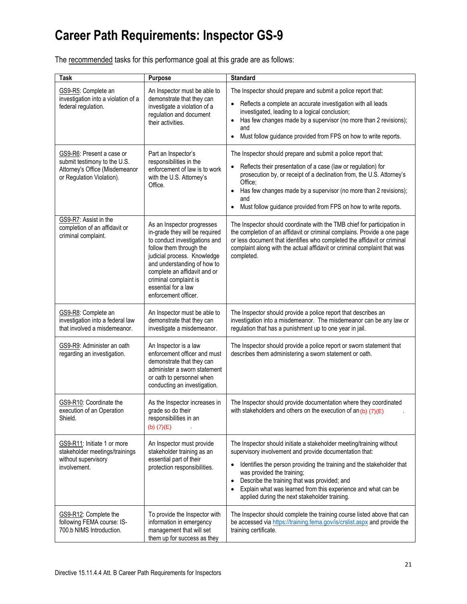The recommended tasks for this performance goal at this grade are as follows:

| Task                                                                                                                     | Purpose                                                                                                                                                                                                                                                                                        | <b>Standard</b>                                                                                                                                                                                                                                                                                                                                                                                                                    |
|--------------------------------------------------------------------------------------------------------------------------|------------------------------------------------------------------------------------------------------------------------------------------------------------------------------------------------------------------------------------------------------------------------------------------------|------------------------------------------------------------------------------------------------------------------------------------------------------------------------------------------------------------------------------------------------------------------------------------------------------------------------------------------------------------------------------------------------------------------------------------|
| GS9-R5: Complete an<br>investigation into a violation of a<br>federal regulation.                                        | An Inspector must be able to<br>demonstrate that they can<br>investigate a violation of a<br>regulation and document<br>their activities.                                                                                                                                                      | The Inspector should prepare and submit a police report that:<br>Reflects a complete an accurate investigation with all leads<br>investigated, leading to a logical conclusion;<br>Has few changes made by a supervisor (no more than 2 revisions);<br>and<br>Must follow guidance provided from FPS on how to write reports.<br>$\bullet$                                                                                         |
| GS9-R6: Present a case or<br>submit testimony to the U.S.<br>Attorney's Office (Misdemeanor<br>or Regulation Violation). | Part an Inspector's<br>responsibilities in the<br>enforcement of law is to work<br>with the U.S. Attorney's<br>Office.                                                                                                                                                                         | The Inspector should prepare and submit a police report that:<br>Reflects their presentation of a case (law or regulation) for<br>prosecution by, or receipt of a declination from, the U.S. Attorney's<br>Office;<br>Has few changes made by a supervisor (no more than 2 revisions);<br>$\bullet$<br>and<br>Must follow guidance provided from FPS on how to write reports.                                                      |
| GS9-R7: Assist in the<br>completion of an affidavit or<br>criminal complaint.                                            | As an Inspector progresses<br>in-grade they will be required<br>to conduct investigations and<br>follow them through the<br>judicial process. Knowledge<br>and understanding of how to<br>complete an affidavit and or<br>criminal complaint is<br>essential for a law<br>enforcement officer. | The Inspector should coordinate with the TMB chief for participation in<br>the completion of an affidavit or criminal complains. Provide a one page<br>or less document that identifies who completed the affidavit or criminal<br>complaint along with the actual affidavit or criminal complaint that was<br>completed.                                                                                                          |
| GS9-R8: Complete an<br>investigation into a federal law<br>that involved a misdemeanor.                                  | An Inspector must be able to<br>demonstrate that they can<br>investigate a misdemeanor.                                                                                                                                                                                                        | The Inspector should provide a police report that describes an<br>investigation into a misdemeanor. The misdemeanor can be any law or<br>regulation that has a punishment up to one year in jail.                                                                                                                                                                                                                                  |
| GS9-R9: Administer an oath<br>regarding an investigation.                                                                | An Inspector is a law<br>enforcement officer and must<br>demonstrate that they can<br>administer a sworn statement<br>or oath to personnel when<br>conducting an investigation.                                                                                                                | The Inspector should provide a police report or sworn statement that<br>describes them administering a sworn statement or oath.                                                                                                                                                                                                                                                                                                    |
| GS9-R10: Coordinate the<br>execution of an Operation<br>Shield.                                                          | As the Inspector increases in<br>grade so do their<br>responsibilities in an<br>(b) $(7)(E)$                                                                                                                                                                                                   | The Inspector should provide documentation where they coordinated<br>with stakeholders and others on the execution of an $(b)$ $(7)(E)$                                                                                                                                                                                                                                                                                            |
| GS9-R11: Initiate 1 or more<br>stakeholder meetings/trainings<br>without supervisory<br>involvement.                     | An Inspector must provide<br>stakeholder training as an<br>essential part of their<br>protection responsibilities.                                                                                                                                                                             | The Inspector should initiate a stakeholder meeting/training without<br>supervisory involvement and provide documentation that:<br>Identifies the person providing the training and the stakeholder that<br>was provided the training;<br>Describe the training that was provided; and<br>$\bullet$<br>Explain what was learned from this experience and what can be<br>$\bullet$<br>applied during the next stakeholder training. |
| GS9-R12: Complete the<br>following FEMA course: IS-<br>700.b NIMS Introduction.                                          | To provide the Inspector with<br>information in emergency<br>management that will set<br>them up for success as they                                                                                                                                                                           | The Inspector should complete the training course listed above that can<br>be accessed via https://training.fema.gov/is/crslist.aspx and provide the<br>training certificate.                                                                                                                                                                                                                                                      |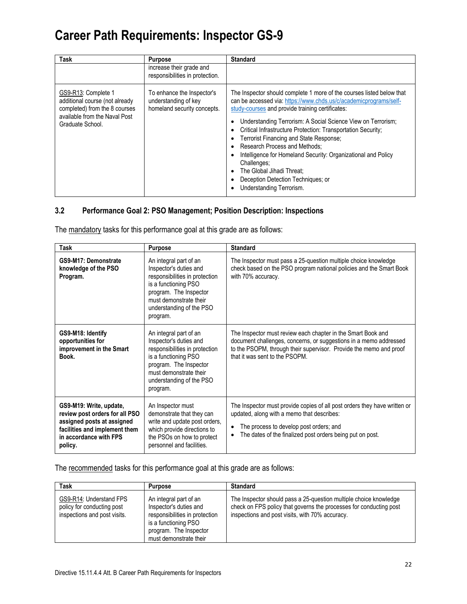| <b>Task</b>                                                                                                                                 | <b>Purpose</b>                                                                    | <b>Standard</b>                                                                                                                                                                                                                                                                                                                                                                                                                                                                                                                                                                           |
|---------------------------------------------------------------------------------------------------------------------------------------------|-----------------------------------------------------------------------------------|-------------------------------------------------------------------------------------------------------------------------------------------------------------------------------------------------------------------------------------------------------------------------------------------------------------------------------------------------------------------------------------------------------------------------------------------------------------------------------------------------------------------------------------------------------------------------------------------|
|                                                                                                                                             | increase their grade and<br>responsibilities in protection.                       |                                                                                                                                                                                                                                                                                                                                                                                                                                                                                                                                                                                           |
| GS9-R13: Complete 1<br>additional course (not already<br>completed) from the 8 courses<br>available from the Naval Post<br>Graduate School. | To enhance the Inspector's<br>understanding of key<br>homeland security concepts. | The Inspector should complete 1 more of the courses listed below that<br>can be accessed via: https://www.chds.us/c/academicprograms/self-<br>study-courses and provide training certificates:<br>Understanding Terrorism: A Social Science View on Terrorism;<br>Critical Infrastructure Protection: Transportation Security;<br>Terrorist Financing and State Response;<br>Research Process and Methods:<br>Intelligence for Homeland Security: Organizational and Policy<br>Challenges:<br>The Global Jihadi Threat:<br>Deception Detection Techniques; or<br>Understanding Terrorism. |

### **3.2 Performance Goal 2: PSO Management; Position Description: Inspections**

The mandatory tasks for this performance goal at this grade are as follows:

| <b>Task</b>                                                                                                                                                   | <b>Purpose</b>                                                                                                                                                                                         | <b>Standard</b>                                                                                                                                                                                                                           |
|---------------------------------------------------------------------------------------------------------------------------------------------------------------|--------------------------------------------------------------------------------------------------------------------------------------------------------------------------------------------------------|-------------------------------------------------------------------------------------------------------------------------------------------------------------------------------------------------------------------------------------------|
| GS9-M17: Demonstrate<br>knowledge of the PSO<br>Program.                                                                                                      | An integral part of an<br>Inspector's duties and<br>responsibilities in protection<br>is a functioning PSO<br>program. The Inspector<br>must demonstrate their<br>understanding of the PSO<br>program. | The Inspector must pass a 25-question multiple choice knowledge<br>check based on the PSO program national policies and the Smart Book<br>with 70% accuracy.                                                                              |
| GS9-M18: Identify<br>opportunities for<br>improvement in the Smart<br>Book.                                                                                   | An integral part of an<br>Inspector's duties and<br>responsibilities in protection<br>is a functioning PSO<br>program. The Inspector<br>must demonstrate their<br>understanding of the PSO<br>program. | The Inspector must review each chapter in the Smart Book and<br>document challenges, concerns, or suggestions in a memo addressed<br>to the PSOPM, through their supervisor. Provide the memo and proof<br>that it was sent to the PSOPM. |
| GS9-M19: Write, update,<br>review post orders for all PSO<br>assigned posts at assigned<br>facilities and implement them<br>in accordance with FPS<br>policy. | An Inspector must<br>demonstrate that they can<br>write and update post orders,<br>which provide directions to<br>the PSOs on how to protect<br>personnel and facilities.                              | The Inspector must provide copies of all post orders they have written or<br>updated, along with a memo that describes:<br>The process to develop post orders; and<br>The dates of the finalized post orders being put on post.           |

The recommended tasks for this performance goal at this grade are as follows:

| Task                                                                                  | <b>Purpose</b>                                                                                                                                                 | <b>Standard</b>                                                                                                                                                                            |
|---------------------------------------------------------------------------------------|----------------------------------------------------------------------------------------------------------------------------------------------------------------|--------------------------------------------------------------------------------------------------------------------------------------------------------------------------------------------|
| GS9-R14: Understand FPS<br>policy for conducting post<br>inspections and post visits. | An integral part of an<br>Inspector's duties and<br>responsibilities in protection<br>is a functioning PSO<br>program. The Inspector<br>must demonstrate their | The Inspector should pass a 25-question multiple choice knowledge<br>check on FPS policy that governs the processes for conducting post<br>inspections and post visits, with 70% accuracy. |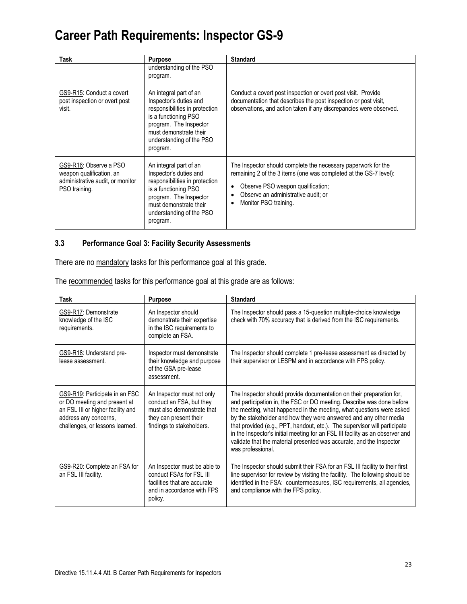| Task                                                                                                    | <b>Purpose</b>                                                                                                                                                                                         | <b>Standard</b>                                                                                                                                                                                                                         |
|---------------------------------------------------------------------------------------------------------|--------------------------------------------------------------------------------------------------------------------------------------------------------------------------------------------------------|-----------------------------------------------------------------------------------------------------------------------------------------------------------------------------------------------------------------------------------------|
|                                                                                                         | understanding of the PSO<br>program.                                                                                                                                                                   |                                                                                                                                                                                                                                         |
| GS9-R15: Conduct a covert<br>post inspection or overt post<br>visit.                                    | An integral part of an<br>Inspector's duties and<br>responsibilities in protection<br>is a functioning PSO<br>program. The Inspector<br>must demonstrate their<br>understanding of the PSO<br>program. | Conduct a covert post inspection or overt post visit. Provide<br>documentation that describes the post inspection or post visit,<br>observations, and action taken if any discrepancies were observed.                                  |
| GS9-R16: Observe a PSO<br>weapon qualification, an<br>administrative audit, or monitor<br>PSO training. | An integral part of an<br>Inspector's duties and<br>responsibilities in protection<br>is a functioning PSO<br>program. The Inspector<br>must demonstrate their<br>understanding of the PSO<br>program. | The Inspector should complete the necessary paperwork for the<br>remaining 2 of the 3 items (one was completed at the GS-7 level):<br>Observe PSO weapon qualification;<br>Observe an administrative audit; or<br>Monitor PSO training. |

### **3.3 Performance Goal 3: Facility Security Assessments**

There are no mandatory tasks for this performance goal at this grade.

| The recommended tasks for this performance goal at this grade are as follows: |  |  |
|-------------------------------------------------------------------------------|--|--|
|                                                                               |  |  |

| Task                                                                                                                                                            | <b>Purpose</b>                                                                                                                              | <b>Standard</b>                                                                                                                                                                                                                                                                                                                                                                                                                                                                                                                                       |
|-----------------------------------------------------------------------------------------------------------------------------------------------------------------|---------------------------------------------------------------------------------------------------------------------------------------------|-------------------------------------------------------------------------------------------------------------------------------------------------------------------------------------------------------------------------------------------------------------------------------------------------------------------------------------------------------------------------------------------------------------------------------------------------------------------------------------------------------------------------------------------------------|
| GS9-R17: Demonstrate<br>knowledge of the ISC<br>requirements.                                                                                                   | An Inspector should<br>demonstrate their expertise<br>in the ISC requirements to<br>complete an FSA.                                        | The Inspector should pass a 15-question multiple-choice knowledge<br>check with 70% accuracy that is derived from the ISC requirements.                                                                                                                                                                                                                                                                                                                                                                                                               |
| GS9-R18: Understand pre-<br>lease assessment.                                                                                                                   | Inspector must demonstrate<br>their knowledge and purpose<br>of the GSA pre-lease<br>assessment.                                            | The Inspector should complete 1 pre-lease assessment as directed by<br>their supervisor or LESPM and in accordance with FPS policy.                                                                                                                                                                                                                                                                                                                                                                                                                   |
| GS9-R19: Participate in an FSC<br>or DO meeting and present at<br>an FSL III or higher facility and<br>address any concerns,<br>challenges, or lessons learned. | An Inspector must not only<br>conduct an FSA, but they<br>must also demonstrate that<br>they can present their<br>findings to stakeholders. | The Inspector should provide documentation on their preparation for,<br>and participation in, the FSC or DO meeting. Describe was done before<br>the meeting, what happened in the meeting, what questions were asked<br>by the stakeholder and how they were answered and any other media<br>that provided (e.g., PPT, handout, etc.). The supervisor will participate<br>in the Inspector's initial meeting for an FSL III facility as an observer and<br>validate that the material presented was accurate, and the Inspector<br>was professional. |
| GS9-R20: Complete an FSA for<br>an FSL III facility.                                                                                                            | An Inspector must be able to<br>conduct FSAs for FSL III<br>facilities that are accurate<br>and in accordance with FPS<br>policy.           | The Inspector should submit their FSA for an FSL III facility to their first<br>line supervisor for review by visiting the facility. The following should be<br>identified in the FSA: countermeasures, ISC requirements, all agencies,<br>and compliance with the FPS policy.                                                                                                                                                                                                                                                                        |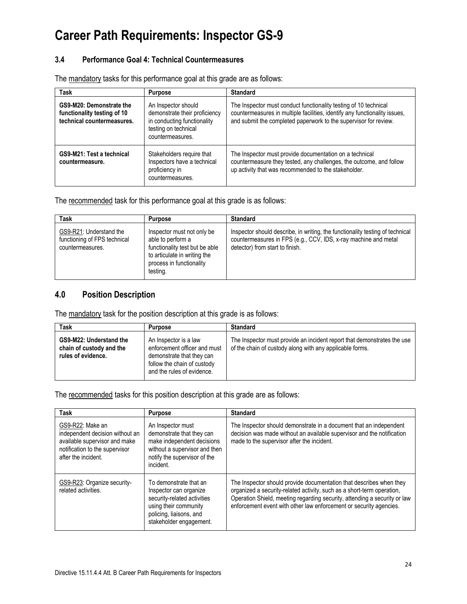#### **3.4 Performance Goal 4: Technical Countermeasures**

| Task                                                                                  | <b>Purpose</b>                                                                                                                  | <b>Standard</b>                                                                                                                                                                                                    |
|---------------------------------------------------------------------------------------|---------------------------------------------------------------------------------------------------------------------------------|--------------------------------------------------------------------------------------------------------------------------------------------------------------------------------------------------------------------|
| GS9-M20: Demonstrate the<br>functionality testing of 10<br>technical countermeasures. | An Inspector should<br>demonstrate their proficiency<br>in conducting functionality<br>testing on technical<br>countermeasures. | The Inspector must conduct functionality testing of 10 technical<br>countermeasures in multiple facilities, identify any functionality issues,<br>and submit the completed paperwork to the supervisor for review. |
| <b>GS9-M21: Test a technical</b><br>countermeasure.                                   | Stakeholders require that<br>Inspectors have a technical<br>proficiency in<br>countermeasures.                                  | The Inspector must provide documentation on a technical<br>countermeasure they tested, any challenges, the outcome, and follow<br>up activity that was recommended to the stakeholder.                             |

The mandatory tasks for this performance goal at this grade are as follows:

The recommended task for this performance goal at this grade is as follows:

| Task                                                                        | <b>Purpose</b>                                                                                                                                            | <b>Standard</b>                                                                                                                                                                     |
|-----------------------------------------------------------------------------|-----------------------------------------------------------------------------------------------------------------------------------------------------------|-------------------------------------------------------------------------------------------------------------------------------------------------------------------------------------|
| GS9-R21: Understand the<br>functioning of FPS technical<br>countermeasures. | Inspector must not only be<br>able to perform a<br>functionality test but be able<br>to articulate in writing the<br>process in functionality<br>testing. | Inspector should describe, in writing, the functionality testing of technical<br>countermeasures in FPS (e.g., CCV, IDS, x-ray machine and metal<br>detector) from start to finish. |

### **4.0 Position Description**

The mandatory task for the position description at this grade is as follows:

| <b>Task</b>                                                               | <b>Purpose</b>                                                                                                                                  | <b>Standard</b>                                                                                                                     |
|---------------------------------------------------------------------------|-------------------------------------------------------------------------------------------------------------------------------------------------|-------------------------------------------------------------------------------------------------------------------------------------|
| GS9-M22: Understand the<br>chain of custody and the<br>rules of evidence. | An Inspector is a law<br>enforcement officer and must<br>demonstrate that they can<br>follow the chain of custody<br>and the rules of evidence. | The Inspector must provide an incident report that demonstrates the use<br>of the chain of custody along with any applicable forms. |

The recommended tasks for this position description at this grade are as follows:

| <b>Task</b>                                                                                                                                   | <b>Purpose</b>                                                                                                                                                 | <b>Standard</b>                                                                                                                                                                                                                                                                                  |
|-----------------------------------------------------------------------------------------------------------------------------------------------|----------------------------------------------------------------------------------------------------------------------------------------------------------------|--------------------------------------------------------------------------------------------------------------------------------------------------------------------------------------------------------------------------------------------------------------------------------------------------|
| GS9-R22: Make an<br>independent decision without an<br>available supervisor and make<br>notification to the supervisor<br>after the incident. | An Inspector must<br>demonstrate that they can<br>make independent decisions<br>without a supervisor and then<br>notify the supervisor of the<br>incident.     | The Inspector should demonstrate in a document that an independent<br>decision was made without an available supervisor and the notification<br>made to the supervisor after the incident.                                                                                                       |
| GS9-R23: Organize security-<br>related activities.                                                                                            | To demonstrate that an<br>Inspector can organize<br>security-related activities<br>using their community<br>policing, liaisons, and<br>stakeholder engagement. | The Inspector should provide documentation that describes when they<br>organized a security-related activity, such as a short-term operation,<br>Operation Shield, meeting regarding security, attending a security or law<br>enforcement event with other law enforcement or security agencies. |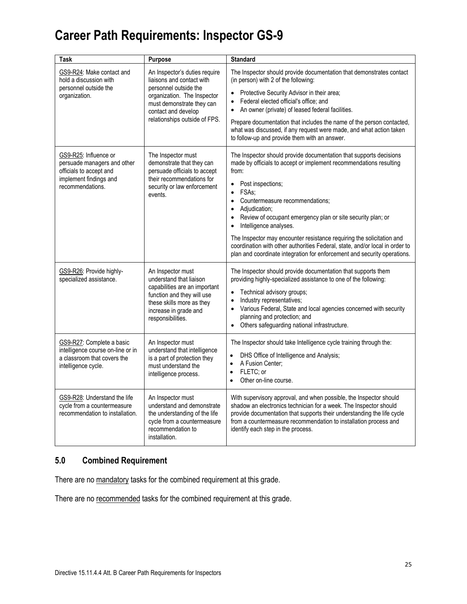| Task                                                                                                                          | Purpose                                                                                                                                                                                                 | <b>Standard</b>                                                                                                                                                                                                                                                                                                                                                                                                                                                                                                                                                                                                                    |
|-------------------------------------------------------------------------------------------------------------------------------|---------------------------------------------------------------------------------------------------------------------------------------------------------------------------------------------------------|------------------------------------------------------------------------------------------------------------------------------------------------------------------------------------------------------------------------------------------------------------------------------------------------------------------------------------------------------------------------------------------------------------------------------------------------------------------------------------------------------------------------------------------------------------------------------------------------------------------------------------|
| GS9-R24: Make contact and<br>hold a discussion with<br>personnel outside the<br>organization.                                 | An Inspector's duties require<br>liaisons and contact with<br>personnel outside the<br>organization. The Inspector<br>must demonstrate they can<br>contact and develop<br>relationships outside of FPS. | The Inspector should provide documentation that demonstrates contact<br>(in person) with 2 of the following:<br>Protective Security Advisor in their area;<br>Federal elected official's office; and<br>$\bullet$<br>An owner (private) of leased federal facilities.<br>$\bullet$<br>Prepare documentation that includes the name of the person contacted,<br>what was discussed, if any request were made, and what action taken<br>to follow-up and provide them with an answer.                                                                                                                                                |
| GS9-R25: Influence or<br>persuade managers and other<br>officials to accept and<br>implement findings and<br>recommendations. | The Inspector must<br>demonstrate that they can<br>persuade officials to accept<br>their recommendations for<br>security or law enforcement<br>events.                                                  | The Inspector should provide documentation that supports decisions<br>made by officials to accept or implement recommendations resulting<br>from:<br>Post inspections;<br>FSAs:<br>$\bullet$<br>Countermeasure recommendations;<br>$\bullet$<br>Adjudication;<br>$\bullet$<br>Review of occupant emergency plan or site security plan; or<br>$\bullet$<br>Intelligence analyses.<br>$\bullet$<br>The Inspector may encounter resistance requiring the solicitation and<br>coordination with other authorities Federal, state, and/or local in order to<br>plan and coordinate integration for enforcement and security operations. |
| GS9-R26: Provide highly-<br>specialized assistance.                                                                           | An Inspector must<br>understand that liaison<br>capabilities are an important<br>function and they will use<br>these skills more as they<br>increase in grade and<br>responsibilities.                  | The Inspector should provide documentation that supports them<br>providing highly-specialized assistance to one of the following:<br>Technical advisory groups;<br>$\bullet$<br>Industry representatives;<br>$\bullet$<br>Various Federal, State and local agencies concerned with security<br>$\bullet$<br>planning and protection; and<br>Others safeguarding national infrastructure.<br>$\bullet$                                                                                                                                                                                                                              |
| GS9-R27: Complete a basic<br>intelligence course on-line or in<br>a classroom that covers the<br>intelligence cycle.          | An Inspector must<br>understand that intelligence<br>is a part of protection they<br>must understand the<br>intelligence process.                                                                       | The Inspector should take Intelligence cycle training through the:<br>DHS Office of Intelligence and Analysis;<br>A Fusion Center;<br>$\bullet$<br>FLETC; or<br>$\bullet$<br>Other on-line course.<br>$\bullet$                                                                                                                                                                                                                                                                                                                                                                                                                    |
| GS9-R28: Understand the life<br>cycle from a countermeasure<br>recommendation to installation.                                | An Inspector must<br>understand and demonstrate<br>the understanding of the life<br>cycle from a countermeasure<br>recommendation to<br>installation.                                                   | With supervisory approval, and when possible, the Inspector should<br>shadow an electronics technician for a week. The Inspector should<br>provide documentation that supports their understanding the life cycle<br>from a countermeasure recommendation to installation process and<br>identify each step in the process.                                                                                                                                                                                                                                                                                                        |

### **5.0 Combined Requirement**

There are no mandatory tasks for the combined requirement at this grade.

There are no recommended tasks for the combined requirement at this grade.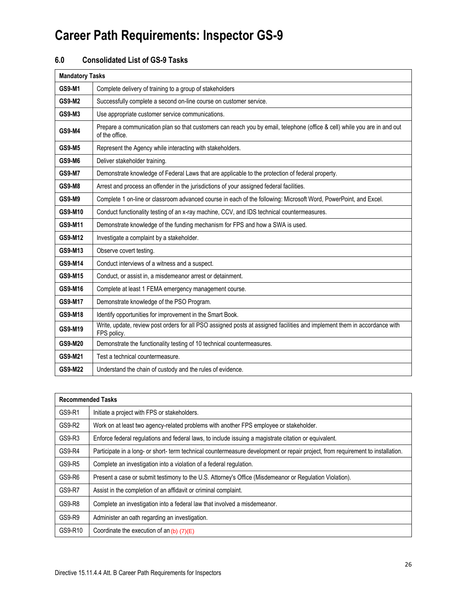### **6.0 Consolidated List of GS-9 Tasks**

| <b>Mandatory Tasks</b> |                                                                                                                                             |
|------------------------|---------------------------------------------------------------------------------------------------------------------------------------------|
| <b>GS9-M1</b>          | Complete delivery of training to a group of stakeholders                                                                                    |
| <b>GS9-M2</b>          | Successfully complete a second on-line course on customer service.                                                                          |
| <b>GS9-M3</b>          | Use appropriate customer service communications.                                                                                            |
| <b>GS9-M4</b>          | Prepare a communication plan so that customers can reach you by email, telephone (office & cell) while you are in and out<br>of the office. |
| <b>GS9-M5</b>          | Represent the Agency while interacting with stakeholders.                                                                                   |
| <b>GS9-M6</b>          | Deliver stakeholder training.                                                                                                               |
| <b>GS9-M7</b>          | Demonstrate knowledge of Federal Laws that are applicable to the protection of federal property.                                            |
| <b>GS9-M8</b>          | Arrest and process an offender in the jurisdictions of your assigned federal facilities.                                                    |
| <b>GS9-M9</b>          | Complete 1 on-line or classroom advanced course in each of the following: Microsoft Word, PowerPoint, and Excel.                            |
| GS9-M10                | Conduct functionality testing of an x-ray machine, CCV, and IDS technical countermeasures.                                                  |
| GS9-M11                | Demonstrate knowledge of the funding mechanism for FPS and how a SWA is used.                                                               |
| GS9-M12                | Investigate a complaint by a stakeholder.                                                                                                   |
| GS9-M13                | Observe covert testing.                                                                                                                     |
| GS9-M14                | Conduct interviews of a witness and a suspect.                                                                                              |
| GS9-M15                | Conduct, or assist in, a misdemeanor arrest or detainment.                                                                                  |
| GS9-M16                | Complete at least 1 FEMA emergency management course.                                                                                       |
| GS9-M17                | Demonstrate knowledge of the PSO Program.                                                                                                   |
| GS9-M18                | Identify opportunities for improvement in the Smart Book.                                                                                   |
| GS9-M19                | Write, update, review post orders for all PSO assigned posts at assigned facilities and implement them in accordance with<br>FPS policy.    |
| GS9-M20                | Demonstrate the functionality testing of 10 technical countermeasures.                                                                      |
| GS9-M21                | Test a technical countermeasure.                                                                                                            |
| GS9-M22                | Understand the chain of custody and the rules of evidence.                                                                                  |

| <b>Recommended Tasks</b> |                                                                                                                                 |
|--------------------------|---------------------------------------------------------------------------------------------------------------------------------|
| GS9-R1                   | Initiate a project with FPS or stakeholders.                                                                                    |
| GS9-R2                   | Work on at least two agency-related problems with another FPS employee or stakeholder.                                          |
| GS9-R3                   | Enforce federal regulations and federal laws, to include issuing a magistrate citation or equivalent.                           |
| GS9-R4                   | Participate in a long- or short- term technical countermeasure development or repair project, from requirement to installation. |
| GS9-R5                   | Complete an investigation into a violation of a federal regulation.                                                             |
| GS9-R6                   | Present a case or submit testimony to the U.S. Attorney's Office (Misdemeanor or Regulation Violation).                         |
| <b>GS9-R7</b>            | Assist in the completion of an affidavit or criminal complaint.                                                                 |
| GS9-R8                   | Complete an investigation into a federal law that involved a misdemeanor.                                                       |
| GS9-R9                   | Administer an oath regarding an investigation.                                                                                  |
| GS9-R10                  | Coordinate the execution of an $(b)$ $(7)(E)$                                                                                   |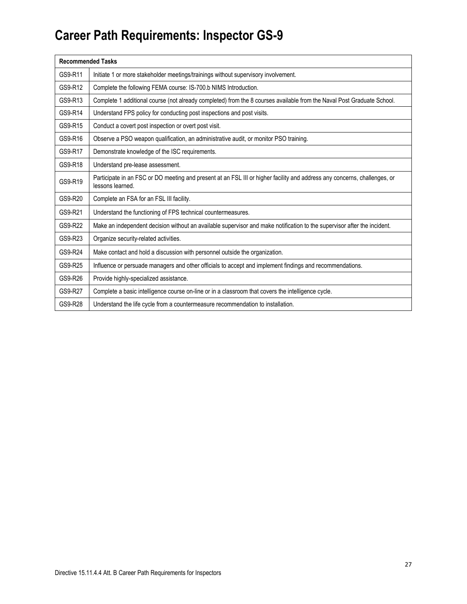| <b>Recommended Tasks</b> |                                                                                                                                               |  |
|--------------------------|-----------------------------------------------------------------------------------------------------------------------------------------------|--|
| GS9-R11                  | Initiate 1 or more stakeholder meetings/trainings without supervisory involvement.                                                            |  |
| GS9-R12                  | Complete the following FEMA course: IS-700.b NIMS Introduction.                                                                               |  |
| GS9-R13                  | Complete 1 additional course (not already completed) from the 8 courses available from the Naval Post Graduate School.                        |  |
| GS9-R14                  | Understand FPS policy for conducting post inspections and post visits.                                                                        |  |
| GS9-R15                  | Conduct a covert post inspection or overt post visit.                                                                                         |  |
| GS9-R16                  | Observe a PSO weapon qualification, an administrative audit, or monitor PSO training.                                                         |  |
| GS9-R17                  | Demonstrate knowledge of the ISC requirements.                                                                                                |  |
| GS9-R18                  | Understand pre-lease assessment.                                                                                                              |  |
| GS9-R19                  | Participate in an FSC or DO meeting and present at an FSL III or higher facility and address any concerns, challenges, or<br>lessons learned. |  |
| GS9-R20                  | Complete an FSA for an FSL III facility.                                                                                                      |  |
| GS9-R21                  | Understand the functioning of FPS technical countermeasures.                                                                                  |  |
| GS9-R22                  | Make an independent decision without an available supervisor and make notification to the supervisor after the incident.                      |  |
| GS9-R23                  | Organize security-related activities.                                                                                                         |  |
| GS9-R24                  | Make contact and hold a discussion with personnel outside the organization.                                                                   |  |
| GS9-R25                  | Influence or persuade managers and other officials to accept and implement findings and recommendations.                                      |  |
| GS9-R26                  | Provide highly-specialized assistance.                                                                                                        |  |
| GS9-R27                  | Complete a basic intelligence course on-line or in a classroom that covers the intelligence cycle.                                            |  |
| GS9-R28                  | Understand the life cycle from a countermeasure recommendation to installation.                                                               |  |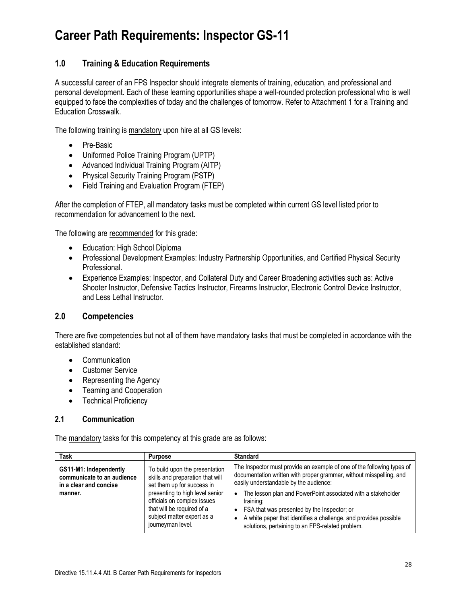### **1.0 Training & Education Requirements**

A successful career of an FPS Inspector should integrate elements of training, education, and professional and personal development. Each of these learning opportunities shape a well-rounded protection professional who is well equipped to face the complexities of today and the challenges of tomorrow. Refer to Attachment 1 for a Training and Education Crosswalk.

The following training is mandatory upon hire at all GS levels:

- Pre-Basic
- Uniformed Police Training Program (UPTP)
- Advanced Individual Training Program (AITP)
- Physical Security Training Program (PSTP)
- Field Training and Evaluation Program (FTEP)

After the completion of FTEP, all mandatory tasks must be completed within current GS level listed prior to recommendation for advancement to the next.

The following are recommended for this grade:

- Education: High School Diploma
- Professional Development Examples: Industry Partnership Opportunities, and Certified Physical Security Professional.
- Experience Examples: Inspector, and Collateral Duty and Career Broadening activities such as: Active Shooter Instructor, Defensive Tactics Instructor, Firearms Instructor, Electronic Control Device Instructor, and Less Lethal Instructor.

#### **2.0 Competencies**

There are five competencies but not all of them have mandatory tasks that must be completed in accordance with the established standard:

- Communication
- Customer Service
- Representing the Agency
- Teaming and Cooperation
- Technical Proficiency

#### **2.1 Communication**

The mandatory tasks for this competency at this grade are as follows:

| <b>Task</b>                                                                               | <b>Purpose</b>                                                                                                                                                                                                                                      | <b>Standard</b>                                                                                                                                                                                                                                                                                                                                                                                                                                                                    |
|-------------------------------------------------------------------------------------------|-----------------------------------------------------------------------------------------------------------------------------------------------------------------------------------------------------------------------------------------------------|------------------------------------------------------------------------------------------------------------------------------------------------------------------------------------------------------------------------------------------------------------------------------------------------------------------------------------------------------------------------------------------------------------------------------------------------------------------------------------|
| GS11-M1: Independently<br>communicate to an audience<br>in a clear and concise<br>manner. | To build upon the presentation<br>skills and preparation that will<br>set them up for success in<br>presenting to high level senior<br>officials on complex issues<br>that will be required of a<br>subject matter expert as a<br>journeyman level. | The Inspector must provide an example of one of the following types of<br>documentation written with proper grammar, without misspelling, and<br>easily understandable by the audience:<br>The lesson plan and PowerPoint associated with a stakeholder<br>$\bullet$<br>training;<br>FSA that was presented by the Inspector; or<br>$\bullet$<br>A white paper that identifies a challenge, and provides possible<br>$\bullet$<br>solutions, pertaining to an FPS-related problem. |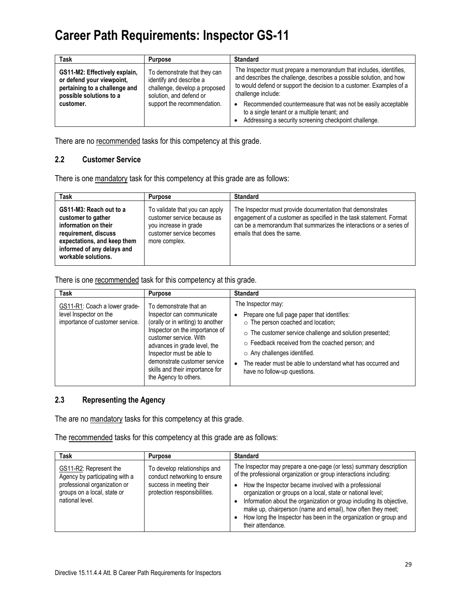| Task                                                                                                                                | <b>Purpose</b>                                                                                                                                     | <b>Standard</b>                                                                                                                                                                                                                                                                                                                                                                                                               |
|-------------------------------------------------------------------------------------------------------------------------------------|----------------------------------------------------------------------------------------------------------------------------------------------------|-------------------------------------------------------------------------------------------------------------------------------------------------------------------------------------------------------------------------------------------------------------------------------------------------------------------------------------------------------------------------------------------------------------------------------|
| GS11-M2: Effectively explain,<br>or defend your viewpoint,<br>pertaining to a challenge and<br>possible solutions to a<br>customer. | To demonstrate that they can<br>identify and describe a<br>challenge, develop a proposed<br>solution, and defend or<br>support the recommendation. | The Inspector must prepare a memorandum that includes, identifies,<br>and describes the challenge, describes a possible solution, and how<br>to would defend or support the decision to a customer. Examples of a<br>challenge include:<br>Recommended countermeasure that was not be easily acceptable<br>$\bullet$<br>to a single tenant or a multiple tenant; and<br>Addressing a security screening checkpoint challenge. |

There are no recommended tasks for this competency at this grade.

#### **2.2 Customer Service**

There is one mandatory task for this competency at this grade are as follows:

| Task                                                                                                                                                                              | <b>Purpose</b>                                                                                                                      | <b>Standard</b>                                                                                                                                                                                                                        |
|-----------------------------------------------------------------------------------------------------------------------------------------------------------------------------------|-------------------------------------------------------------------------------------------------------------------------------------|----------------------------------------------------------------------------------------------------------------------------------------------------------------------------------------------------------------------------------------|
| GS11-M3: Reach out to a<br>customer to gather<br>information on their<br>requirement, discuss<br>expectations, and keep them<br>informed of any delays and<br>workable solutions. | To validate that you can apply<br>customer service because as<br>you increase in grade<br>customer service becomes<br>more complex. | The Inspector must provide documentation that demonstrates<br>engagement of a customer as specified in the task statement. Format<br>can be a memorandum that summarizes the interactions or a series of<br>emails that does the same. |

There is one recommended task for this competency at this grade.

| <b>Task</b>                                                                                | <b>Purpose</b>                                                                                                                                                                                                                                                                                                | <b>Standard</b>                                                                                                                                                                                                                                                                                                                                                            |
|--------------------------------------------------------------------------------------------|---------------------------------------------------------------------------------------------------------------------------------------------------------------------------------------------------------------------------------------------------------------------------------------------------------------|----------------------------------------------------------------------------------------------------------------------------------------------------------------------------------------------------------------------------------------------------------------------------------------------------------------------------------------------------------------------------|
| GS11-R1: Coach a lower grade-<br>level Inspector on the<br>importance of customer service. | To demonstrate that an<br>Inspector can communicate<br>(orally or in writing) to another<br>Inspector on the importance of<br>customer service. With<br>advances in grade level, the<br>Inspector must be able to<br>demonstrate customer service<br>skills and their importance for<br>the Agency to others. | The Inspector may:<br>Prepare one full page paper that identifies:<br>o The person coached and location;<br>o The customer service challenge and solution presented;<br>$\circ$ Feedback received from the coached person; and<br>o Any challenges identified.<br>The reader must be able to understand what has occurred and<br>$\bullet$<br>have no follow-up questions. |

### **2.3 Representing the Agency**

The are no mandatory tasks for this competency at this grade.

The recommended tasks for this competency at this grade are as follows:

| Task                                                                                                                                       | <b>Purpose</b>                                                                                                           | <b>Standard</b>                                                                                                                                                                                                                                                                                                                                                                                                                                                                                                           |
|--------------------------------------------------------------------------------------------------------------------------------------------|--------------------------------------------------------------------------------------------------------------------------|---------------------------------------------------------------------------------------------------------------------------------------------------------------------------------------------------------------------------------------------------------------------------------------------------------------------------------------------------------------------------------------------------------------------------------------------------------------------------------------------------------------------------|
| GS11-R2: Represent the<br>Agency by participating with a<br>professional organization or<br>groups on a local, state or<br>national level. | To develop relationships and<br>conduct networking to ensure<br>success in meeting their<br>protection responsibilities. | The Inspector may prepare a one-page (or less) summary description<br>of the professional organization or group interactions including:<br>How the Inspector became involved with a professional<br>$\bullet$<br>organization or groups on a local, state or national level;<br>Information about the organization or group including its objective,<br>make up, chairperson (name and email), how often they meet;<br>How long the Inspector has been in the organization or group and<br>$\bullet$<br>their attendance. |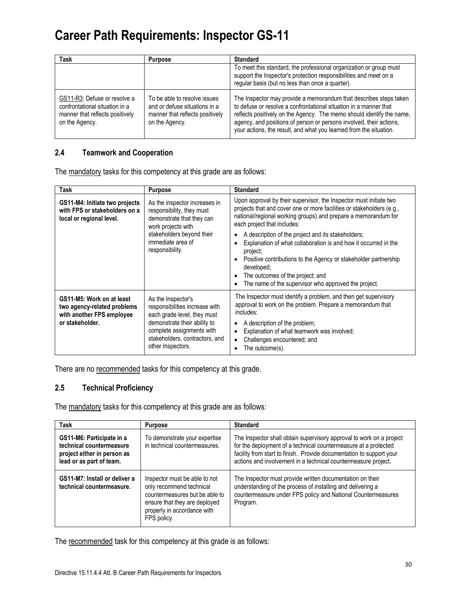| Task                                                                                                                | Purpose                                                                                                            | <b>Standard</b>                                                                                                                                                                                                                                                                                                                                              |
|---------------------------------------------------------------------------------------------------------------------|--------------------------------------------------------------------------------------------------------------------|--------------------------------------------------------------------------------------------------------------------------------------------------------------------------------------------------------------------------------------------------------------------------------------------------------------------------------------------------------------|
|                                                                                                                     |                                                                                                                    | To meet this standard, the professional organization or group must<br>support the Inspector's protection responsibilities and meet on a<br>regular basis (but no less than once a quarter).                                                                                                                                                                  |
| GS11-R3: Defuse or resolve a<br>confrontational situation in a<br>manner that reflects positively<br>on the Agency. | To be able to resolve issues<br>and or defuse situations in a<br>manner that reflects positively<br>on the Agency. | The Inspector may provide a memorandum that describes steps taken<br>to defuse or resolve a confrontational situation in a manner that<br>reflects positively on the Agency. The memo should identify the name,<br>agency, and positions of person or persons involved, their actions,<br>your actions, the result, and what you learned from the situation. |

#### **2.4 Teamwork and Cooperation**

The mandatory tasks for this competency at this grade are as follows:

| Task                                                                                                     | <b>Purpose</b>                                                                                                                                                                                          | <b>Standard</b>                                                                                                                                                                                                                                                                                                                                                                                                                                                                                                                                                                          |
|----------------------------------------------------------------------------------------------------------|---------------------------------------------------------------------------------------------------------------------------------------------------------------------------------------------------------|------------------------------------------------------------------------------------------------------------------------------------------------------------------------------------------------------------------------------------------------------------------------------------------------------------------------------------------------------------------------------------------------------------------------------------------------------------------------------------------------------------------------------------------------------------------------------------------|
| GS11-M4: Initiate two projects<br>with FPS or stakeholders on a<br>local or regional level.              | As the inspector increases in<br>responsibility, they must<br>demonstrate that they can<br>work projects with<br>stakeholders beyond their<br>immediate area of<br>responsibility.                      | Upon approval by their supervisor, the Inspector must initiate two<br>projects that and cover one or more facilities or stakeholders (e.g.,<br>national/regional working groups) and prepare a memorandum for<br>each project that includes:<br>A description of the project and its stakeholders;<br>$\bullet$<br>Explanation of what collaboration is and how it occurred in the<br>project;<br>Positive contributions to the Agency or stakeholder partnership<br>developed:<br>The outcomes of the project; and<br>$\bullet$<br>The name of the supervisor who approved the project. |
| GS11-M5: Work on at least<br>two agency-related problems<br>with another FPS employee<br>or stakeholder. | As the Inspector's<br>responsibilities increase with<br>each grade level, they must<br>demonstrate their ability to<br>complete assignments with<br>stakeholders, contractors, and<br>other Inspectors. | The Inspector must identify a problem, and then get supervisory<br>approval to work on the problem. Prepare a memorandum that<br>includes:<br>A description of the problem;<br>$\bullet$<br>Explanation of what teamwork was involved;<br>Challenges encountered; and<br>$\bullet$<br>The outcome(s).                                                                                                                                                                                                                                                                                    |

There are no recommended tasks for this competency at this grade.

### **2.5 Technical Proficiency**

The mandatory tasks for this competency at this grade are as follows:

| Task                                                                                                             | <b>Purpose</b>                                                                                                                                                             | <b>Standard</b>                                                                                                                                                                                                                                                                   |
|------------------------------------------------------------------------------------------------------------------|----------------------------------------------------------------------------------------------------------------------------------------------------------------------------|-----------------------------------------------------------------------------------------------------------------------------------------------------------------------------------------------------------------------------------------------------------------------------------|
| GS11-M6: Participate in a<br>technical countermeasure<br>project either in person as<br>lead or as part of team. | To demonstrate your expertise<br>in technical countermeasures.                                                                                                             | The Inspector shall obtain supervisory approval to work on a project<br>for the deployment of a technical countermeasure at a protected<br>facility from start to finish. Provide documentation to support your<br>actions and involvement in a technical countermeasure project. |
| GS11-M7: Install or deliver a<br>technical countermeasure.                                                       | Inspector must be able to not<br>only recommend technical<br>countermeasures but be able to<br>ensure that they are deployed<br>properly in accordance with<br>FPS policy. | The Inspector must provide written documentation on their<br>understanding of the process of installing and delivering a<br>countermeasure under FPS policy and National Countermeasures<br>Program.                                                                              |

The recommended task for this competency at this grade is as follows: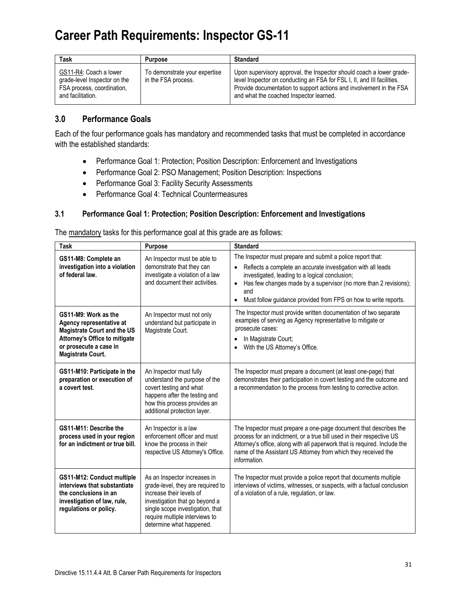| Task                                                                                                      | <b>Purpose</b>                                       | <b>Standard</b>                                                                                                                                                                                                                                                   |
|-----------------------------------------------------------------------------------------------------------|------------------------------------------------------|-------------------------------------------------------------------------------------------------------------------------------------------------------------------------------------------------------------------------------------------------------------------|
| GS11-R4: Coach a lower<br>grade-level Inspector on the<br>FSA process, coordination,<br>and facilitation. | To demonstrate your expertise<br>in the FSA process. | Upon supervisory approval, the Inspector should coach a lower grade-<br>level Inspector on conducting an FSA for FSL I, II, and III facilities.<br>Provide documentation to support actions and involvement in the FSA<br>and what the coached Inspector learned. |

### **3.0 Performance Goals**

Each of the four performance goals has mandatory and recommended tasks that must be completed in accordance with the established standards:

- Performance Goal 1: Protection; Position Description: Enforcement and Investigations
- Performance Goal 2: PSO Management; Position Description: Inspections
- Performance Goal 3: Facility Security Assessments
- Performance Goal 4: Technical Countermeasures

#### **3.1 Performance Goal 1: Protection; Position Description: Enforcement and Investigations**

The mandatory tasks for this performance goal at this grade are as follows:

| <b>Task</b>                                                                                                                                                                   | Purpose                                                                                                                                                                                                                           | <b>Standard</b>                                                                                                                                                                                                                                                                                                                                                    |
|-------------------------------------------------------------------------------------------------------------------------------------------------------------------------------|-----------------------------------------------------------------------------------------------------------------------------------------------------------------------------------------------------------------------------------|--------------------------------------------------------------------------------------------------------------------------------------------------------------------------------------------------------------------------------------------------------------------------------------------------------------------------------------------------------------------|
| GS11-M8: Complete an<br>investigation into a violation<br>of federal law.                                                                                                     | An Inspector must be able to<br>demonstrate that they can<br>investigate a violation of a law<br>and document their activities.                                                                                                   | The Inspector must prepare and submit a police report that:<br>Reflects a complete an accurate investigation with all leads<br>$\bullet$<br>investigated, leading to a logical conclusion;<br>Has few changes made by a supervisor (no more than 2 revisions);<br>$\bullet$<br>and<br>Must follow guidance provided from FPS on how to write reports.<br>$\bullet$ |
| GS11-M9: Work as the<br>Agency representative at<br><b>Magistrate Court and the US</b><br>Attorney's Office to mitigate<br>or prosecute a case in<br><b>Magistrate Court.</b> | An Inspector must not only<br>understand but participate in<br>Magistrate Court.                                                                                                                                                  | The Inspector must provide written documentation of two separate<br>examples of serving as Agency representative to mitigate or<br>prosecute cases:<br>In Magistrate Court;<br>$\bullet$<br>With the US Attorney's Office.                                                                                                                                         |
| GS11-M10: Participate in the<br>preparation or execution of<br>a covert test.                                                                                                 | An Inspector must fully<br>understand the purpose of the<br>covert testing and what<br>happens after the testing and<br>how this process provides an<br>additional protection layer.                                              | The Inspector must prepare a document (at least one-page) that<br>demonstrates their participation in covert testing and the outcome and<br>a recommendation to the process from testing to corrective action.                                                                                                                                                     |
| GS11-M11: Describe the<br>process used in your region<br>for an indictment or true bill.                                                                                      | An Inspector is a law<br>enforcement officer and must<br>know the process in their<br>respective US Attorney's Office.                                                                                                            | The Inspector must prepare a one-page document that describes the<br>process for an indictment, or a true bill used in their respective US<br>Attorney's office, along with all paperwork that is required. Include the<br>name of the Assistant US Attorney from which they received the<br>information.                                                          |
| GS11-M12: Conduct multiple<br>interviews that substantiate<br>the conclusions in an<br>investigation of law, rule,<br>regulations or policy.                                  | As an Inspector increases in<br>grade-level, they are required to<br>increase their levels of<br>investigation that go beyond a<br>single scope investigation, that<br>require multiple interviews to<br>determine what happened. | The Inspector must provide a police report that documents multiple<br>interviews of victims, witnesses, or suspects, with a factual conclusion<br>of a violation of a rule, regulation, or law.                                                                                                                                                                    |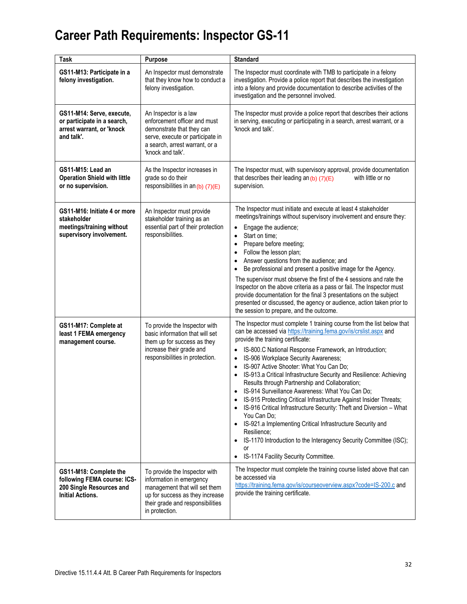| Task                                                                                                         | Purpose                                                                                                                                                                             | <b>Standard</b>                                                                                                                                                                                                                                                                                                                                                                                                                                                                                                                                                                                                                                                                                                                                                                                                                                                                                                                                                               |
|--------------------------------------------------------------------------------------------------------------|-------------------------------------------------------------------------------------------------------------------------------------------------------------------------------------|-------------------------------------------------------------------------------------------------------------------------------------------------------------------------------------------------------------------------------------------------------------------------------------------------------------------------------------------------------------------------------------------------------------------------------------------------------------------------------------------------------------------------------------------------------------------------------------------------------------------------------------------------------------------------------------------------------------------------------------------------------------------------------------------------------------------------------------------------------------------------------------------------------------------------------------------------------------------------------|
| GS11-M13: Participate in a<br>felony investigation.                                                          | An Inspector must demonstrate<br>that they know how to conduct a<br>felony investigation.                                                                                           | The Inspector must coordinate with TMB to participate in a felony<br>investigation. Provide a police report that describes the investigation<br>into a felony and provide documentation to describe activities of the<br>investigation and the personnel involved.                                                                                                                                                                                                                                                                                                                                                                                                                                                                                                                                                                                                                                                                                                            |
| GS11-M14: Serve, execute,<br>or participate in a search,<br>arrest warrant, or 'knock<br>and talk'.          | An Inspector is a law<br>enforcement officer and must<br>demonstrate that they can<br>serve, execute or participate in<br>a search, arrest warrant, or a<br>'knock and talk'.       | The Inspector must provide a police report that describes their actions<br>in serving, executing or participating in a search, arrest warrant, or a<br>'knock and talk'.                                                                                                                                                                                                                                                                                                                                                                                                                                                                                                                                                                                                                                                                                                                                                                                                      |
| GS11-M15: Lead an<br><b>Operation Shield with little</b><br>or no supervision.                               | As the Inspector increases in<br>grade so do their<br>responsibilities in an $(b)$ (7)(E)                                                                                           | The Inspector must, with supervisory approval, provide documentation<br>that describes their leading an $(b)$ $(7)(E)$<br>with little or no<br>supervision.                                                                                                                                                                                                                                                                                                                                                                                                                                                                                                                                                                                                                                                                                                                                                                                                                   |
| GS11-M16: Initiate 4 or more<br>stakeholder<br>meetings/training without<br>supervisory involvement.         | An Inspector must provide<br>stakeholder training as an<br>essential part of their protection<br>responsibilities.                                                                  | The Inspector must initiate and execute at least 4 stakeholder<br>meetings/trainings without supervisory involvement and ensure they:<br>Engage the audience;<br>$\bullet$<br>Start on time;<br>$\bullet$<br>Prepare before meeting;<br>$\bullet$<br>Follow the lesson plan;<br>$\bullet$<br>Answer questions from the audience; and<br>$\bullet$<br>Be professional and present a positive image for the Agency.<br>$\bullet$<br>The supervisor must observe the first of the 4 sessions and rate the<br>Inspector on the above criteria as a pass or fail. The Inspector must<br>provide documentation for the final 3 presentations on the subject<br>presented or discussed, the agency or audience, action taken prior to<br>the session to prepare, and the outcome.                                                                                                                                                                                                    |
| GS11-M17: Complete at<br>least 1 FEMA emergency<br>management course.                                        | To provide the Inspector with<br>basic information that will set<br>them up for success as they<br>increase their grade and<br>responsibilities in protection.                      | The Inspector must complete 1 training course from the list below that<br>can be accessed via https://training.fema.gov/is/crslist.aspx and<br>provide the training certificate:<br>IS-800.C National Response Framework, an Introduction;<br>$\bullet$<br>IS-906 Workplace Security Awareness;<br>$\bullet$<br>IS-907 Active Shooter: What You Can Do;<br>$\bullet$<br>IS-913.a Critical Infrastructure Security and Resilience: Achieving<br>$\bullet$<br>Results through Partnership and Collaboration;<br>IS-914 Surveillance Awareness: What You Can Do;<br>$\bullet$<br>IS-915 Protecting Critical Infrastructure Against Insider Threats;<br>$\bullet$<br>IS-916 Critical Infrastructure Security: Theft and Diversion - What<br>You Can Do;<br>IS-921.a Implementing Critical Infrastructure Security and<br>Resilience:<br>IS-1170 Introduction to the Interagency Security Committee (ISC);<br>$\bullet$<br>or<br>IS-1174 Facility Security Committee.<br>$\bullet$ |
| GS11-M18: Complete the<br>following FEMA course: ICS-<br>200 Single Resources and<br><b>Initial Actions.</b> | To provide the Inspector with<br>information in emergency<br>management that will set them<br>up for success as they increase<br>their grade and responsibilities<br>in protection. | The Inspector must complete the training course listed above that can<br>be accessed via<br>https://training.fema.gov/is/courseoverview.aspx?code=IS-200.c and<br>provide the training certificate.                                                                                                                                                                                                                                                                                                                                                                                                                                                                                                                                                                                                                                                                                                                                                                           |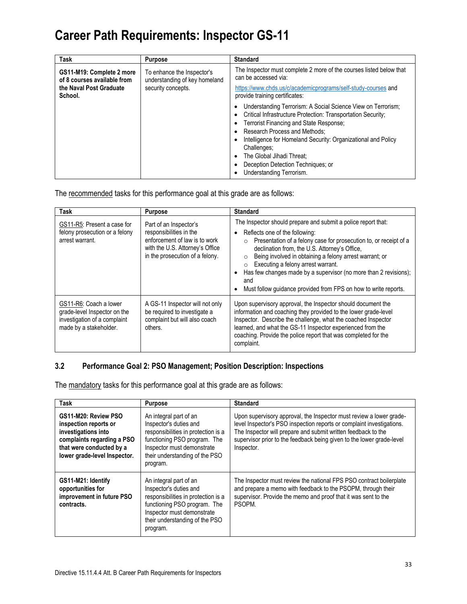| <b>Task</b>                                              | <b>Purpose</b>                                              | <b>Standard</b>                                                                                                                                                                                                                                                                                                                                                                                                                 |
|----------------------------------------------------------|-------------------------------------------------------------|---------------------------------------------------------------------------------------------------------------------------------------------------------------------------------------------------------------------------------------------------------------------------------------------------------------------------------------------------------------------------------------------------------------------------------|
| GS11-M19: Complete 2 more<br>of 8 courses available from | To enhance the Inspector's<br>understanding of key homeland | The Inspector must complete 2 more of the courses listed below that<br>can be accessed via:                                                                                                                                                                                                                                                                                                                                     |
| the Naval Post Graduate<br>School.                       | security concepts.                                          | https://www.chds.us/c/academicprograms/self-study-courses and<br>provide training certificates:                                                                                                                                                                                                                                                                                                                                 |
|                                                          |                                                             | Understanding Terrorism: A Social Science View on Terrorism;<br>٠<br>Critical Infrastructure Protection: Transportation Security;<br>٠<br>Terrorist Financing and State Response;<br>٠<br><b>Research Process and Methods:</b><br>Intelligence for Homeland Security: Organizational and Policy<br>Challenges:<br>The Global Jihadi Threat:<br>$\bullet$<br>Deception Detection Techniques; or<br>٠<br>Understanding Terrorism. |

The recommended tasks for this performance goal at this grade are as follows:

| <b>Task</b>                                                                                                      | <b>Purpose</b>                                                                                                                                           | <b>Standard</b>                                                                                                                                                                                                                                                                                                                                                                                                                                                                                                    |
|------------------------------------------------------------------------------------------------------------------|----------------------------------------------------------------------------------------------------------------------------------------------------------|--------------------------------------------------------------------------------------------------------------------------------------------------------------------------------------------------------------------------------------------------------------------------------------------------------------------------------------------------------------------------------------------------------------------------------------------------------------------------------------------------------------------|
| GS11-R5: Present a case for<br>felony prosecution or a felony<br>arrest warrant.                                 | Part of an Inspector's<br>responsibilities in the<br>enforcement of law is to work<br>with the U.S. Attorney's Office<br>in the prosecution of a felony. | The Inspector should prepare and submit a police report that:<br>Reflects one of the following:<br>$\bullet$<br>Presentation of a felony case for prosecution to, or receipt of a<br>$\circ$<br>declination from, the U.S. Attorney's Office,<br>Being involved in obtaining a felony arrest warrant; or<br>$\circ$<br>Executing a felony arrest warrant.<br>$\circ$<br>Has few changes made by a supervisor (no more than 2 revisions);<br>and<br>Must follow quidance provided from FPS on how to write reports. |
| GS11-R6: Coach a lower<br>grade-level Inspector on the<br>investigation of a complaint<br>made by a stakeholder. | A GS-11 Inspector will not only<br>be required to investigate a<br>complaint but will also coach<br>others.                                              | Upon supervisory approval, the Inspector should document the<br>information and coaching they provided to the lower grade-level<br>Inspector. Describe the challenge, what the coached Inspector<br>learned, and what the GS-11 Inspector experienced from the<br>coaching. Provide the police report that was completed for the<br>complaint.                                                                                                                                                                     |

#### **3.2 Performance Goal 2: PSO Management; Position Description: Inspections**

The mandatory tasks for this performance goal at this grade are as follows:

| <b>Task</b>                                                                                                                                                    | <b>Purpose</b>                                                                                                                                                                                      | <b>Standard</b>                                                                                                                                                                                                                                                                                      |
|----------------------------------------------------------------------------------------------------------------------------------------------------------------|-----------------------------------------------------------------------------------------------------------------------------------------------------------------------------------------------------|------------------------------------------------------------------------------------------------------------------------------------------------------------------------------------------------------------------------------------------------------------------------------------------------------|
| GS11-M20: Review PSO<br>inspection reports or<br>investigations into<br>complaints regarding a PSO<br>that were conducted by a<br>lower grade-level Inspector. | An integral part of an<br>Inspector's duties and<br>responsibilities in protection is a<br>functioning PSO program. The<br>Inspector must demonstrate<br>their understanding of the PSO<br>program. | Upon supervisory approval, the Inspector must review a lower grade-<br>level Inspector's PSO inspection reports or complaint investigations.<br>The Inspector will prepare and submit written feedback to the<br>supervisor prior to the feedback being given to the lower grade-level<br>Inspector. |
| GS11-M21: Identify<br>opportunities for<br>improvement in future PSO<br>contracts.                                                                             | An integral part of an<br>Inspector's duties and<br>responsibilities in protection is a<br>functioning PSO program. The<br>Inspector must demonstrate<br>their understanding of the PSO<br>program. | The Inspector must review the national FPS PSO contract boilerplate<br>and prepare a memo with feedback to the PSOPM, through their<br>supervisor. Provide the memo and proof that it was sent to the<br>PSOPM.                                                                                      |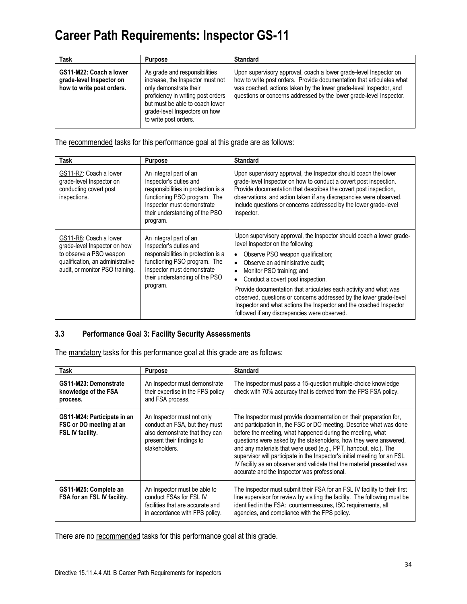| Task                                                                             | <b>Purpose</b>                                                                                                                                                                                                                 | <b>Standard</b>                                                                                                                                                                                                                                                                         |
|----------------------------------------------------------------------------------|--------------------------------------------------------------------------------------------------------------------------------------------------------------------------------------------------------------------------------|-----------------------------------------------------------------------------------------------------------------------------------------------------------------------------------------------------------------------------------------------------------------------------------------|
| GS11-M22: Coach a lower<br>grade-level Inspector on<br>how to write post orders. | As grade and responsibilities<br>increase, the Inspector must not<br>only demonstrate their<br>proficiency in writing post orders<br>but must be able to coach lower<br>grade-level Inspectors on how<br>to write post orders. | Upon supervisory approval, coach a lower grade-level Inspector on<br>how to write post orders. Provide documentation that articulates what<br>was coached, actions taken by the lower grade-level Inspector, and<br>questions or concerns addressed by the lower grade-level Inspector. |

The recommended tasks for this performance goal at this grade are as follows:

| Task                                                                                                                                                     | Purpose                                                                                                                                                                                             | <b>Standard</b>                                                                                                                                                                                                                                                                                                                                                                                                                                                                                                                                                           |
|----------------------------------------------------------------------------------------------------------------------------------------------------------|-----------------------------------------------------------------------------------------------------------------------------------------------------------------------------------------------------|---------------------------------------------------------------------------------------------------------------------------------------------------------------------------------------------------------------------------------------------------------------------------------------------------------------------------------------------------------------------------------------------------------------------------------------------------------------------------------------------------------------------------------------------------------------------------|
| GS11-R7: Coach a lower<br>grade-level Inspector on<br>conducting covert post<br>inspections.                                                             | An integral part of an<br>Inspector's duties and<br>responsibilities in protection is a<br>functioning PSO program. The<br>Inspector must demonstrate<br>their understanding of the PSO<br>program. | Upon supervisory approval, the Inspector should coach the lower<br>grade-level Inspector on how to conduct a covert post inspection.<br>Provide documentation that describes the covert post inspection,<br>observations, and action taken if any discrepancies were observed.<br>Include questions or concerns addressed by the lower grade-level<br>Inspector.                                                                                                                                                                                                          |
| GS11-R8: Coach a lower<br>grade-level Inspector on how<br>to observe a PSO weapon<br>qualification, an administrative<br>audit, or monitor PSO training. | An integral part of an<br>Inspector's duties and<br>responsibilities in protection is a<br>functioning PSO program. The<br>Inspector must demonstrate<br>their understanding of the PSO<br>program. | Upon supervisory approval, the Inspector should coach a lower grade-<br>level Inspector on the following:<br>Observe PSO weapon qualification;<br>$\bullet$<br>Observe an administrative audit:<br>$\bullet$<br>Monitor PSO training; and<br>$\bullet$<br>Conduct a covert post inspection.<br>$\bullet$<br>Provide documentation that articulates each activity and what was<br>observed, questions or concerns addressed by the lower grade-level<br>Inspector and what actions the Inspector and the coached Inspector<br>followed if any discrepancies were observed. |

#### **3.3 Performance Goal 3: Facility Security Assessments**

The mandatory tasks for this performance goal at this grade are as follows:

| Task                                                                              | <b>Purpose</b>                                                                                                                              | <b>Standard</b>                                                                                                                                                                                                                                                                                                                                                                                                                                                                                                                                          |
|-----------------------------------------------------------------------------------|---------------------------------------------------------------------------------------------------------------------------------------------|----------------------------------------------------------------------------------------------------------------------------------------------------------------------------------------------------------------------------------------------------------------------------------------------------------------------------------------------------------------------------------------------------------------------------------------------------------------------------------------------------------------------------------------------------------|
| GS11-M23: Demonstrate<br>knowledge of the FSA<br>process.                         | An Inspector must demonstrate<br>their expertise in the FPS policy<br>and FSA process.                                                      | The Inspector must pass a 15-question multiple-choice knowledge<br>check with 70% accuracy that is derived from the FPS FSA policy.                                                                                                                                                                                                                                                                                                                                                                                                                      |
| GS11-M24: Participate in an<br>FSC or DO meeting at an<br><b>FSL IV facility.</b> | An Inspector must not only<br>conduct an FSA, but they must<br>also demonstrate that they can<br>present their findings to<br>stakeholders. | The Inspector must provide documentation on their preparation for,<br>and participation in, the FSC or DO meeting. Describe what was done<br>before the meeting, what happened during the meeting, what<br>questions were asked by the stakeholders, how they were answered,<br>and any materials that were used (e.g., PPT, handout, etc.). The<br>supervisor will participate in the Inspector's initial meeting for an FSL<br>IV facility as an observer and validate that the material presented was<br>accurate and the Inspector was professional. |
| GS11-M25: Complete an<br>FSA for an FSL IV facility.                              | An Inspector must be able to<br>conduct FSAs for FSL IV<br>facilities that are accurate and<br>in accordance with FPS policy.               | The Inspector must submit their FSA for an FSL IV facility to their first<br>line supervisor for review by visiting the facility. The following must be<br>identified in the FSA: countermeasures, ISC requirements, all<br>agencies, and compliance with the FPS policy.                                                                                                                                                                                                                                                                                |

There are no recommended tasks for this performance goal at this grade.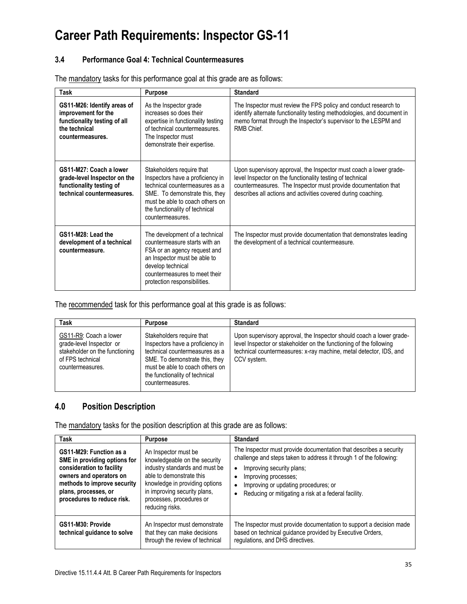#### **3.4 Performance Goal 4: Technical Countermeasures**

| <b>Task</b>                                                                                                             | <b>Purpose</b>                                                                                                                                                                                                             | <b>Standard</b>                                                                                                                                                                                                                                                    |
|-------------------------------------------------------------------------------------------------------------------------|----------------------------------------------------------------------------------------------------------------------------------------------------------------------------------------------------------------------------|--------------------------------------------------------------------------------------------------------------------------------------------------------------------------------------------------------------------------------------------------------------------|
| GS11-M26: Identify areas of<br>improvement for the<br>functionality testing of all<br>the technical<br>countermeasures. | As the Inspector grade<br>increases so does their<br>expertise in functionality testing<br>of technical countermeasures.<br>The Inspector must<br>demonstrate their expertise.                                             | The Inspector must review the FPS policy and conduct research to<br>identify alternate functionality testing methodologies, and document in<br>memo format through the Inspector's supervisor to the LESPM and<br>RMB Chief                                        |
| GS11-M27: Coach a lower<br>grade-level Inspector on the<br>functionality testing of<br>technical countermeasures.       | Stakeholders require that<br>Inspectors have a proficiency in<br>technical countermeasures as a<br>SME. To demonstrate this, they<br>must be able to coach others on<br>the functionality of technical<br>countermeasures. | Upon supervisory approval, the Inspector must coach a lower grade-<br>level Inspector on the functionality testing of technical<br>countermeasures. The Inspector must provide documentation that<br>describes all actions and activities covered during coaching. |
| GS11-M28: Lead the<br>development of a technical<br>countermeasure.                                                     | The development of a technical<br>countermeasure starts with an<br>FSA or an agency request and<br>an Inspector must be able to<br>develop technical<br>countermeasures to meet their<br>protection responsibilities.      | The Inspector must provide documentation that demonstrates leading<br>the development of a technical countermeasure.                                                                                                                                               |

The mandatory tasks for this performance goal at this grade are as follows:

The recommended task for this performance goal at this grade is as follows:

| Task                                                                                                                         | <b>Purpose</b>                                                                                                                                                                                                             | <b>Standard</b>                                                                                                                                                                                                                 |
|------------------------------------------------------------------------------------------------------------------------------|----------------------------------------------------------------------------------------------------------------------------------------------------------------------------------------------------------------------------|---------------------------------------------------------------------------------------------------------------------------------------------------------------------------------------------------------------------------------|
| GS11-R9: Coach a lower<br>grade-level Inspector or<br>stakeholder on the functioning<br>of FPS technical<br>countermeasures. | Stakeholders require that<br>Inspectors have a proficiency in<br>technical countermeasures as a<br>SME. To demonstrate this, they<br>must be able to coach others on<br>the functionality of technical<br>countermeasures. | Upon supervisory approval, the Inspector should coach a lower grade-<br>level Inspector or stakeholder on the functioning of the following<br>technical countermeasures: x-ray machine, metal detector, IDS, and<br>CCV system. |

### **4.0 Position Description**

The mandatory tasks for the position description at this grade are as follows:

| <b>Task</b>                                                                                                                                                                                          | <b>Purpose</b>                                                                                                                                                                                                                       | <b>Standard</b>                                                                                                                                                                                                                                                                                                                                    |
|------------------------------------------------------------------------------------------------------------------------------------------------------------------------------------------------------|--------------------------------------------------------------------------------------------------------------------------------------------------------------------------------------------------------------------------------------|----------------------------------------------------------------------------------------------------------------------------------------------------------------------------------------------------------------------------------------------------------------------------------------------------------------------------------------------------|
| GS11-M29: Function as a<br>SME in providing options for<br>consideration to facility<br>owners and operators on<br>methods to improve security<br>plans, processes, or<br>procedures to reduce risk. | An Inspector must be<br>knowledgeable on the security<br>industry standards and must be<br>able to demonstrate this<br>knowledge in providing options<br>in improving security plans,<br>processes, procedures or<br>reducing risks. | The Inspector must provide documentation that describes a security<br>challenge and steps taken to address it through 1 of the following:<br>Improving security plans;<br>$\bullet$<br>Improving processes;<br>$\bullet$<br>Improving or updating procedures; or<br>$\bullet$<br>Reducing or mitigating a risk at a federal facility.<br>$\bullet$ |
| GS11-M30: Provide<br>technical quidance to solve                                                                                                                                                     | An Inspector must demonstrate<br>that they can make decisions<br>through the review of technical                                                                                                                                     | The Inspector must provide documentation to support a decision made<br>based on technical guidance provided by Executive Orders,<br>regulations, and DHS directives.                                                                                                                                                                               |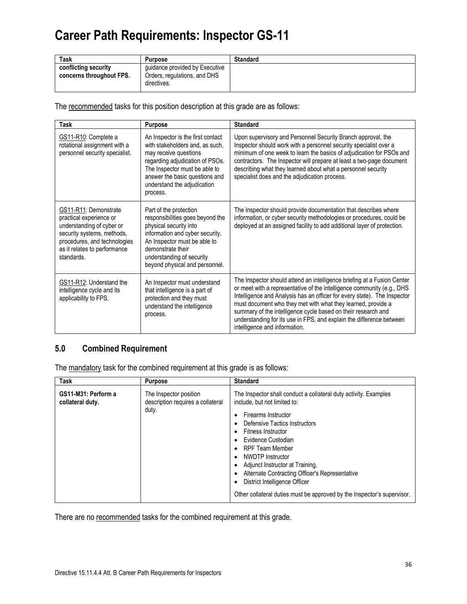| Task                                             | <b>Purpose</b>                                                                | <b>Standard</b> |
|--------------------------------------------------|-------------------------------------------------------------------------------|-----------------|
| conflicting security<br>concerns throughout FPS. | quidance provided by Executive<br>Orders, regulations, and DHS<br>directives. |                 |

The recommended tasks for this position description at this grade are as follows:

| Task                                                                                                                                                                                      | <b>Purpose</b>                                                                                                                                                                                                                                 | <b>Standard</b>                                                                                                                                                                                                                                                                                                                                                                                                                                                         |
|-------------------------------------------------------------------------------------------------------------------------------------------------------------------------------------------|------------------------------------------------------------------------------------------------------------------------------------------------------------------------------------------------------------------------------------------------|-------------------------------------------------------------------------------------------------------------------------------------------------------------------------------------------------------------------------------------------------------------------------------------------------------------------------------------------------------------------------------------------------------------------------------------------------------------------------|
| GS11-R10: Complete a<br>rotational assignment with a<br>personnel security specialist.                                                                                                    | An Inspector is the first contact<br>with stakeholders and, as such,<br>may receive questions<br>regarding adjudication of PSOs.<br>The Inspector must be able to<br>answer the basic questions and<br>understand the adjudication<br>process. | Upon supervisory and Personnel Security Branch approval, the<br>Inspector should work with a personnel security specialist over a<br>minimum of one week to learn the basics of adjudication for PSOs and<br>contractors. The Inspector will prepare at least a two-page document<br>describing what they learned about what a personnel security<br>specialist does and the adjudication process.                                                                      |
| GS11-R11: Demonstrate<br>practical experience or<br>understanding of cyber or<br>security systems, methods,<br>procedures, and technologies<br>as it relates to performance<br>standards. | Part of the protection<br>responsibilities goes beyond the<br>physical security into<br>information and cyber security.<br>An Inspector must be able to<br>demonstrate their<br>understanding of security<br>beyond physical and personnel.    | The Inspector should provide documentation that describes where<br>information, or cyber security methodologies or procedures, could be<br>deployed at an assigned facility to add additional layer of protection.                                                                                                                                                                                                                                                      |
| GS11-R12: Understand the<br>intelligence cycle and its<br>applicability to FPS.                                                                                                           | An Inspector must understand<br>that intelligence is a part of<br>protection and they must<br>understand the intelligence<br>process.                                                                                                          | The Inspector should attend an intelligence briefing at a Fusion Center<br>or meet with a representative of the intelligence community (e.g., DHS<br>Intelligence and Analysis has an officer for every state). The Inspector<br>must document who they met with what they learned, provide a<br>summary of the intelligence cycle based on their research and<br>understanding for its use in FPS, and explain the difference between<br>intelligence and information. |

### **5.0 Combined Requirement**

The mandatory task for the combined requirement at this grade is as follows:

| <b>Task</b>                             | <b>Purpose</b>                                                       | <b>Standard</b>                                                                                                                                                                                                                                                                                                                                                                                                                                                                                                                  |
|-----------------------------------------|----------------------------------------------------------------------|----------------------------------------------------------------------------------------------------------------------------------------------------------------------------------------------------------------------------------------------------------------------------------------------------------------------------------------------------------------------------------------------------------------------------------------------------------------------------------------------------------------------------------|
| GS11-M31: Perform a<br>collateral duty. | The Inspector position<br>description requires a collateral<br>duty. | The Inspector shall conduct a collateral duty activity. Examples<br>include, but not limited to:<br>Firearms Instructor<br>٠<br>Defensive Tactics Instructors<br>$\bullet$<br>Fitness Instructor<br>٠<br>Evidence Custodian<br>$\bullet$<br><b>RPF Team Member</b><br>٠<br>NWDTP Instructor<br>$\bullet$<br>Adjunct Instructor at Training,<br>٠<br>Alternate Contracting Officer's Representative<br>$\bullet$<br>District Intelligence Officer<br>٠<br>Other collateral duties must be approved by the Inspector's supervisor. |

There are no recommended tasks for the combined requirement at this grade.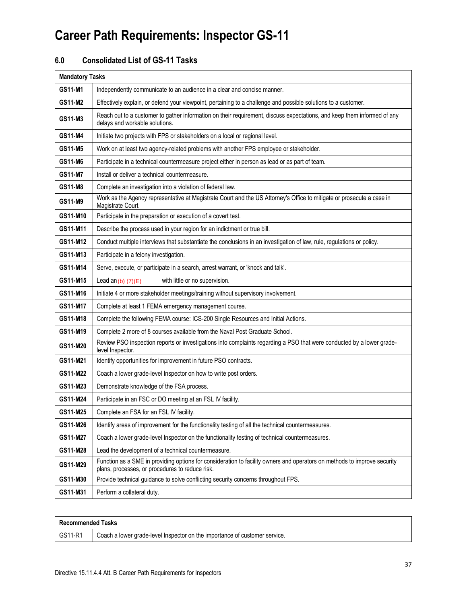### **6.0 Consolidated List of GS-11 Tasks**

| <b>Mandatory Tasks</b> |                                                                                                                                                                             |  |  |
|------------------------|-----------------------------------------------------------------------------------------------------------------------------------------------------------------------------|--|--|
| GS11-M1                | Independently communicate to an audience in a clear and concise manner.                                                                                                     |  |  |
| GS11-M2                | Effectively explain, or defend your viewpoint, pertaining to a challenge and possible solutions to a customer.                                                              |  |  |
| GS11-M3                | Reach out to a customer to gather information on their requirement, discuss expectations, and keep them informed of any<br>delays and workable solutions.                   |  |  |
| GS11-M4                | Initiate two projects with FPS or stakeholders on a local or regional level.                                                                                                |  |  |
| GS11-M5                | Work on at least two agency-related problems with another FPS employee or stakeholder.                                                                                      |  |  |
| GS11-M6                | Participate in a technical countermeasure project either in person as lead or as part of team.                                                                              |  |  |
| <b>GS11-M7</b>         | Install or deliver a technical countermeasure.                                                                                                                              |  |  |
| GS11-M8                | Complete an investigation into a violation of federal law.                                                                                                                  |  |  |
| GS11-M9                | Work as the Agency representative at Magistrate Court and the US Attorney's Office to mitigate or prosecute a case in<br>Magistrate Court.                                  |  |  |
| GS11-M10               | Participate in the preparation or execution of a covert test.                                                                                                               |  |  |
| GS11-M11               | Describe the process used in your region for an indictment or true bill.                                                                                                    |  |  |
| GS11-M12               | Conduct multiple interviews that substantiate the conclusions in an investigation of law, rule, regulations or policy.                                                      |  |  |
| GS11-M13               | Participate in a felony investigation.                                                                                                                                      |  |  |
| GS11-M14               | Serve, execute, or participate in a search, arrest warrant, or 'knock and talk'.                                                                                            |  |  |
| GS11-M15               | with little or no supervision.<br>Lead an $(b)$ (7) $(E)$                                                                                                                   |  |  |
| GS11-M16               | Initiate 4 or more stakeholder meetings/training without supervisory involvement.                                                                                           |  |  |
| GS11-M17               | Complete at least 1 FEMA emergency management course.                                                                                                                       |  |  |
| GS11-M18               | Complete the following FEMA course: ICS-200 Single Resources and Initial Actions.                                                                                           |  |  |
| GS11-M19               | Complete 2 more of 8 courses available from the Naval Post Graduate School.                                                                                                 |  |  |
| GS11-M20               | Review PSO inspection reports or investigations into complaints regarding a PSO that were conducted by a lower grade-<br>level Inspector.                                   |  |  |
| GS11-M21               | Identify opportunities for improvement in future PSO contracts.                                                                                                             |  |  |
| GS11-M22               | Coach a lower grade-level Inspector on how to write post orders.                                                                                                            |  |  |
| GS11-M23               | Demonstrate knowledge of the FSA process.                                                                                                                                   |  |  |
| GS11-M24               | Participate in an FSC or DO meeting at an FSL IV facility.                                                                                                                  |  |  |
| GS11-M25               | Complete an FSA for an FSL IV facility.                                                                                                                                     |  |  |
| GS11-M26               | Identify areas of improvement for the functionality testing of all the technical countermeasures.                                                                           |  |  |
| GS11-M27               | Coach a lower grade-level Inspector on the functionality testing of technical countermeasures.                                                                              |  |  |
| GS11-M28               | Lead the development of a technical countermeasure.                                                                                                                         |  |  |
| GS11-M29               | Function as a SME in providing options for consideration to facility owners and operators on methods to improve security<br>plans, processes, or procedures to reduce risk. |  |  |
| GS11-M30               | Provide technical guidance to solve conflicting security concerns throughout FPS.                                                                                           |  |  |
| GS11-M31               | Perform a collateral duty.                                                                                                                                                  |  |  |

| Recommended Tasks |                                                                            |
|-------------------|----------------------------------------------------------------------------|
| GS11-R1           | Coach a lower grade-level Inspector on the importance of customer service. |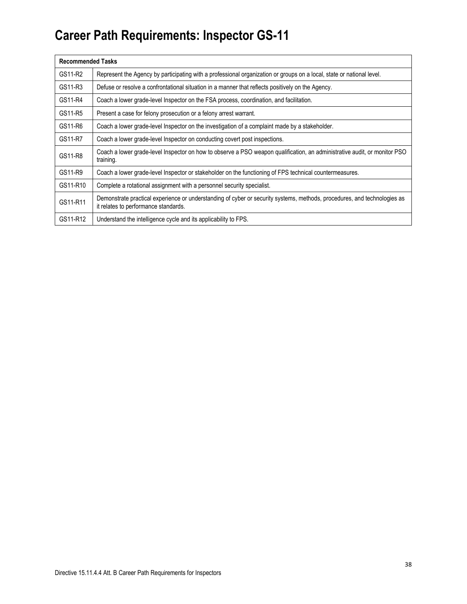| <b>Recommended Tasks</b> |                                                                                                                                                                  |
|--------------------------|------------------------------------------------------------------------------------------------------------------------------------------------------------------|
| GS11-R2                  | Represent the Agency by participating with a professional organization or groups on a local, state or national level.                                            |
| GS11-R3                  | Defuse or resolve a confrontational situation in a manner that reflects positively on the Agency.                                                                |
| GS11-R4                  | Coach a lower grade-level Inspector on the FSA process, coordination, and facilitation.                                                                          |
| GS11-R5                  | Present a case for felony prosecution or a felony arrest warrant.                                                                                                |
| GS11-R6                  | Coach a lower grade-level Inspector on the investigation of a complaint made by a stakeholder.                                                                   |
| GS11-R7                  | Coach a lower grade-level Inspector on conducting covert post inspections.                                                                                       |
| GS11-R8                  | Coach a lower grade-level Inspector on how to observe a PSO weapon qualification, an administrative audit, or monitor PSO<br>training.                           |
| GS11-R9                  | Coach a lower grade-level Inspector or stakeholder on the functioning of FPS technical countermeasures.                                                          |
| GS11-R10                 | Complete a rotational assignment with a personnel security specialist.                                                                                           |
| GS11-R11                 | Demonstrate practical experience or understanding of cyber or security systems, methods, procedures, and technologies as<br>it relates to performance standards. |
| GS11-R12                 | Understand the intelligence cycle and its applicability to FPS.                                                                                                  |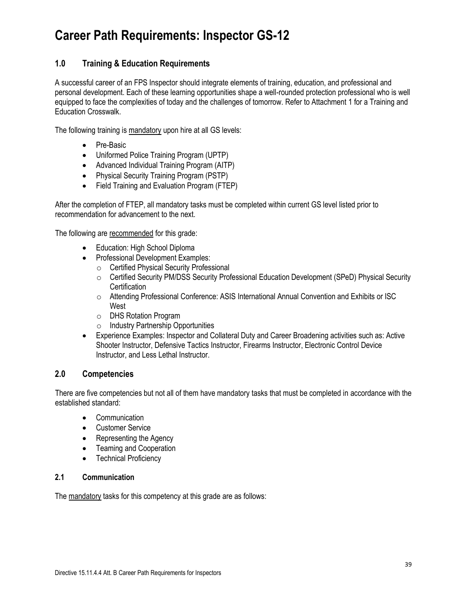### **1.0 Training & Education Requirements**

A successful career of an FPS Inspector should integrate elements of training, education, and professional and personal development. Each of these learning opportunities shape a well-rounded protection professional who is well equipped to face the complexities of today and the challenges of tomorrow. Refer to Attachment 1 for a Training and Education Crosswalk.

The following training is mandatory upon hire at all GS levels:

- Pre-Basic
- Uniformed Police Training Program (UPTP)
- Advanced Individual Training Program (AITP)
- Physical Security Training Program (PSTP)
- Field Training and Evaluation Program (FTEP)

After the completion of FTEP, all mandatory tasks must be completed within current GS level listed prior to recommendation for advancement to the next.

The following are recommended for this grade:

- Education: High School Diploma
- Professional Development Examples:
	- o Certified Physical Security Professional
	- o Certified Security PM/DSS Security Professional Education Development (SPeD) Physical Security **Certification**
	- o Attending Professional Conference: ASIS International Annual Convention and Exhibits or ISC West
	- o DHS Rotation Program
	- o Industry Partnership Opportunities
- Experience Examples: Inspector and Collateral Duty and Career Broadening activities such as: Active Shooter Instructor, Defensive Tactics Instructor, Firearms Instructor, Electronic Control Device Instructor, and Less Lethal Instructor.

### **2.0 Competencies**

There are five competencies but not all of them have mandatory tasks that must be completed in accordance with the established standard:

- Communication
- Customer Service
- Representing the Agency
- Teaming and Cooperation
- Technical Proficiency

#### **2.1 Communication**

The mandatory tasks for this competency at this grade are as follows: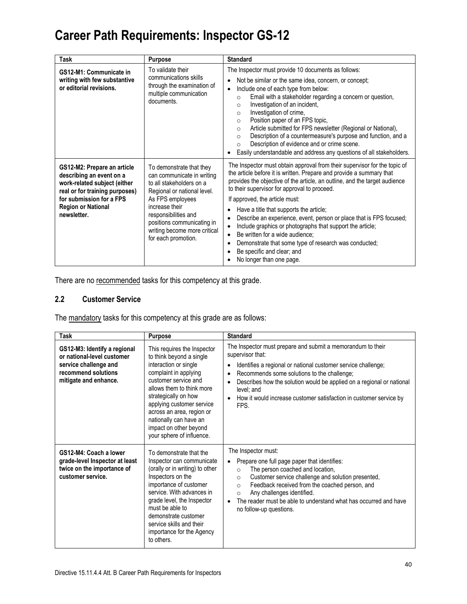| Task                                                                                                                                                                                              | <b>Purpose</b>                                                                                                                                                                                                                                                       | <b>Standard</b>                                                                                                                                                                                                                                                                                                                                                                                                                                                                                                                                                                                                                                                                               |
|---------------------------------------------------------------------------------------------------------------------------------------------------------------------------------------------------|----------------------------------------------------------------------------------------------------------------------------------------------------------------------------------------------------------------------------------------------------------------------|-----------------------------------------------------------------------------------------------------------------------------------------------------------------------------------------------------------------------------------------------------------------------------------------------------------------------------------------------------------------------------------------------------------------------------------------------------------------------------------------------------------------------------------------------------------------------------------------------------------------------------------------------------------------------------------------------|
| GS12-M1: Communicate in<br>writing with few substantive<br>or editorial revisions.                                                                                                                | To validate their<br>communications skills<br>through the examination of<br>multiple communication<br>documents.                                                                                                                                                     | The Inspector must provide 10 documents as follows:<br>Not be similar or the same idea, concern, or concept;<br>Include one of each type from below:<br>Email with a stakeholder regarding a concern or question,<br>$\circ$<br>Investigation of an incident,<br>$\circ$<br>Investigation of crime,<br>$\circ$<br>Position paper of an FPS topic,<br>$\circ$<br>Article submitted for FPS newsletter (Regional or National),<br>$\circ$<br>Description of a countermeasure's purpose and function, and a<br>$\Omega$<br>Description of evidence and or crime scene.<br>$\circ$<br>Easily understandable and address any questions of all stakeholders.                                        |
| GS12-M2: Prepare an article<br>describing an event on a<br>work-related subject (either<br>real or for training purposes)<br>for submission for a FPS<br><b>Region or National</b><br>newsletter. | To demonstrate that they<br>can communicate in writing<br>to all stakeholders on a<br>Regional or national level.<br>As FPS employees<br>increase their<br>responsibilities and<br>positions communicating in<br>writing become more critical<br>for each promotion. | The Inspector must obtain approval from their supervisor for the topic of<br>the article before it is written. Prepare and provide a summary that<br>provides the objective of the article, an outline, and the target audience<br>to their supervisor for approval to proceed.<br>If approved, the article must:<br>Have a title that supports the article;<br>Describe an experience, event, person or place that is FPS focused;<br>Include graphics or photographs that support the article;<br>Be written for a wide audience:<br>$\bullet$<br>Demonstrate that some type of research was conducted;<br>$\bullet$<br>Be specific and clear; and<br>$\bullet$<br>No longer than one page. |

There are no recommended tasks for this competency at this grade.

### **2.2 Customer Service**

The mandatory tasks for this competency at this grade are as follows:

| <b>Task</b>                                                                                                                         | Purpose                                                                                                                                                                                                                                                                                                                           | <b>Standard</b>                                                                                                                                                                                                                                                                                                                                                                            |
|-------------------------------------------------------------------------------------------------------------------------------------|-----------------------------------------------------------------------------------------------------------------------------------------------------------------------------------------------------------------------------------------------------------------------------------------------------------------------------------|--------------------------------------------------------------------------------------------------------------------------------------------------------------------------------------------------------------------------------------------------------------------------------------------------------------------------------------------------------------------------------------------|
| GS12-M3: Identify a regional<br>or national-level customer<br>service challenge and<br>recommend solutions<br>mitigate and enhance. | This requires the Inspector<br>to think beyond a single<br>interaction or single<br>complaint in applying<br>customer service and<br>allows them to think more<br>strategically on how<br>applying customer service<br>across an area, region or<br>nationally can have an<br>impact on other beyond<br>your sphere of influence. | The Inspector must prepare and submit a memorandum to their<br>supervisor that:<br>Identifies a regional or national customer service challenge;<br>Recommends some solutions to the challenge;<br>Describes how the solution would be applied on a regional or national<br>level; and<br>How it would increase customer satisfaction in customer service by<br>$\bullet$<br>FPS.          |
| GS12-M4: Coach a lower<br>grade-level Inspector at least<br>twice on the importance of<br>customer service.                         | To demonstrate that the<br>Inspector can communicate<br>(orally or in writing) to other<br>Inspectors on the<br>importance of customer<br>service. With advances in<br>grade level, the Inspector<br>must be able to<br>demonstrate customer<br>service skills and their<br>importance for the Agency<br>to others.               | The Inspector must:<br>Prepare one full page paper that identifies:<br>The person coached and location,<br>$\Omega$<br>Customer service challenge and solution presented,<br>$\circ$<br>Feedback received from the coached person, and<br>$\Omega$<br>Any challenges identified.<br>$\circ$<br>The reader must be able to understand what has occurred and have<br>no follow-up questions. |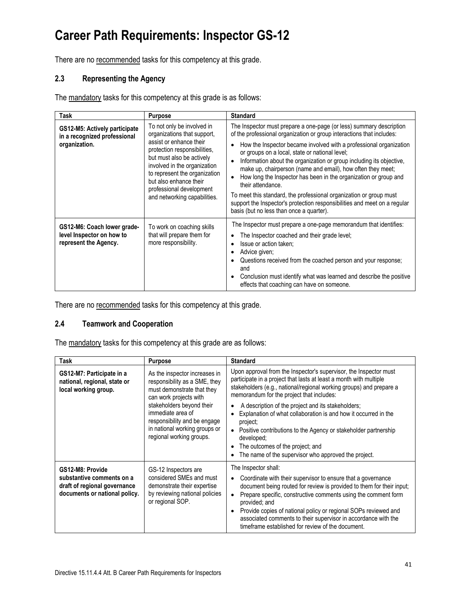There are no recommended tasks for this competency at this grade.

### **2.3 Representing the Agency**

The mandatory tasks for this competency at this grade is as follows:

| Task                                                                              | <b>Purpose</b>                                                                                                                                                                                                                                                                                           | <b>Standard</b>                                                                                                                                                                                                                                                                                                                                                                                                                                                                                                                                                                                                                                                                                     |
|-----------------------------------------------------------------------------------|----------------------------------------------------------------------------------------------------------------------------------------------------------------------------------------------------------------------------------------------------------------------------------------------------------|-----------------------------------------------------------------------------------------------------------------------------------------------------------------------------------------------------------------------------------------------------------------------------------------------------------------------------------------------------------------------------------------------------------------------------------------------------------------------------------------------------------------------------------------------------------------------------------------------------------------------------------------------------------------------------------------------------|
| GS12-M5: Actively participate<br>in a recognized professional<br>organization.    | To not only be involved in<br>organizations that support,<br>assist or enhance their<br>protection responsibilities,<br>but must also be actively<br>involved in the organization<br>to represent the organization<br>but also enhance their<br>professional development<br>and networking capabilities. | The Inspector must prepare a one-page (or less) summary description<br>of the professional organization or group interactions that includes:<br>How the Inspector became involved with a professional organization<br>or groups on a local, state or national level;<br>Information about the organization or group including its objective,<br>make up, chairperson (name and email), how often they meet;<br>How long the Inspector has been in the organization or group and<br>their attendance.<br>To meet this standard, the professional organization or group must<br>support the Inspector's protection responsibilities and meet on a regular<br>basis (but no less than once a quarter). |
| GS12-M6: Coach lower grade-<br>level Inspector on how to<br>represent the Agency. | To work on coaching skills<br>that will prepare them for<br>more responsibility.                                                                                                                                                                                                                         | The Inspector must prepare a one-page memorandum that identifies:<br>The Inspector coached and their grade level;<br>Issue or action taken;<br>Advice given;<br>Questions received from the coached person and your response;<br>and<br>Conclusion must identify what was learned and describe the positive<br>effects that coaching can have on someone.                                                                                                                                                                                                                                                                                                                                           |

There are no recommended tasks for this competency at this grade.

### **2.4 Teamwork and Cooperation**

The mandatory tasks for this competency at this grade are as follows:

| Task                                                                                                           | <b>Purpose</b>                                                                                                                                                                                                                                                        | <b>Standard</b>                                                                                                                                                                                                                                                                                                                                                                                                                                                                                                                                                               |
|----------------------------------------------------------------------------------------------------------------|-----------------------------------------------------------------------------------------------------------------------------------------------------------------------------------------------------------------------------------------------------------------------|-------------------------------------------------------------------------------------------------------------------------------------------------------------------------------------------------------------------------------------------------------------------------------------------------------------------------------------------------------------------------------------------------------------------------------------------------------------------------------------------------------------------------------------------------------------------------------|
| GS12-M7: Participate in a<br>national, regional, state or<br>local working group.                              | As the inspector increases in<br>responsibility as a SME, they<br>must demonstrate that they<br>can work projects with<br>stakeholders beyond their<br>immediate area of<br>responsibility and be engage<br>in national working groups or<br>regional working groups. | Upon approval from the Inspector's supervisor, the Inspector must<br>participate in a project that lasts at least a month with multiple<br>stakeholders (e.g., national/regional working groups) and prepare a<br>memorandum for the project that includes:<br>A description of the project and its stakeholders;<br>Explanation of what collaboration is and how it occurred in the<br>project;<br>Positive contributions to the Agency or stakeholder partnership<br>developed:<br>The outcomes of the project; and<br>The name of the supervisor who approved the project. |
| GS12-M8: Provide<br>substantive comments on a<br>draft of regional governance<br>documents or national policy. | GS-12 Inspectors are<br>considered SMEs and must<br>demonstrate their expertise<br>by reviewing national policies<br>or regional SOP.                                                                                                                                 | The Inspector shall:<br>Coordinate with their supervisor to ensure that a governance<br>document being routed for review is provided to them for their input;<br>Prepare specific, constructive comments using the comment form<br>provided; and<br>Provide copies of national policy or regional SOPs reviewed and<br>associated comments to their supervisor in accordance with the<br>timeframe established for review of the document.                                                                                                                                    |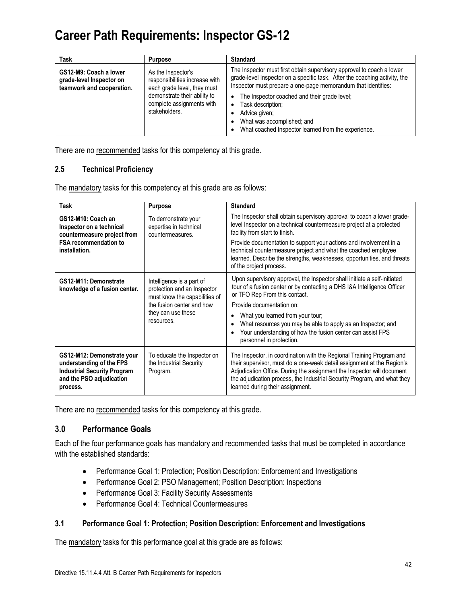| Task                                                                            | <b>Purpose</b>                                                                      | <b>Standard</b>                                                                                                                                                                                                      |
|---------------------------------------------------------------------------------|-------------------------------------------------------------------------------------|----------------------------------------------------------------------------------------------------------------------------------------------------------------------------------------------------------------------|
| GS12-M9: Coach a lower<br>grade-level Inspector on<br>teamwork and cooperation. | As the Inspector's<br>responsibilities increase with<br>each grade level, they must | The Inspector must first obtain supervisory approval to coach a lower<br>grade-level Inspector on a specific task. After the coaching activity, the<br>Inspector must prepare a one-page memorandum that identifies: |
|                                                                                 | demonstrate their ability to<br>complete assignments with<br>stakeholders.          | The Inspector coached and their grade level;<br>$\bullet$<br>Task description:<br>Advice given;<br>What was accomplished; and<br>What coached Inspector learned from the experience.                                 |

There are no recommended tasks for this competency at this grade.

### **2.5 Technical Proficiency**

The mandatory tasks for this competency at this grade are as follows:

| Task                                                                                                                                 | <b>Purpose</b>                                                                                                                                             | <b>Standard</b>                                                                                                                                                                                                                                                                                                                                                                                                                 |
|--------------------------------------------------------------------------------------------------------------------------------------|------------------------------------------------------------------------------------------------------------------------------------------------------------|---------------------------------------------------------------------------------------------------------------------------------------------------------------------------------------------------------------------------------------------------------------------------------------------------------------------------------------------------------------------------------------------------------------------------------|
| GS12-M10: Coach an<br>Inspector on a technical<br>countermeasure project from<br><b>FSA recommendation to</b><br>installation.       | To demonstrate your<br>expertise in technical<br>countermeasures.                                                                                          | The Inspector shall obtain supervisory approval to coach a lower grade-<br>level Inspector on a technical countermeasure project at a protected<br>facility from start to finish.<br>Provide documentation to support your actions and involvement in a<br>technical countermeasure project and what the coached employee<br>learned. Describe the strengths, weaknesses, opportunities, and threats<br>of the project process. |
| GS12-M11: Demonstrate<br>knowledge of a fusion center.                                                                               | Intelligence is a part of<br>protection and an Inspector<br>must know the capabilities of<br>the fusion center and how<br>they can use these<br>resources. | Upon supervisory approval, the Inspector shall initiate a self-initiated<br>tour of a fusion center or by contacting a DHS I&A Intelligence Officer<br>or TFO Rep From this contact.<br>Provide documentation on:<br>What you learned from your tour;<br>What resources you may be able to apply as an Inspector; and<br>Your understanding of how the fusion center can assist FPS<br>personnel in protection.                 |
| GS12-M12: Demonstrate your<br>understanding of the FPS<br><b>Industrial Security Program</b><br>and the PSO adjudication<br>process. | To educate the Inspector on<br>the Industrial Security<br>Program.                                                                                         | The Inspector, in coordination with the Regional Training Program and<br>their supervisor, must do a one-week detail assignment at the Region's<br>Adjudication Office. During the assignment the Inspector will document<br>the adjudication process, the Industrial Security Program, and what they<br>learned during their assignment.                                                                                       |

There are no recommended tasks for this competency at this grade.

### **3.0 Performance Goals**

Each of the four performance goals has mandatory and recommended tasks that must be completed in accordance with the established standards:

- Performance Goal 1: Protection; Position Description: Enforcement and Investigations
- Performance Goal 2: PSO Management; Position Description: Inspections
- Performance Goal 3: Facility Security Assessments
- Performance Goal 4: Technical Countermeasures

### **3.1 Performance Goal 1: Protection; Position Description: Enforcement and Investigations**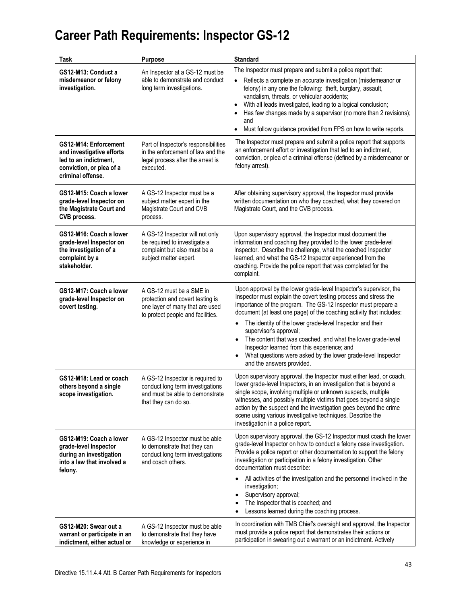| Task                                                                                                                         | Purpose                                                                                                                              | <b>Standard</b>                                                                                                                                                                                                                                                                                                                                                                                                                                                                                                                                                                                 |
|------------------------------------------------------------------------------------------------------------------------------|--------------------------------------------------------------------------------------------------------------------------------------|-------------------------------------------------------------------------------------------------------------------------------------------------------------------------------------------------------------------------------------------------------------------------------------------------------------------------------------------------------------------------------------------------------------------------------------------------------------------------------------------------------------------------------------------------------------------------------------------------|
| GS12-M13: Conduct a<br>misdemeanor or felony<br>investigation.                                                               | An Inspector at a GS-12 must be<br>able to demonstrate and conduct<br>long term investigations.                                      | The Inspector must prepare and submit a police report that:<br>Reflects a complete an accurate investigation (misdemeanor or<br>felony) in any one the following: theft, burglary, assault,<br>vandalism, threats, or vehicular accidents;<br>With all leads investigated, leading to a logical conclusion;<br>$\bullet$<br>Has few changes made by a supervisor (no more than 2 revisions);<br>and<br>Must follow guidance provided from FPS on how to write reports.<br>$\bullet$                                                                                                             |
| GS12-M14: Enforcement<br>and investigative efforts<br>led to an indictment,<br>conviction, or plea of a<br>criminal offense. | Part of Inspector's responsibilities<br>in the enforcement of law and the<br>legal process after the arrest is<br>executed.          | The Inspector must prepare and submit a police report that supports<br>an enforcement effort or investigation that led to an indictment,<br>conviction, or plea of a criminal offense (defined by a misdemeanor or<br>felony arrest).                                                                                                                                                                                                                                                                                                                                                           |
| GS12-M15: Coach a lower<br>grade-level Inspector on<br>the Magistrate Court and<br>CVB process.                              | A GS-12 Inspector must be a<br>subject matter expert in the<br>Magistrate Court and CVB<br>process.                                  | After obtaining supervisory approval, the Inspector must provide<br>written documentation on who they coached, what they covered on<br>Magistrate Court, and the CVB process.                                                                                                                                                                                                                                                                                                                                                                                                                   |
| GS12-M16: Coach a lower<br>grade-level Inspector on<br>the investigation of a<br>complaint by a<br>stakeholder.              | A GS-12 Inspector will not only<br>be required to investigate a<br>complaint but also must be a<br>subject matter expert.            | Upon supervisory approval, the Inspector must document the<br>information and coaching they provided to the lower grade-level<br>Inspector. Describe the challenge, what the coached Inspector<br>learned, and what the GS-12 Inspector experienced from the<br>coaching. Provide the police report that was completed for the<br>complaint.                                                                                                                                                                                                                                                    |
| GS12-M17: Coach a lower<br>grade-level Inspector on<br>covert testing.                                                       | A GS-12 must be a SME in<br>protection and covert testing is<br>one layer of many that are used<br>to protect people and facilities. | Upon approval by the lower grade-level Inspector's supervisor, the<br>Inspector must explain the covert testing process and stress the<br>importance of the program. The GS-12 Inspector must prepare a<br>document (at least one page) of the coaching activity that includes:<br>The identity of the lower grade-level Inspector and their<br>supervisor's approval;<br>The content that was coached, and what the lower grade-level<br>$\bullet$<br>Inspector learned from this experience; and<br>What questions were asked by the lower grade-level Inspector<br>and the answers provided. |
| GS12-M18: Lead or coach<br>others beyond a single<br>scope investigation.                                                    | A GS-12 Inspector is required to<br>conduct long term investigations<br>and must be able to demonstrate<br>that they can do so.      | Upon supervisory approval, the Inspector must either lead, or coach,<br>lower grade-level Inspectors, in an investigation that is beyond a<br>single scope, involving multiple or unknown suspects, multiple<br>witnesses, and possibly multiple victims that goes beyond a single<br>action by the suspect and the investigation goes beyond the crime<br>scene using various investigative techniques. Describe the<br>investigation in a police report.                                                                                                                                      |
| GS12-M19: Coach a lower<br>grade-level Inspector<br>during an investigation<br>into a law that involved a<br>felony.         | A GS-12 Inspector must be able<br>to demonstrate that they can<br>conduct long term investigations<br>and coach others.              | Upon supervisory approval, the GS-12 Inspector must coach the lower<br>grade-level Inspector on how to conduct a felony case investigation.<br>Provide a police report or other documentation to support the felony<br>investigation or participation in a felony investigation. Other<br>documentation must describe:<br>All activities of the investigation and the personnel involved in the<br>investigation;<br>Supervisory approval;<br>$\bullet$<br>The Inspector that is coached; and<br>Lessons learned during the coaching process.                                                   |
| GS12-M20: Swear out a<br>warrant or participate in an<br>indictment, either actual or                                        | A GS-12 Inspector must be able<br>to demonstrate that they have<br>knowledge or experience in                                        | In coordination with TMB Chief's oversight and approval, the Inspector<br>must provide a police report that demonstrates their actions or<br>participation in swearing out a warrant or an indictment. Actively                                                                                                                                                                                                                                                                                                                                                                                 |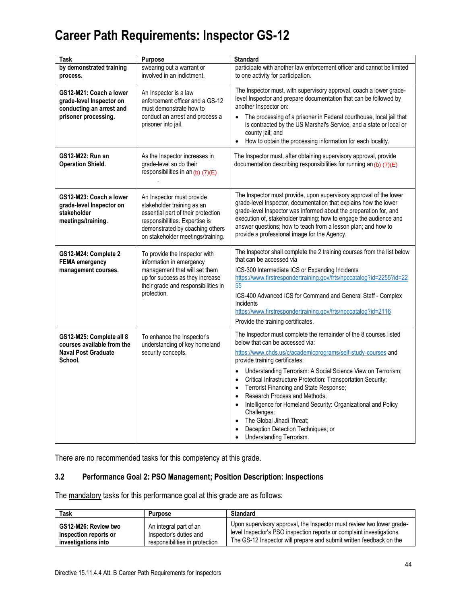| Task                                                                                                    | Purpose                                                                                                                                                                                                 | <b>Standard</b>                                                                                                                                                                                                                                                                                                                                                                                                                                                                                                                                                                                                                                                                               |
|---------------------------------------------------------------------------------------------------------|---------------------------------------------------------------------------------------------------------------------------------------------------------------------------------------------------------|-----------------------------------------------------------------------------------------------------------------------------------------------------------------------------------------------------------------------------------------------------------------------------------------------------------------------------------------------------------------------------------------------------------------------------------------------------------------------------------------------------------------------------------------------------------------------------------------------------------------------------------------------------------------------------------------------|
| by demonstrated training<br>process.                                                                    | swearing out a warrant or<br>involved in an indictment.                                                                                                                                                 | participate with another law enforcement officer and cannot be limited<br>to one activity for participation.                                                                                                                                                                                                                                                                                                                                                                                                                                                                                                                                                                                  |
| GS12-M21: Coach a lower<br>grade-level Inspector on<br>conducting an arrest and<br>prisoner processing. | An Inspector is a law<br>enforcement officer and a GS-12<br>must demonstrate how to<br>conduct an arrest and process a<br>prisoner into jail.                                                           | The Inspector must, with supervisory approval, coach a lower grade-<br>level Inspector and prepare documentation that can be followed by<br>another Inspector on:<br>The processing of a prisoner in Federal courthouse, local jail that<br>is contracted by the US Marshal's Service, and a state or local or<br>county jail; and<br>How to obtain the processing information for each locality.<br>$\bullet$                                                                                                                                                                                                                                                                                |
| GS12-M22: Run an<br><b>Operation Shield.</b>                                                            | As the Inspector increases in<br>grade-level so do their<br>responsibilities in an $(b)$ (7)(E)                                                                                                         | The Inspector must, after obtaining supervisory approval, provide<br>documentation describing responsibilities for running an $(b)$ $(7)(E)$                                                                                                                                                                                                                                                                                                                                                                                                                                                                                                                                                  |
| GS12-M23: Coach a lower<br>grade-level Inspector on<br>stakeholder<br>meetings/training.                | An Inspector must provide<br>stakeholder training as an<br>essential part of their protection<br>responsibilities. Expertise is<br>demonstrated by coaching others<br>on stakeholder meetings/training. | The Inspector must provide, upon supervisory approval of the lower<br>grade-level Inspector, documentation that explains how the lower<br>grade-level Inspector was informed about the preparation for, and<br>execution of, stakeholder training; how to engage the audience and<br>answer questions; how to teach from a lesson plan; and how to<br>provide a professional image for the Agency.                                                                                                                                                                                                                                                                                            |
| GS12-M24: Complete 2<br><b>FEMA</b> emergency<br>management courses.                                    | To provide the Inspector with<br>information in emergency<br>management that will set them<br>up for success as they increase<br>their grade and responsibilities in<br>protection.                     | The Inspector shall complete the 2 training courses from the list below<br>that can be accessed via<br>ICS-300 Intermediate ICS or Expanding Incidents<br>https://www.firstrespondertraining.gov/frts/npccatalog?id=2255?id=22<br>55<br>ICS-400 Advanced ICS for Command and General Staff - Complex<br>Incidents<br>https://www.firstrespondertraining.gov/frts/npccatalog?id=2116<br>Provide the training certificates.                                                                                                                                                                                                                                                                     |
| GS12-M25: Complete all 8<br>courses available from the<br><b>Naval Post Graduate</b><br>School.         | To enhance the Inspector's<br>understanding of key homeland<br>security concepts.                                                                                                                       | The Inspector must complete the remainder of the 8 courses listed<br>below that can be accessed via:<br>https://www.chds.us/c/academicprograms/self-study-courses and<br>provide training certificates:<br>Understanding Terrorism: A Social Science View on Terrorism;<br>$\bullet$<br>Critical Infrastructure Protection: Transportation Security;<br>$\bullet$<br>Terrorist Financing and State Response;<br>$\bullet$<br>Research Process and Methods;<br>$\bullet$<br>Intelligence for Homeland Security: Organizational and Policy<br>$\bullet$<br>Challenges;<br>The Global Jihadi Threat;<br>$\bullet$<br>Deception Detection Techniques; or<br>Understanding Terrorism.<br>$\bullet$ |

There are no recommended tasks for this competency at this grade.

### **3.2 Performance Goal 2: PSO Management; Position Description: Inspections**

| Task                  | <b>Purpose</b>                 | <b>Standard</b>                                                       |
|-----------------------|--------------------------------|-----------------------------------------------------------------------|
| GS12-M26: Review two  | An integral part of an         | Upon supervisory approval, the Inspector must review two lower grade- |
| inspection reports or | Inspector's duties and         | level Inspector's PSO inspection reports or complaint investigations. |
| investigations into   | responsibilities in protection | The GS-12 Inspector will prepare and submit written feedback on the   |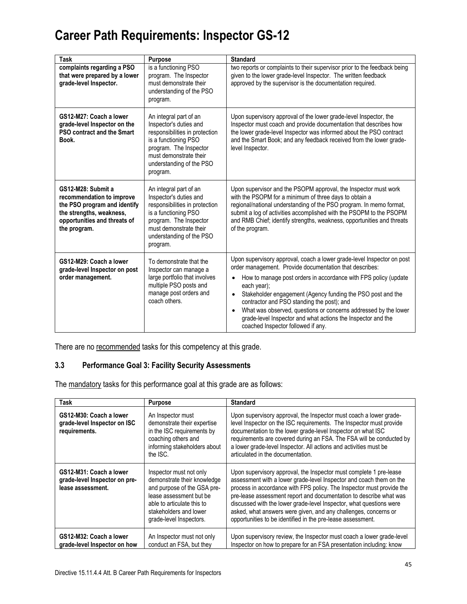| Task                                                                                                                                                                                                                                                                                                                                                                  | <b>Purpose</b>                                                                                                                                                                                         | <b>Standard</b>                                                                                                                                                                                                                                                                                                                                                                                                                                                                                                        |  |  |  |
|-----------------------------------------------------------------------------------------------------------------------------------------------------------------------------------------------------------------------------------------------------------------------------------------------------------------------------------------------------------------------|--------------------------------------------------------------------------------------------------------------------------------------------------------------------------------------------------------|------------------------------------------------------------------------------------------------------------------------------------------------------------------------------------------------------------------------------------------------------------------------------------------------------------------------------------------------------------------------------------------------------------------------------------------------------------------------------------------------------------------------|--|--|--|
| complaints regarding a PSO<br>that were prepared by a lower<br>grade-level Inspector.                                                                                                                                                                                                                                                                                 | is a functioning PSO<br>program. The Inspector<br>must demonstrate their<br>understanding of the PSO<br>program.                                                                                       | two reports or complaints to their supervisor prior to the feedback being<br>given to the lower grade-level Inspector. The written feedback<br>approved by the supervisor is the documentation required.                                                                                                                                                                                                                                                                                                               |  |  |  |
| GS12-M27: Coach a lower<br>grade-level Inspector on the<br><b>PSO contract and the Smart</b><br>Book.                                                                                                                                                                                                                                                                 | An integral part of an<br>Inspector's duties and<br>responsibilities in protection<br>is a functioning PSO<br>program. The Inspector<br>must demonstrate their<br>understanding of the PSO<br>program. | Upon supervisory approval of the lower grade-level Inspector, the<br>Inspector must coach and provide documentation that describes how<br>the lower grade-level Inspector was informed about the PSO contract<br>and the Smart Book; and any feedback received from the lower grade-<br>level Inspector.                                                                                                                                                                                                               |  |  |  |
| GS12-M28: Submit a<br>An integral part of an<br>recommendation to improve<br>Inspector's duties and<br>the PSO program and identify<br>responsibilities in protection<br>the strengths, weakness,<br>is a functioning PSO<br>opportunities and threats of<br>program. The Inspector<br>must demonstrate their<br>the program.<br>understanding of the PSO<br>program. |                                                                                                                                                                                                        | Upon supervisor and the PSOPM approval, the Inspector must work<br>with the PSOPM for a minimum of three days to obtain a<br>regional/national understanding of the PSO program. In memo format,<br>submit a log of activities accomplished with the PSOPM to the PSOPM<br>and RMB Chief; identify strengths, weakness, opportunities and threats<br>of the program.                                                                                                                                                   |  |  |  |
| GS12-M29: Coach a lower<br>To demonstrate that the<br>grade-level Inspector on post<br>Inspector can manage a<br>order management.<br>large portfolio that involves<br>multiple PSO posts and<br>manage post orders and<br>coach others.                                                                                                                              |                                                                                                                                                                                                        | Upon supervisory approval, coach a lower grade-level Inspector on post<br>order management. Provide documentation that describes:<br>How to manage post orders in accordance with FPS policy (update<br>each year);<br>Stakeholder engagement (Agency funding the PSO post and the<br>$\bullet$<br>contractor and PSO standing the post); and<br>What was observed, questions or concerns addressed by the lower<br>grade-level Inspector and what actions the Inspector and the<br>coached Inspector followed if any. |  |  |  |

There are no recommended tasks for this competency at this grade.

### **3.3 Performance Goal 3: Facility Security Assessments**

| <b>Task</b>                                                                   | <b>Purpose</b>                                                                                                                                                                                      | <b>Standard</b>                                                                                                                                                                                                                                                                                                                                                                                                                                                                                   |  |  |  |  |
|-------------------------------------------------------------------------------|-----------------------------------------------------------------------------------------------------------------------------------------------------------------------------------------------------|---------------------------------------------------------------------------------------------------------------------------------------------------------------------------------------------------------------------------------------------------------------------------------------------------------------------------------------------------------------------------------------------------------------------------------------------------------------------------------------------------|--|--|--|--|
| GS12-M30: Coach a lower<br>grade-level Inspector on ISC<br>requirements.      | An Inspector must<br>demonstrate their expertise<br>in the ISC requirements by<br>coaching others and<br>informing stakeholders about<br>the ISC.                                                   | Upon supervisory approval, the Inspector must coach a lower grade-<br>level Inspector on the ISC requirements. The Inspector must provide<br>documentation to the lower grade-level Inspector on what ISC<br>requirements are covered during an FSA. The FSA will be conducted by<br>a lower grade-level Inspector. All actions and activities must be<br>articulated in the documentation.                                                                                                       |  |  |  |  |
| GS12-M31: Coach a lower<br>grade-level Inspector on pre-<br>lease assessment. | Inspector must not only<br>demonstrate their knowledge<br>and purpose of the GSA pre-<br>lease assessment but be<br>able to articulate this to<br>stakeholders and lower<br>grade-level Inspectors. | Upon supervisory approval, the Inspector must complete 1 pre-lease<br>assessment with a lower grade-level Inspector and coach them on the<br>process in accordance with FPS policy. The Inspector must provide the<br>pre-lease assessment report and documentation to describe what was<br>discussed with the lower grade-level Inspector, what questions were<br>asked, what answers were given, and any challenges, concerns or<br>opportunities to be identified in the pre-lease assessment. |  |  |  |  |
| GS12-M32: Coach a lower<br>grade-level Inspector on how                       | An Inspector must not only<br>conduct an FSA, but they                                                                                                                                              | Upon supervisory review, the Inspector must coach a lower grade-level<br>Inspector on how to prepare for an FSA presentation including: know                                                                                                                                                                                                                                                                                                                                                      |  |  |  |  |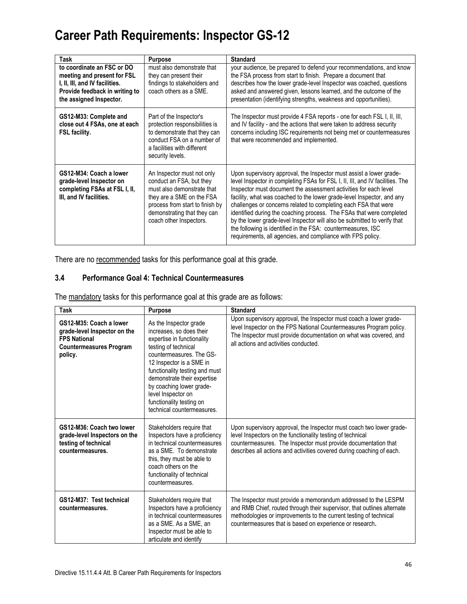| Task                                                                                                                                                     | <b>Purpose</b>                                                                                                                                                                                                 | <b>Standard</b>                                                                                                                                                                                                                                                                                                                                                                                                                                                                                                                                                                                                                                          |  |  |  |
|----------------------------------------------------------------------------------------------------------------------------------------------------------|----------------------------------------------------------------------------------------------------------------------------------------------------------------------------------------------------------------|----------------------------------------------------------------------------------------------------------------------------------------------------------------------------------------------------------------------------------------------------------------------------------------------------------------------------------------------------------------------------------------------------------------------------------------------------------------------------------------------------------------------------------------------------------------------------------------------------------------------------------------------------------|--|--|--|
| to coordinate an FSC or DO<br>meeting and present for FSL<br>I, II, III, and IV facilities.<br>Provide feedback in writing to<br>the assigned Inspector. | must also demonstrate that<br>they can present their<br>findings to stakeholders and<br>coach others as a SME.                                                                                                 | your audience, be prepared to defend your recommendations, and know<br>the FSA process from start to finish. Prepare a document that<br>describes how the lower grade-level Inspector was coached, questions<br>asked and answered given, lessons learned, and the outcome of the<br>presentation (identifying strengths, weakness and opportunities).                                                                                                                                                                                                                                                                                                   |  |  |  |
| GS12-M33: Complete and<br>close out 4 FSAs, one at each<br><b>FSL facility.</b>                                                                          | Part of the Inspector's<br>protection responsibilities is<br>to demonstrate that they can<br>conduct FSA on a number of<br>a facilities with different<br>security levels.                                     | The Inspector must provide 4 FSA reports - one for each FSL I, II, III,<br>and IV facility - and the actions that were taken to address security<br>concerns including ISC requirements not being met or countermeasures<br>that were recommended and implemented.                                                                                                                                                                                                                                                                                                                                                                                       |  |  |  |
| GS12-M34: Coach a lower<br>grade-level Inspector on<br>completing FSAs at FSL I, II,<br>III, and IV facilities.                                          | An Inspector must not only<br>conduct an FSA, but they<br>must also demonstrate that<br>they are a SME on the FSA<br>process from start to finish by<br>demonstrating that they can<br>coach other Inspectors. | Upon supervisory approval, the Inspector must assist a lower grade-<br>level Inspector in completing FSAs for FSL I, II, III, and IV facilities. The<br>Inspector must document the assessment activities for each level<br>facility, what was coached to the lower grade-level Inspector, and any<br>challenges or concerns related to completing each FSA that were<br>identified during the coaching process. The FSAs that were completed<br>by the lower grade-level Inspector will also be submitted to verify that<br>the following is identified in the FSA: countermeasures, ISC<br>requirements, all agencies, and compliance with FPS policy. |  |  |  |

There are no recommended tasks for this performance goal at this grade.

### **3.4 Performance Goal 4: Technical Countermeasures**

| <b>Task</b>                                                                                                                                                                                                                                                                                                                                                                                                                                                                  | <b>Purpose</b>                                                                                                                                                                                                                | <b>Standard</b>                                                                                                                                                                                                                                                               |  |  |  |  |
|------------------------------------------------------------------------------------------------------------------------------------------------------------------------------------------------------------------------------------------------------------------------------------------------------------------------------------------------------------------------------------------------------------------------------------------------------------------------------|-------------------------------------------------------------------------------------------------------------------------------------------------------------------------------------------------------------------------------|-------------------------------------------------------------------------------------------------------------------------------------------------------------------------------------------------------------------------------------------------------------------------------|--|--|--|--|
| GS12-M35: Coach a lower<br>As the Inspector grade<br>increases, so does their<br>grade-level Inspector on the<br><b>FPS National</b><br>expertise in functionality<br>testing of technical<br><b>Countermeasures Program</b><br>countermeasures. The GS-<br>policy.<br>12 Inspector is a SME in<br>functionality testing and must<br>demonstrate their expertise<br>by coaching lower grade-<br>level Inspector on<br>functionality testing on<br>technical countermeasures. |                                                                                                                                                                                                                               | Upon supervisory approval, the Inspector must coach a lower grade-<br>level Inspector on the FPS National Countermeasures Program policy.<br>The Inspector must provide documentation on what was covered, and<br>all actions and activities conducted.                       |  |  |  |  |
| GS12-M36: Coach two lower<br>grade-level Inspectors on the<br>testing of technical<br>countermeasures.                                                                                                                                                                                                                                                                                                                                                                       | Stakeholders require that<br>Inspectors have a proficiency<br>in technical countermeasures<br>as a SME. To demonstrate<br>this, they must be able to<br>coach others on the<br>functionality of technical<br>countermeasures. | Upon supervisory approval, the Inspector must coach two lower grade-<br>level Inspectors on the functionality testing of technical<br>countermeasures. The Inspector must provide documentation that<br>describes all actions and activities covered during coaching of each. |  |  |  |  |
| GS12-M37: Test technical<br>Stakeholders require that<br>Inspectors have a proficiency<br>countermeasures.<br>in technical countermeasures<br>as a SME. As a SME, an<br>Inspector must be able to<br>articulate and identify                                                                                                                                                                                                                                                 |                                                                                                                                                                                                                               | The Inspector must provide a memorandum addressed to the LESPM<br>and RMB Chief, routed through their supervisor, that outlines alternate<br>methodologies or improvements to the current testing of technical<br>countermeasures that is based on experience or research.    |  |  |  |  |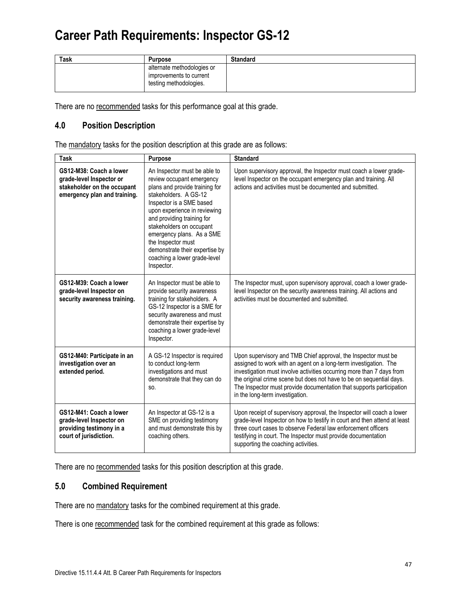| <b>Task</b> | <b>Purpose</b>                                                                  | <b>Standard</b> |
|-------------|---------------------------------------------------------------------------------|-----------------|
|             | alternate methodologies or<br>improvements to current<br>testing methodologies. |                 |

There are no recommended tasks for this performance goal at this grade.

### **4.0 Position Description**

The mandatory tasks for the position description at this grade are as follows:

| Task                                                                                                               | <b>Purpose</b>                                                                                                                                                                                                                                                                                                                                                                | <b>Standard</b>                                                                                                                                                                                                                                                                                                                                                                                |  |  |
|--------------------------------------------------------------------------------------------------------------------|-------------------------------------------------------------------------------------------------------------------------------------------------------------------------------------------------------------------------------------------------------------------------------------------------------------------------------------------------------------------------------|------------------------------------------------------------------------------------------------------------------------------------------------------------------------------------------------------------------------------------------------------------------------------------------------------------------------------------------------------------------------------------------------|--|--|
| GS12-M38: Coach a lower<br>grade-level Inspector or<br>stakeholder on the occupant<br>emergency plan and training. | An Inspector must be able to<br>review occupant emergency<br>plans and provide training for<br>stakeholders. A GS-12<br>Inspector is a SME based<br>upon experience in reviewing<br>and providing training for<br>stakeholders on occupant<br>emergency plans. As a SME<br>the Inspector must<br>demonstrate their expertise by<br>coaching a lower grade-level<br>Inspector. | Upon supervisory approval, the Inspector must coach a lower grade-<br>level Inspector on the occupant emergency plan and training. All<br>actions and activities must be documented and submitted.                                                                                                                                                                                             |  |  |
| GS12-M39: Coach a lower<br>grade-level Inspector on<br>security awareness training.                                | An Inspector must be able to<br>provide security awareness<br>training for stakeholders. A<br>GS-12 Inspector is a SME for<br>security awareness and must<br>demonstrate their expertise by<br>coaching a lower grade-level<br>Inspector.                                                                                                                                     | The Inspector must, upon supervisory approval, coach a lower grade-<br>level Inspector on the security awareness training. All actions and<br>activities must be documented and submitted.                                                                                                                                                                                                     |  |  |
| GS12-M40: Participate in an<br>investigation over an<br>extended period.                                           | A GS-12 Inspector is required<br>to conduct long-term<br>investigations and must<br>demonstrate that they can do<br>SO.                                                                                                                                                                                                                                                       | Upon supervisory and TMB Chief approval, the Inspector must be<br>assigned to work with an agent on a long-term investigation. The<br>investigation must involve activities occurring more than 7 days from<br>the original crime scene but does not have to be on sequential days.<br>The Inspector must provide documentation that supports participation<br>in the long-term investigation. |  |  |
| GS12-M41: Coach a lower<br>grade-level Inspector on<br>providing testimony in a<br>court of jurisdiction.          | An Inspector at GS-12 is a<br>SME on providing testimony<br>and must demonstrate this by<br>coaching others.                                                                                                                                                                                                                                                                  | Upon receipt of supervisory approval, the Inspector will coach a lower<br>grade-level Inspector on how to testify in court and then attend at least<br>three court cases to observe Federal law enforcement officers<br>testifying in court. The Inspector must provide documentation<br>supporting the coaching activities.                                                                   |  |  |

There are no recommended tasks for this position description at this grade.

### **5.0 Combined Requirement**

There are no mandatory tasks for the combined requirement at this grade.

There is one recommended task for the combined requirement at this grade as follows: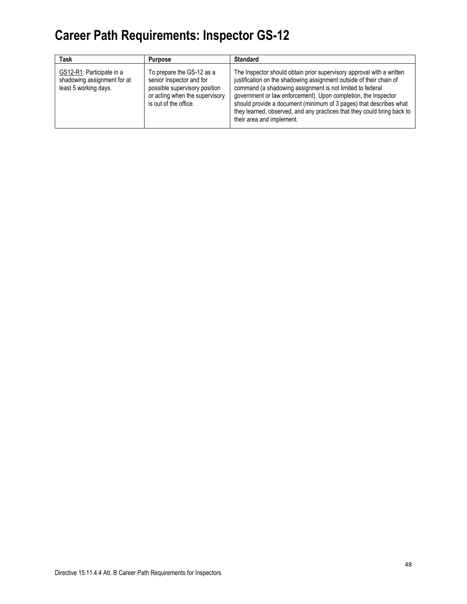| <b>Task</b>                                                                       | <b>Purpose</b>                                                                                                                                    | <b>Standard</b>                                                                                                                                                                                                                                                                                                                                                                                                                                           |
|-----------------------------------------------------------------------------------|---------------------------------------------------------------------------------------------------------------------------------------------------|-----------------------------------------------------------------------------------------------------------------------------------------------------------------------------------------------------------------------------------------------------------------------------------------------------------------------------------------------------------------------------------------------------------------------------------------------------------|
| GS12-R1: Participate in a<br>shadowing assignment for at<br>least 5 working days. | To prepare the GS-12 as a<br>senior Inspector and for<br>possible supervisory position<br>or acting when the supervisory<br>is out of the office. | The Inspector should obtain prior supervisory approval with a written<br>justification on the shadowing assignment outside of their chain of<br>command (a shadowing assignment is not limited to federal<br>government or law enforcement). Upon completion, the Inspector<br>should provide a document (minimum of 3 pages) that describes what<br>they learned, observed, and any practices that they could bring back to<br>their area and implement. |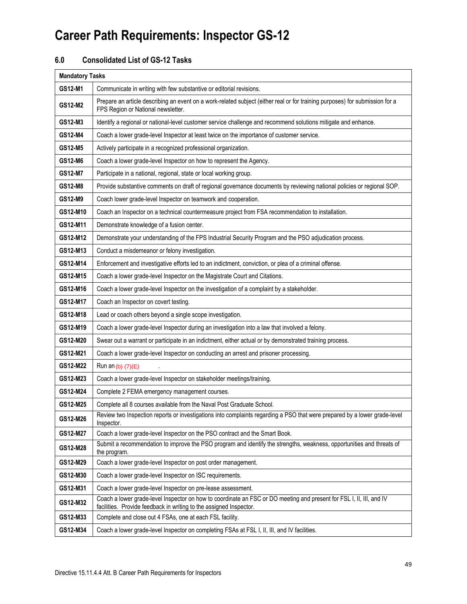### **6.0 Consolidated List of GS-12 Tasks**

|          | <b>Mandatory Tasks</b>                                                                                                                                                                     |  |  |  |  |  |  |
|----------|--------------------------------------------------------------------------------------------------------------------------------------------------------------------------------------------|--|--|--|--|--|--|
| GS12-M1  | Communicate in writing with few substantive or editorial revisions.                                                                                                                        |  |  |  |  |  |  |
| GS12-M2  | Prepare an article describing an event on a work-related subject (either real or for training purposes) for submission for a<br>FPS Region or National newsletter.                         |  |  |  |  |  |  |
| GS12-M3  | Identify a regional or national-level customer service challenge and recommend solutions mitigate and enhance.                                                                             |  |  |  |  |  |  |
| GS12-M4  | Coach a lower grade-level Inspector at least twice on the importance of customer service.                                                                                                  |  |  |  |  |  |  |
| GS12-M5  | Actively participate in a recognized professional organization.                                                                                                                            |  |  |  |  |  |  |
| GS12-M6  | Coach a lower grade-level Inspector on how to represent the Agency.                                                                                                                        |  |  |  |  |  |  |
| GS12-M7  | Participate in a national, regional, state or local working group.                                                                                                                         |  |  |  |  |  |  |
| GS12-M8  | Provide substantive comments on draft of regional governance documents by reviewing national policies or regional SOP.                                                                     |  |  |  |  |  |  |
| GS12-M9  | Coach lower grade-level Inspector on teamwork and cooperation.                                                                                                                             |  |  |  |  |  |  |
| GS12-M10 | Coach an Inspector on a technical countermeasure project from FSA recommendation to installation.                                                                                          |  |  |  |  |  |  |
| GS12-M11 | Demonstrate knowledge of a fusion center.                                                                                                                                                  |  |  |  |  |  |  |
| GS12-M12 | Demonstrate your understanding of the FPS Industrial Security Program and the PSO adjudication process.                                                                                    |  |  |  |  |  |  |
| GS12-M13 | Conduct a misdemeanor or felony investigation.                                                                                                                                             |  |  |  |  |  |  |
| GS12-M14 | Enforcement and investigative efforts led to an indictment, conviction, or plea of a criminal offense.                                                                                     |  |  |  |  |  |  |
| GS12-M15 | Coach a lower grade-level Inspector on the Magistrate Court and Citations.                                                                                                                 |  |  |  |  |  |  |
| GS12-M16 | Coach a lower grade-level Inspector on the investigation of a complaint by a stakeholder.                                                                                                  |  |  |  |  |  |  |
| GS12-M17 | Coach an Inspector on covert testing.                                                                                                                                                      |  |  |  |  |  |  |
| GS12-M18 | Lead or coach others beyond a single scope investigation.                                                                                                                                  |  |  |  |  |  |  |
| GS12-M19 | Coach a lower grade-level Inspector during an investigation into a law that involved a felony.                                                                                             |  |  |  |  |  |  |
| GS12-M20 | Swear out a warrant or participate in an indictment, either actual or by demonstrated training process.                                                                                    |  |  |  |  |  |  |
| GS12-M21 | Coach a lower grade-level Inspector on conducting an arrest and prisoner processing.                                                                                                       |  |  |  |  |  |  |
| GS12-M22 | Run an $(b)$ (7)(E)                                                                                                                                                                        |  |  |  |  |  |  |
| GS12-M23 | Coach a lower grade-level Inspector on stakeholder meetings/training.                                                                                                                      |  |  |  |  |  |  |
| GS12-M24 | Complete 2 FEMA emergency management courses.                                                                                                                                              |  |  |  |  |  |  |
| GS12-M25 | Complete all 8 courses available from the Naval Post Graduate School.                                                                                                                      |  |  |  |  |  |  |
| GS12-M26 | Review two Inspection reports or investigations into complaints regarding a PSO that were prepared by a lower grade-level<br>Inspector.                                                    |  |  |  |  |  |  |
| GS12-M27 | Coach a lower grade-level Inspector on the PSO contract and the Smart Book.                                                                                                                |  |  |  |  |  |  |
| GS12-M28 | Submit a recommendation to improve the PSO program and identify the strengths, weakness, opportunities and threats of<br>the program.                                                      |  |  |  |  |  |  |
| GS12-M29 | Coach a lower grade-level Inspector on post order management.                                                                                                                              |  |  |  |  |  |  |
| GS12-M30 | Coach a lower grade-level Inspector on ISC requirements.                                                                                                                                   |  |  |  |  |  |  |
| GS12-M31 | Coach a lower grade-level Inspector on pre-lease assessment.                                                                                                                               |  |  |  |  |  |  |
| GS12-M32 | Coach a lower grade-level Inspector on how to coordinate an FSC or DO meeting and present for FSL I, II, III, and IV<br>facilities. Provide feedback in writing to the assigned Inspector. |  |  |  |  |  |  |
| GS12-M33 | Complete and close out 4 FSAs, one at each FSL facility.                                                                                                                                   |  |  |  |  |  |  |
| GS12-M34 | Coach a lower grade-level Inspector on completing FSAs at FSL I, II, III, and IV facilities.                                                                                               |  |  |  |  |  |  |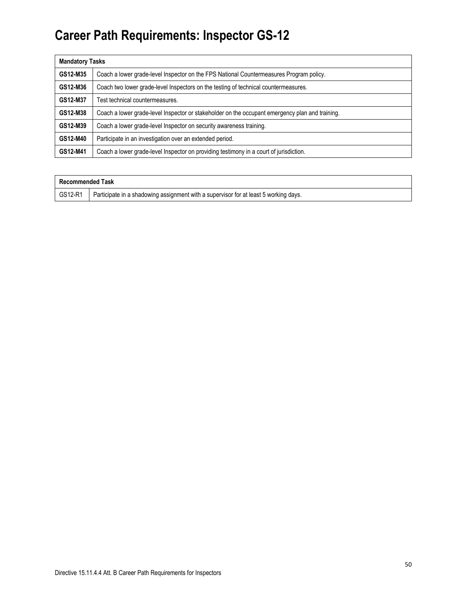| <b>Mandatory Tasks</b> |                                                                                                 |  |  |  |  |  |
|------------------------|-------------------------------------------------------------------------------------------------|--|--|--|--|--|
| GS12-M35               | Coach a lower grade-level Inspector on the FPS National Countermeasures Program policy.         |  |  |  |  |  |
| GS12-M36               | Coach two lower grade-level Inspectors on the testing of technical countermeasures.             |  |  |  |  |  |
| GS12-M37               | Test technical countermeasures.                                                                 |  |  |  |  |  |
| GS12-M38               | Coach a lower grade-level Inspector or stakeholder on the occupant emergency plan and training. |  |  |  |  |  |
| GS12-M39               | Coach a lower grade-level Inspector on security awareness training.                             |  |  |  |  |  |
| GS12-M40               | Participate in an investigation over an extended period.                                        |  |  |  |  |  |
| GS12-M41               | Coach a lower grade-level Inspector on providing testimony in a court of jurisdiction.          |  |  |  |  |  |

| Recommended Task |                                                                                      |
|------------------|--------------------------------------------------------------------------------------|
| GS12-R1          | Participate in a shadowing assignment with a supervisor for at least 5 working days. |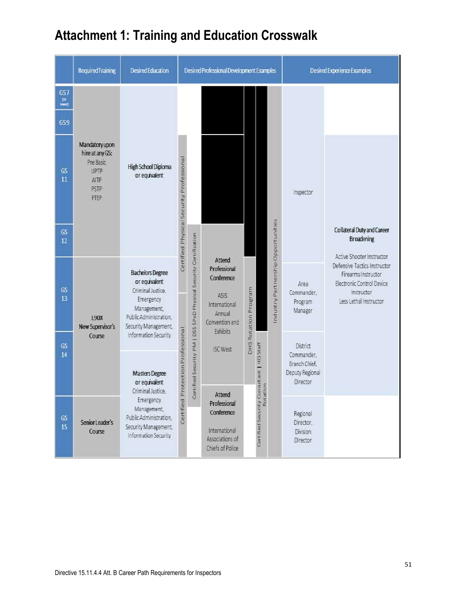|                                                     | <b>Required Training</b>                                                              | Desired Education                                                                                                                                                          | Desired Professional Development Examples |   |                                                                                                              |                         | Desired Experience Examples                                            |                                    |                                               |                                                                                                                          |
|-----------------------------------------------------|---------------------------------------------------------------------------------------|----------------------------------------------------------------------------------------------------------------------------------------------------------------------------|-------------------------------------------|---|--------------------------------------------------------------------------------------------------------------|-------------------------|------------------------------------------------------------------------|------------------------------------|-----------------------------------------------|--------------------------------------------------------------------------------------------------------------------------|
| GS <sub>7</sub><br>(ar<br>lower)<br>GS <sub>9</sub> |                                                                                       |                                                                                                                                                                            |                                           |   |                                                                                                              |                         |                                                                        |                                    |                                               |                                                                                                                          |
| GS<br>11                                            | Mandatory upon<br>hire at any GS:<br>Pre Basic<br><b>UPTP</b><br>AITP<br>PSTP<br>FTEP | High School Diploma<br>or equivalent                                                                                                                                       | Certified Physical Security Professional  |   |                                                                                                              |                         |                                                                        |                                    | Inspector                                     |                                                                                                                          |
| GS<br>12                                            |                                                                                       |                                                                                                                                                                            |                                           |   |                                                                                                              |                         |                                                                        |                                    |                                               | Collateral Duty and Career<br><b>Broadening</b><br>Active Shooter Instructor                                             |
| GS<br>13                                            | <b>L90X</b><br>New Supervisor's                                                       | <b>Bachelors Degree</b><br>or equivalent<br>Criminal Justice,<br>Emergency<br>Management,<br>Public Administration,<br>Security Management,                                |                                           |   | Attend<br>Professional<br>Conference<br>ASIS<br>International<br>Annual<br>Convention and<br><b>Exhibits</b> | Program<br>DHS Rotation |                                                                        | industry Partnership Opportunities | Area<br>Commander,<br>Program<br>Manager      | Defensive Tactics Instructor<br>Firearms instructor<br>Electronic Control Device<br>Instructor<br>Less Lethal Instructor |
| GS.<br>14                                           | Course                                                                                | ertified Security PM   DSS SPeD Physical Security Certification<br>Protection Professional<br>Information Security<br>Masters Degree<br>or equivalent<br>Criminal Justice. | <b>ISC West</b>                           |   | <b>Consultant   HQ Staff</b><br>ation                                                                        |                         | District<br>Commander,<br>Branch Chief.<br>Deputy Regional<br>Director |                                    |                                               |                                                                                                                          |
| GS<br>15                                            | Senior Leader's<br>Course                                                             | Emergency<br>Management,<br>Public Administration,<br>Security Management,<br>Information Security                                                                         | Certified                                 | u | Attend<br>Professional<br>Conference<br>International<br>Associations of<br>Chiefs of Police                 |                         | Certified Security C                                                   |                                    | Regional<br>Director,<br>Division<br>Director |                                                                                                                          |

# **Attachment 1: Training and Education Crosswalk**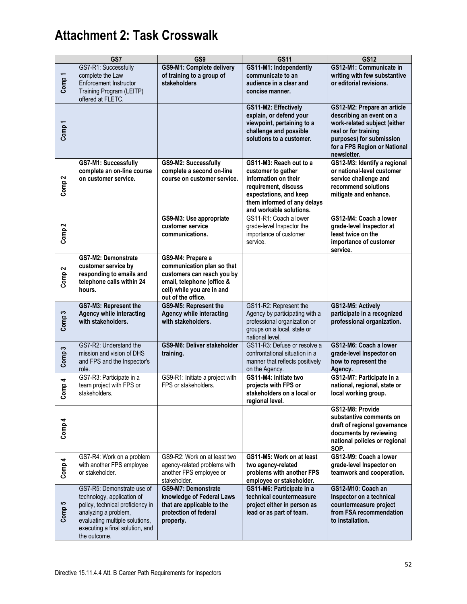|                   | GS7                                                                                                                                                                                                       | GS9                                                                                                                                                             | <b>GS11</b>                                                                                                                                                                       | <b>GS12</b>                                                                                                                                                                                |
|-------------------|-----------------------------------------------------------------------------------------------------------------------------------------------------------------------------------------------------------|-----------------------------------------------------------------------------------------------------------------------------------------------------------------|-----------------------------------------------------------------------------------------------------------------------------------------------------------------------------------|--------------------------------------------------------------------------------------------------------------------------------------------------------------------------------------------|
| Comp <sub>1</sub> | GS7-R1: Successfully<br>complete the Law<br><b>Enforcement Instructor</b><br>Training Program (LEITP)<br>offered at FLETC.                                                                                | GS9-M1: Complete delivery<br>of training to a group of<br>stakeholders                                                                                          | GS11-M1: Independently<br>communicate to an<br>audience in a clear and<br>concise manner.                                                                                         | GS12-M1: Communicate in<br>writing with few substantive<br>or editorial revisions.                                                                                                         |
| Comp <sub>1</sub> |                                                                                                                                                                                                           |                                                                                                                                                                 | GS11-M2: Effectively<br>explain, or defend your<br>viewpoint, pertaining to a<br>challenge and possible<br>solutions to a customer.                                               | GS12-M2: Prepare an article<br>describing an event on a<br>work-related subject (either<br>real or for training<br>purposes) for submission<br>for a FPS Region or National<br>newsletter. |
| Comp <sub>2</sub> | GS7-M1: Successfully<br>complete an on-line course<br>on customer service.                                                                                                                                | GS9-M2: Successfully<br>complete a second on-line<br>course on customer service.                                                                                | GS11-M3: Reach out to a<br>customer to gather<br>information on their<br>requirement, discuss<br>expectations, and keep<br>them informed of any delays<br>and workable solutions. | GS12-M3: Identify a regional<br>or national-level customer<br>service challenge and<br>recommend solutions<br>mitigate and enhance.                                                        |
| Comp <sub>2</sub> |                                                                                                                                                                                                           | GS9-M3: Use appropriate<br>customer service<br>communications.                                                                                                  | GS11-R1: Coach a lower<br>grade-level Inspector the<br>importance of customer<br>service.                                                                                         | GS12-M4: Coach a lower<br>grade-level Inspector at<br>least twice on the<br>importance of customer<br>service.                                                                             |
| Comp <sub>2</sub> | GS7-M2: Demonstrate<br>customer service by<br>responding to emails and<br>telephone calls within 24<br>hours.                                                                                             | GS9-M4: Prepare a<br>communication plan so that<br>customers can reach you by<br>email, telephone (office &<br>cell) while you are in and<br>out of the office. |                                                                                                                                                                                   |                                                                                                                                                                                            |
| Comp <sub>3</sub> | GS7-M3: Represent the<br><b>Agency while interacting</b><br>with stakeholders.                                                                                                                            | <b>GS9-M5: Represent the</b><br><b>Agency while interacting</b><br>with stakeholders.                                                                           | GS11-R2: Represent the<br>Agency by participating with a<br>professional organization or<br>groups on a local, state or<br>national level.                                        | GS12-M5: Actively<br>participate in a recognized<br>professional organization.                                                                                                             |
| Comp <sub>3</sub> | GS7-R2: Understand the<br>mission and vision of DHS<br>and FPS and the Inspector's<br>role.                                                                                                               | GS9-M6: Deliver stakeholder<br>training.                                                                                                                        | GS11-R3: Defuse or resolve a<br>confrontational situation in a<br>manner that reflects positively<br>on the Agency.                                                               | GS12-M6: Coach a lower<br>grade-level Inspector on<br>how to represent the<br>Agency.                                                                                                      |
| omp4<br>ပ         | GS7-R3: Participate in a<br>team project with FPS or<br>stakeholders.                                                                                                                                     | GS9-R1: Initiate a project with<br>FPS or stakeholders.                                                                                                         | GS11-M4: Initiate two<br>projects with FPS or<br>stakeholders on a local or<br>regional level.                                                                                    | GS12-M7: Participate in a<br>national, regional, state or<br>local working group.                                                                                                          |
| Comp 4            |                                                                                                                                                                                                           |                                                                                                                                                                 |                                                                                                                                                                                   | GS12-M8: Provide<br>substantive comments on<br>draft of regional governance<br>documents by reviewing<br>national policies or regional<br>SOP.                                             |
| Comp 4            | GS7-R4: Work on a problem<br>with another FPS employee<br>or stakeholder.                                                                                                                                 | GS9-R2: Work on at least two<br>agency-related problems with<br>another FPS employee or<br>stakeholder.                                                         | GS11-M5: Work on at least<br>two agency-related<br>problems with another FPS<br>employee or stakeholder.                                                                          | GS12-M9: Coach a lower<br>grade-level Inspector on<br>teamwork and cooperation.                                                                                                            |
| Comp <sub>5</sub> | GS7-R5: Demonstrate use of<br>technology, application of<br>policy, technical proficiency in<br>analyzing a problem,<br>evaluating multiple solutions,<br>executing a final solution, and<br>the outcome. | GS9-M7: Demonstrate<br>knowledge of Federal Laws<br>that are applicable to the<br>protection of federal<br>property.                                            | GS11-M6: Participate in a<br>technical countermeasure<br>project either in person as<br>lead or as part of team.                                                                  | GS12-M10: Coach an<br>Inspector on a technical<br>countermeasure project<br>from FSA recommendation<br>to installation.                                                                    |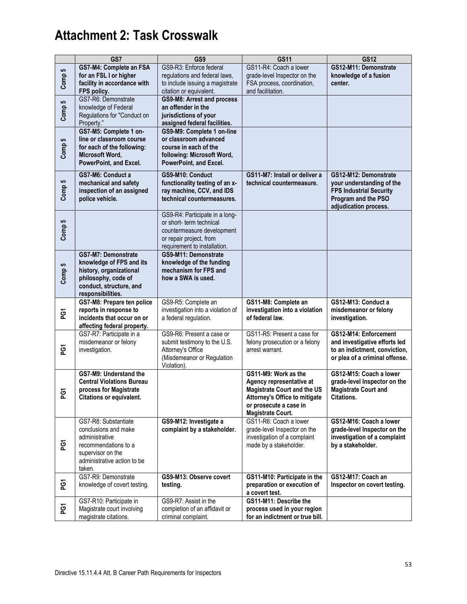|                     | GS7                                                                                                                                                  | GS <sub>9</sub>                                                                                                                                     | GS11                                                                                                                                                                          | <b>GS12</b>                                                                                                                          |
|---------------------|------------------------------------------------------------------------------------------------------------------------------------------------------|-----------------------------------------------------------------------------------------------------------------------------------------------------|-------------------------------------------------------------------------------------------------------------------------------------------------------------------------------|--------------------------------------------------------------------------------------------------------------------------------------|
| Comp 5              | GS7-M4: Complete an FSA<br>for an FSL I or higher<br>facility in accordance with<br>FPS policy.                                                      | GS9-R3: Enforce federal<br>regulations and federal laws,<br>to include issuing a magistrate<br>citation or equivalent.                              | GS11-R4: Coach a lower<br>grade-level Inspector on the<br>FSA process, coordination,<br>and facilitation.                                                                     | GS12-M11: Demonstrate<br>knowledge of a fusion<br>center.                                                                            |
| Comp 5              | GS7-R6: Demonstrate<br>knowledge of Federal<br>Regulations for "Conduct on<br>Property."                                                             | GS9-M8: Arrest and process<br>an offender in the<br>jurisdictions of your<br>assigned federal facilities.                                           |                                                                                                                                                                               |                                                                                                                                      |
| Comp 5              | GS7-M5: Complete 1 on-<br>line or classroom course<br>for each of the following:<br>Microsoft Word,<br>PowerPoint, and Excel.                        | GS9-M9: Complete 1 on-line<br>or classroom advanced<br>course in each of the<br>following: Microsoft Word,<br>PowerPoint, and Excel.                |                                                                                                                                                                               |                                                                                                                                      |
| Comp 5              | GS7-M6: Conduct a<br>mechanical and safety<br>inspection of an assigned<br>police vehicle.                                                           | GS9-M10: Conduct<br>functionality testing of an x-<br>ray machine, CCV, and IDS<br>technical countermeasures.                                       | GS11-M7: Install or deliver a<br>technical countermeasure.                                                                                                                    | GS12-M12: Demonstrate<br>your understanding of the<br><b>FPS Industrial Security</b><br>Program and the PSO<br>adjudication process. |
| Comp <sub>5</sub>   |                                                                                                                                                      | GS9-R4: Participate in a long-<br>or short- term technical<br>countermeasure development<br>or repair project, from<br>requirement to installation. |                                                                                                                                                                               |                                                                                                                                      |
| Comp 5              | GS7-M7: Demonstrate<br>knowledge of FPS and its<br>history, organizational<br>philosophy, code of<br>conduct, structure, and<br>responsibilities.    | GS9-M11: Demonstrate<br>knowledge of the funding<br>mechanism for FPS and<br>how a SWA is used.                                                     |                                                                                                                                                                               |                                                                                                                                      |
| ξá                  | GS7-M8: Prepare ten police<br>reports in response to<br>incidents that occur on or<br>affecting federal property.                                    | GS9-R5: Complete an<br>investigation into a violation of<br>a federal regulation.                                                                   | GS11-M8: Complete an<br>investigation into a violation<br>of federal law.                                                                                                     | GS12-M13: Conduct a<br>misdemeanor or felony<br>investigation.                                                                       |
| ΡG1                 | GS7-R7: Participate in a<br>misdemeanor or felony<br>investigation.                                                                                  | GS9-R6: Present a case or<br>submit testimony to the U.S.<br>Attorney's Office<br>(Misdemeanor or Regulation<br>Violation).                         | GS11-R5: Present a case for<br>felony prosecution or a felony<br>arrest warrant.                                                                                              | GS12-M14: Enforcement<br>and investigative efforts led<br>to an indictment, conviction,<br>or plea of a criminal offense.            |
| $\overline{6}$<br>௨ | GS7-M9: Understand the<br><b>Central Violations Bureau</b><br>process for Magistrate<br>Citations or equivalent.                                     |                                                                                                                                                     | GS11-M9: Work as the<br>Agency representative at<br><b>Magistrate Court and the US</b><br>Attorney's Office to mitigate<br>or prosecute a case in<br><b>Magistrate Court.</b> | GS12-M15: Coach a lower<br>grade-level Inspector on the<br><b>Magistrate Court and</b><br>Citations.                                 |
| ξá                  | GS7-R8: Substantiate<br>conclusions and make<br>administrative<br>recommendations to a<br>supervisor on the<br>administrative action to be<br>taken. | GS9-M12: Investigate a<br>complaint by a stakeholder.                                                                                               | GS11-R6: Coach a lower<br>grade-level Inspector on the<br>investigation of a complaint<br>made by a stakeholder.                                                              | GS12-M16: Coach a lower<br>grade-level Inspector on the<br>investigation of a complaint<br>by a stakeholder.                         |
| ទ្ទ                 | GS7-R9: Demonstrate<br>knowledge of covert testing.                                                                                                  | GS9-M13: Observe covert<br>testing.                                                                                                                 | GS11-M10: Participate in the<br>preparation or execution of<br>a covert test.                                                                                                 | GS12-M17: Coach an<br>Inspector on covert testing.                                                                                   |
| š                   | GS7-R10: Participate in<br>Magistrate court involving<br>magistrate citations.                                                                       | GS9-R7: Assist in the<br>completion of an affidavit or<br>criminal complaint.                                                                       | GS11-M11: Describe the<br>process used in your region<br>for an indictment or true bill.                                                                                      |                                                                                                                                      |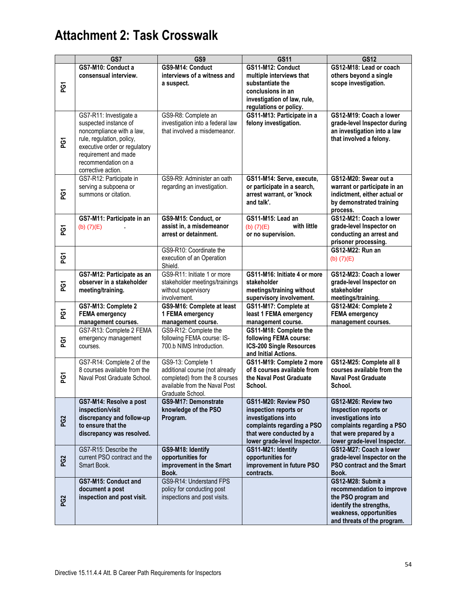|                 | GS7                                                                                                                                                                                                             | GS <sub>9</sub>                                                                                                                            | <b>GS11</b>                                                                                                                                                    | <b>GS12</b>                                                                                                                                                   |
|-----------------|-----------------------------------------------------------------------------------------------------------------------------------------------------------------------------------------------------------------|--------------------------------------------------------------------------------------------------------------------------------------------|----------------------------------------------------------------------------------------------------------------------------------------------------------------|---------------------------------------------------------------------------------------------------------------------------------------------------------------|
|                 | GS7-M10: Conduct a<br>consensual interview.                                                                                                                                                                     | GS9-M14: Conduct<br>interviews of a witness and                                                                                            | GS11-M12: Conduct<br>multiple interviews that                                                                                                                  | GS12-M18: Lead or coach<br>others beyond a single                                                                                                             |
| PG1             |                                                                                                                                                                                                                 | a suspect.                                                                                                                                 | substantiate the<br>conclusions in an<br>investigation of law, rule,<br>regulations or policy.                                                                 | scope investigation.                                                                                                                                          |
| ξá              | GS7-R11: Investigate a<br>suspected instance of<br>noncompliance with a law,<br>rule, regulation, policy,<br>executive order or regulatory<br>requirement and made<br>recommendation on a<br>corrective action. | GS9-R8: Complete an<br>investigation into a federal law<br>that involved a misdemeanor.                                                    | GS11-M13: Participate in a<br>felony investigation.                                                                                                            | GS12-M19: Coach a lower<br>grade-level Inspector during<br>an investigation into a law<br>that involved a felony.                                             |
| ξá              | GS7-R12: Participate in<br>serving a subpoena or<br>summons or citation.                                                                                                                                        | GS9-R9: Administer an oath<br>regarding an investigation.                                                                                  | GS11-M14: Serve, execute,<br>or participate in a search,<br>arrest warrant, or 'knock<br>and talk'.                                                            | GS12-M20: Swear out a<br>warrant or participate in an<br>indictment, either actual or<br>by demonstrated training<br>process.                                 |
| ξã              | GS7-M11: Participate in an<br>(b) $(7)(E)$                                                                                                                                                                      | GS9-M15: Conduct, or<br>assist in, a misdemeanor<br>arrest or detainment.                                                                  | GS11-M15: Lead an<br>with little<br>(b) $(7)(E)$<br>or no supervision.                                                                                         | GS12-M21: Coach a lower<br>grade-level Inspector on<br>conducting an arrest and<br>prisoner processing.                                                       |
| ξã              |                                                                                                                                                                                                                 | GS9-R10: Coordinate the<br>execution of an Operation<br>Shield.                                                                            |                                                                                                                                                                | <b>GS12-M22: Run an</b><br>(b) $(7)(E)$                                                                                                                       |
| ρg              | GS7-M12: Participate as an<br>observer in a stakeholder<br>meeting/training.                                                                                                                                    | GS9-R11: Initiate 1 or more<br>stakeholder meetings/trainings<br>without supervisory<br>involvement.                                       | GS11-M16: Initiate 4 or more<br>stakeholder<br>meetings/training without<br>supervisory involvement.                                                           | GS12-M23: Coach a lower<br>grade-level Inspector on<br>stakeholder<br>meetings/training.                                                                      |
| ΡG1             | GS7-M13: Complete 2<br><b>FEMA</b> emergency<br>management courses.                                                                                                                                             | GS9-M16: Complete at least<br>1 FEMA emergency<br>management course.                                                                       | GS11-M17: Complete at<br>least 1 FEMA emergency<br>management course.                                                                                          | GS12-M24: Complete 2<br><b>FEMA</b> emergency<br>management courses.                                                                                          |
| ξá              | GS7-R13: Complete 2 FEMA<br>emergency management<br>courses.                                                                                                                                                    | GS9-R12: Complete the<br>following FEMA course: IS-<br>700.b NIMS Introduction.                                                            | GS11-M18: Complete the<br>following FEMA course:<br><b>ICS-200 Single Resources</b><br>and Initial Actions.                                                    |                                                                                                                                                               |
| PG1             | GS7-R14: Complete 2 of the<br>8 courses available from the<br>Naval Post Graduate School.                                                                                                                       | GS9-13: Complete 1<br>additional course (not already<br>completed) from the 8 courses<br>available from the Naval Post<br>Graduate School. | GS11-M19: Complete 2 more<br>of 8 courses available from<br>the Naval Post Graduate<br>School.                                                                 | GS12-M25: Complete all 8<br>courses available from the<br><b>Naval Post Graduate</b><br>School.                                                               |
| PG <sub>2</sub> | GS7-M14: Resolve a post<br>inspection/visit<br>discrepancy and follow-up<br>to ensure that the<br>discrepancy was resolved.                                                                                     | GS9-M17: Demonstrate<br>knowledge of the PSO<br>Program.                                                                                   | GS11-M20: Review PSO<br>inspection reports or<br>investigations into<br>complaints regarding a PSO<br>that were conducted by a<br>lower grade-level Inspector. | GS12-M26: Review two<br>Inspection reports or<br>investigations into<br>complaints regarding a PSO<br>that were prepared by a<br>lower grade-level Inspector. |
| PG <sub>2</sub> | GS7-R15: Describe the<br>current PSO contract and the<br>Smart Book.                                                                                                                                            | GS9-M18: Identify<br>opportunities for<br>improvement in the Smart<br>Book.                                                                | GS11-M21: Identify<br>opportunities for<br>improvement in future PSO<br>contracts.                                                                             | GS12-M27: Coach a lower<br>grade-level Inspector on the<br>PSO contract and the Smart<br>Book.                                                                |
| PG <sub>2</sub> | GS7-M15: Conduct and<br>document a post<br>inspection and post visit.                                                                                                                                           | GS9-R14: Understand FPS<br>policy for conducting post<br>inspections and post visits.                                                      |                                                                                                                                                                | GS12-M28: Submit a<br>recommendation to improve<br>the PSO program and<br>identify the strengths,<br>weakness, opportunities<br>and threats of the program.   |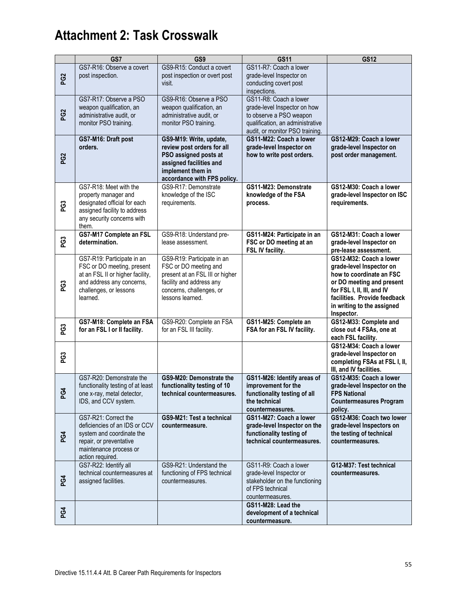|                 | GS7                                                                                                                                                             | GS9                                                                                                                                                                | <b>GS11</b>                                                                                                                                              | <b>GS12</b>                                                                                                                                                                                                            |
|-----------------|-----------------------------------------------------------------------------------------------------------------------------------------------------------------|--------------------------------------------------------------------------------------------------------------------------------------------------------------------|----------------------------------------------------------------------------------------------------------------------------------------------------------|------------------------------------------------------------------------------------------------------------------------------------------------------------------------------------------------------------------------|
| PG <sub>2</sub> | GS7-R16: Observe a covert<br>post inspection.                                                                                                                   | GS9-R15: Conduct a covert<br>post inspection or overt post<br>visit.                                                                                               | GS11-R7: Coach a lower<br>grade-level Inspector on<br>conducting covert post<br>inspections.                                                             |                                                                                                                                                                                                                        |
| PG <sub>2</sub> | GS7-R17: Observe a PSO<br>weapon qualification, an<br>administrative audit, or<br>monitor PSO training.                                                         | GS9-R16: Observe a PSO<br>weapon qualification, an<br>administrative audit, or<br>monitor PSO training.                                                            | GS11-R8: Coach a lower<br>grade-level Inspector on how<br>to observe a PSO weapon<br>qualification, an administrative<br>audit, or monitor PSO training. |                                                                                                                                                                                                                        |
| PG <sub>2</sub> | GS7-M16: Draft post<br>orders.                                                                                                                                  | GS9-M19: Write, update,<br>review post orders for all<br>PSO assigned posts at<br>assigned facilities and<br>implement them in<br>accordance with FPS policy.      | GS11-M22: Coach a lower<br>grade-level Inspector on<br>how to write post orders.                                                                         | GS12-M29: Coach a lower<br>grade-level Inspector on<br>post order management.                                                                                                                                          |
| PG3             | GS7-R18: Meet with the<br>property manager and<br>designated official for each<br>assigned facility to address<br>any security concerns with<br>them.           | GS9-R17: Demonstrate<br>knowledge of the ISC<br>requirements.                                                                                                      | GS11-M23: Demonstrate<br>knowledge of the FSA<br>process.                                                                                                | GS12-M30: Coach a lower<br>grade-level Inspector on ISC<br>requirements.                                                                                                                                               |
| PG3             | GS7-M17 Complete an FSL<br>determination.                                                                                                                       | GS9-R18: Understand pre-<br>lease assessment.                                                                                                                      | GS11-M24: Participate in an<br>FSC or DO meeting at an<br>FSL IV facility.                                                                               | GS12-M31: Coach a lower<br>grade-level Inspector on<br>pre-lease assessment.                                                                                                                                           |
| PG3             | GS7-R19: Participate in an<br>FSC or DO meeting, present<br>at an FSL II or higher facility,<br>and address any concerns,<br>challenges, or lessons<br>learned. | GS9-R19: Participate in an<br>FSC or DO meeting and<br>present at an FSL III or higher<br>facility and address any<br>concerns, challenges, or<br>lessons learned. |                                                                                                                                                          | GS12-M32: Coach a lower<br>grade-level Inspector on<br>how to coordinate an FSC<br>or DO meeting and present<br>for FSL I, II, III, and IV<br>facilities. Provide feedback<br>in writing to the assigned<br>Inspector. |
| PG3             | GS7-M18: Complete an FSA<br>for an FSL I or II facility.                                                                                                        | GS9-R20: Complete an FSA<br>for an FSL III facility.                                                                                                               | GS11-M25: Complete an<br>FSA for an FSL IV facility.                                                                                                     | GS12-M33: Complete and<br>close out 4 FSAs, one at<br>each FSL facility.                                                                                                                                               |
| PG3             |                                                                                                                                                                 |                                                                                                                                                                    |                                                                                                                                                          | GS12-M34: Coach a lower<br>grade-level Inspector on<br>completing FSAs at FSL I, II,<br>III, and IV facilities.                                                                                                        |
| 3<br>௳          | GS7-R20: Demonstrate the<br>functionality testing of at least<br>one x-ray, metal detector,<br>IDS, and CCV system.                                             | GS9-M20: Demonstrate the<br>functionality testing of 10<br>technical countermeasures.                                                                              | GS11-M26: Identify areas of<br>improvement for the<br>functionality testing of all<br>the technical<br>countermeasures.                                  | GS12-M35: Coach a lower<br>grade-level Inspector on the<br><b>FPS National</b><br><b>Countermeasures Program</b><br>policy.                                                                                            |
| PG4             | GS7-R21: Correct the<br>deficiencies of an IDS or CCV<br>system and coordinate the<br>repair, or preventative<br>maintenance process or<br>action required.     | GS9-M21: Test a technical<br>countermeasure.                                                                                                                       | GS11-M27: Coach a lower<br>grade-level Inspector on the<br>functionality testing of<br>technical countermeasures.                                        | GS12-M36: Coach two lower<br>grade-level Inspectors on<br>the testing of technical<br>countermeasures.                                                                                                                 |
| PG4             | GS7-R22: Identify all<br>technical countermeasures at<br>assigned facilities.                                                                                   | GS9-R21: Understand the<br>functioning of FPS technical<br>countermeasures.                                                                                        | GS11-R9: Coach a lower<br>grade-level Inspector or<br>stakeholder on the functioning<br>of FPS technical<br>countermeasures.                             | G12-M37: Test technical<br>countermeasures.                                                                                                                                                                            |
| PG4             |                                                                                                                                                                 |                                                                                                                                                                    | GS11-M28: Lead the<br>development of a technical<br>countermeasure.                                                                                      |                                                                                                                                                                                                                        |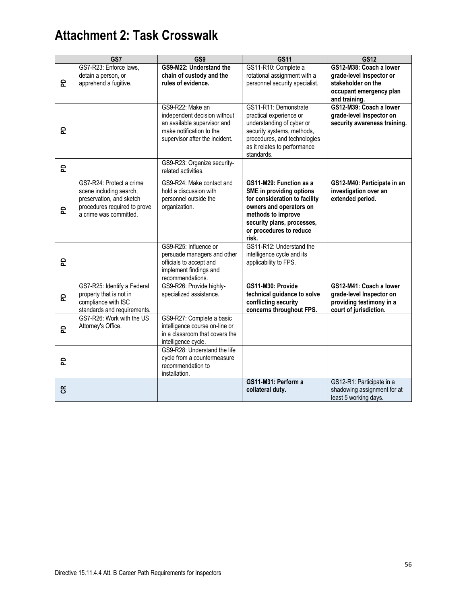|                | GS7                                                                                                                                       | GS9                                                                                                                                           | <b>GS11</b>                                                                                                                                                                                             | <b>GS12</b>                                                                                                           |
|----------------|-------------------------------------------------------------------------------------------------------------------------------------------|-----------------------------------------------------------------------------------------------------------------------------------------------|---------------------------------------------------------------------------------------------------------------------------------------------------------------------------------------------------------|-----------------------------------------------------------------------------------------------------------------------|
| 윤              | GS7-R23: Enforce laws,<br>detain a person, or<br>apprehend a fugitive.                                                                    | GS9-M22: Understand the<br>chain of custody and the<br>rules of evidence.                                                                     | GS11-R10: Complete a<br>rotational assignment with a<br>personnel security specialist.                                                                                                                  | GS12-M38: Coach a lower<br>grade-level Inspector or<br>stakeholder on the<br>occupant emergency plan<br>and training. |
| 운              |                                                                                                                                           | GS9-R22: Make an<br>independent decision without<br>an available supervisor and<br>make notification to the<br>supervisor after the incident. | GS11-R11: Demonstrate<br>practical experience or<br>understanding of cyber or<br>security systems, methods,<br>procedures, and technologies<br>as it relates to performance<br>standards.               | GS12-M39: Coach a lower<br>grade-level Inspector on<br>security awareness training.                                   |
| 운              |                                                                                                                                           | GS9-R23: Organize security-<br>related activities.                                                                                            |                                                                                                                                                                                                         |                                                                                                                       |
| 운              | GS7-R24: Protect a crime<br>scene including search,<br>preservation, and sketch<br>procedures required to prove<br>a crime was committed. | GS9-R24: Make contact and<br>hold a discussion with<br>personnel outside the<br>organization.                                                 | GS11-M29: Function as a<br>SME in providing options<br>for consideration to facility<br>owners and operators on<br>methods to improve<br>security plans, processes,<br>or procedures to reduce<br>risk. | GS12-M40: Participate in an<br>investigation over an<br>extended period.                                              |
| 운              |                                                                                                                                           | GS9-R25: Influence or<br>persuade managers and other<br>officials to accept and<br>implement findings and<br>recommendations.                 | GS11-R12: Understand the<br>intelligence cycle and its<br>applicability to FPS.                                                                                                                         |                                                                                                                       |
| 윤              | GS7-R25: Identify a Federal<br>property that is not in<br>compliance with ISC<br>standards and requirements.                              | GS9-R26: Provide highly-<br>specialized assistance.                                                                                           | GS11-M30: Provide<br>technical guidance to solve<br>conflicting security<br>concerns throughout FPS.                                                                                                    | GS12-M41: Coach a lower<br>grade-level Inspector on<br>providing testimony in a<br>court of jurisdiction.             |
| 윤              | GS7-R26: Work with the US<br>Attorney's Office.                                                                                           | GS9-R27: Complete a basic<br>intelligence course on-line or<br>in a classroom that covers the<br>intelligence cycle.                          |                                                                                                                                                                                                         |                                                                                                                       |
| 운              |                                                                                                                                           | GS9-R28: Understand the life<br>cycle from a countermeasure<br>recommendation to<br>installation.                                             |                                                                                                                                                                                                         |                                                                                                                       |
| $\mathfrak{E}$ |                                                                                                                                           |                                                                                                                                               | GS11-M31: Perform a<br>collateral duty.                                                                                                                                                                 | GS12-R1: Participate in a<br>shadowing assignment for at<br>least 5 working days.                                     |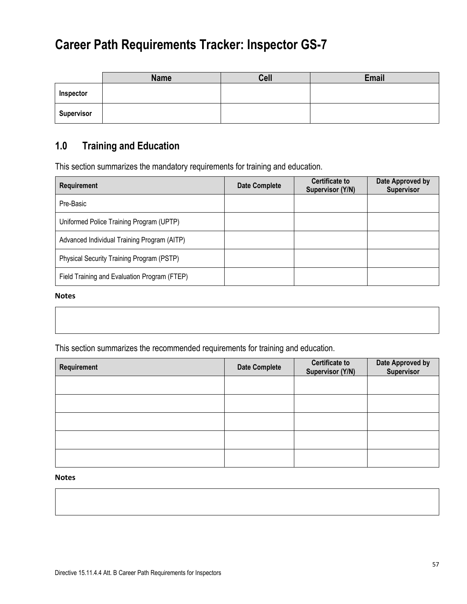|                   | <b>Name</b> | <b>Cell</b> | Email |
|-------------------|-------------|-------------|-------|
| Inspector         |             |             |       |
| <b>Supervisor</b> |             |             |       |

### **1.0 Training and Education**

This section summarizes the mandatory requirements for training and education.

| <b>Requirement</b>                           | Date Complete | <b>Certificate to</b><br>Supervisor (Y/N) | Date Approved by<br><b>Supervisor</b> |
|----------------------------------------------|---------------|-------------------------------------------|---------------------------------------|
| Pre-Basic                                    |               |                                           |                                       |
| Uniformed Police Training Program (UPTP)     |               |                                           |                                       |
| Advanced Individual Training Program (AITP)  |               |                                           |                                       |
| Physical Security Training Program (PSTP)    |               |                                           |                                       |
| Field Training and Evaluation Program (FTEP) |               |                                           |                                       |

#### **Notes**

This section summarizes the recommended requirements for training and education.

| Requirement | <b>Date Complete</b> | <b>Certificate to</b><br>Supervisor (Y/N) | Date Approved by<br>Supervisor |
|-------------|----------------------|-------------------------------------------|--------------------------------|
|             |                      |                                           |                                |
|             |                      |                                           |                                |
|             |                      |                                           |                                |
|             |                      |                                           |                                |
|             |                      |                                           |                                |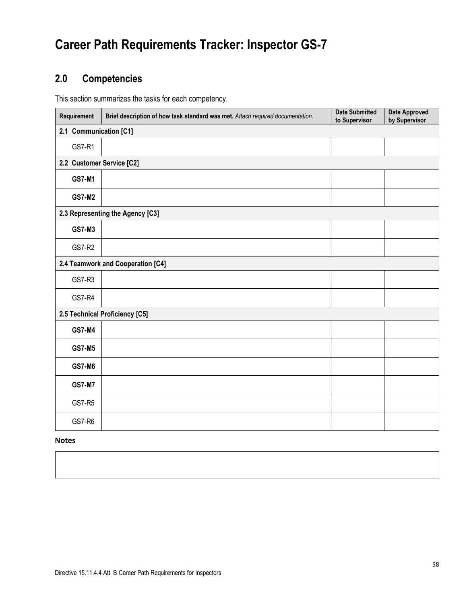### **2.0 Competencies**

This section summarizes the tasks for each competency.

| Requirement               | Brief description of how task standard was met. Attach required documentation. | <b>Date Submitted</b><br>to Supervisor | <b>Date Approved</b><br>by Supervisor |  |  |  |
|---------------------------|--------------------------------------------------------------------------------|----------------------------------------|---------------------------------------|--|--|--|
| 2.1 Communication [C1]    |                                                                                |                                        |                                       |  |  |  |
| <b>GS7-R1</b>             |                                                                                |                                        |                                       |  |  |  |
| 2.2 Customer Service [C2] |                                                                                |                                        |                                       |  |  |  |
| <b>GS7-M1</b>             |                                                                                |                                        |                                       |  |  |  |
| <b>GS7-M2</b>             |                                                                                |                                        |                                       |  |  |  |
|                           | 2.3 Representing the Agency [C3]                                               |                                        |                                       |  |  |  |
| <b>GS7-M3</b>             |                                                                                |                                        |                                       |  |  |  |
| <b>GS7-R2</b>             |                                                                                |                                        |                                       |  |  |  |
|                           | 2.4 Teamwork and Cooperation [C4]                                              |                                        |                                       |  |  |  |
| GS7-R3                    |                                                                                |                                        |                                       |  |  |  |
| <b>GS7-R4</b>             |                                                                                |                                        |                                       |  |  |  |
|                           | 2.5 Technical Proficiency [C5]                                                 |                                        |                                       |  |  |  |
| <b>GS7-M4</b>             |                                                                                |                                        |                                       |  |  |  |
| <b>GS7-M5</b>             |                                                                                |                                        |                                       |  |  |  |
| <b>GS7-M6</b>             |                                                                                |                                        |                                       |  |  |  |
| <b>GS7-M7</b>             |                                                                                |                                        |                                       |  |  |  |
| <b>GS7-R5</b>             |                                                                                |                                        |                                       |  |  |  |
| GS7-R6                    |                                                                                |                                        |                                       |  |  |  |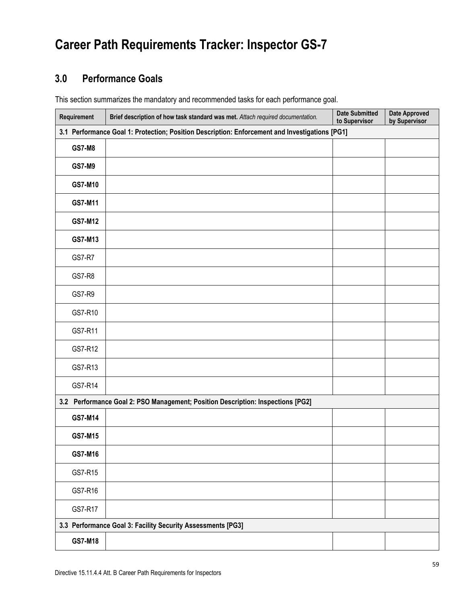### **3.0 Performance Goals**

This section summarizes the mandatory and recommended tasks for each performance goal.

| Requirement   | Brief description of how task standard was met. Attach required documentation.                 | <b>Date Submitted</b><br>to Supervisor | <b>Date Approved</b><br>by Supervisor |  |  |  |  |
|---------------|------------------------------------------------------------------------------------------------|----------------------------------------|---------------------------------------|--|--|--|--|
|               | 3.1 Performance Goal 1: Protection; Position Description: Enforcement and Investigations [PG1] |                                        |                                       |  |  |  |  |
| <b>GS7-M8</b> |                                                                                                |                                        |                                       |  |  |  |  |
| <b>GS7-M9</b> |                                                                                                |                                        |                                       |  |  |  |  |
| GS7-M10       |                                                                                                |                                        |                                       |  |  |  |  |
| GS7-M11       |                                                                                                |                                        |                                       |  |  |  |  |
| GS7-M12       |                                                                                                |                                        |                                       |  |  |  |  |
| GS7-M13       |                                                                                                |                                        |                                       |  |  |  |  |
| <b>GS7-R7</b> |                                                                                                |                                        |                                       |  |  |  |  |
| <b>GS7-R8</b> |                                                                                                |                                        |                                       |  |  |  |  |
| GS7-R9        |                                                                                                |                                        |                                       |  |  |  |  |
| GS7-R10       |                                                                                                |                                        |                                       |  |  |  |  |
| GS7-R11       |                                                                                                |                                        |                                       |  |  |  |  |
| GS7-R12       |                                                                                                |                                        |                                       |  |  |  |  |
| GS7-R13       |                                                                                                |                                        |                                       |  |  |  |  |
| GS7-R14       |                                                                                                |                                        |                                       |  |  |  |  |
|               | 3.2 Performance Goal 2: PSO Management; Position Description: Inspections [PG2]                |                                        |                                       |  |  |  |  |
| GS7-M14       |                                                                                                |                                        |                                       |  |  |  |  |
| GS7-M15       |                                                                                                |                                        |                                       |  |  |  |  |
| GS7-M16       |                                                                                                |                                        |                                       |  |  |  |  |
| GS7-R15       |                                                                                                |                                        |                                       |  |  |  |  |
| GS7-R16       |                                                                                                |                                        |                                       |  |  |  |  |
| GS7-R17       |                                                                                                |                                        |                                       |  |  |  |  |
|               | 3.3 Performance Goal 3: Facility Security Assessments [PG3]                                    |                                        |                                       |  |  |  |  |
| GS7-M18       |                                                                                                |                                        |                                       |  |  |  |  |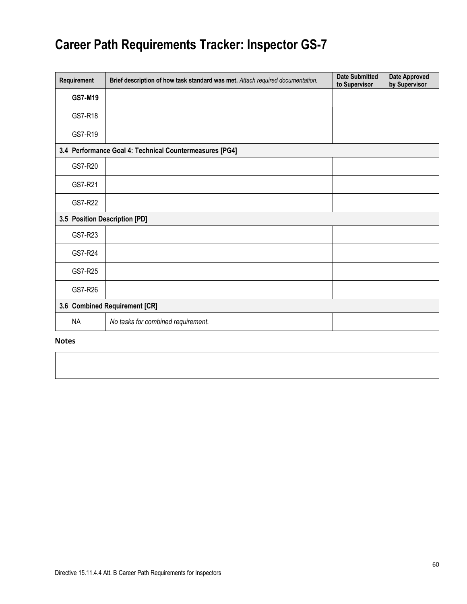| Requirement                   | Brief description of how task standard was met. Attach required documentation. | <b>Date Submitted</b><br>to Supervisor | <b>Date Approved</b><br>by Supervisor |
|-------------------------------|--------------------------------------------------------------------------------|----------------------------------------|---------------------------------------|
| GS7-M19                       |                                                                                |                                        |                                       |
| GS7-R18                       |                                                                                |                                        |                                       |
| GS7-R19                       |                                                                                |                                        |                                       |
|                               | 3.4 Performance Goal 4: Technical Countermeasures [PG4]                        |                                        |                                       |
| GS7-R20                       |                                                                                |                                        |                                       |
| GS7-R21                       |                                                                                |                                        |                                       |
| GS7-R22                       |                                                                                |                                        |                                       |
| 3.5 Position Description [PD] |                                                                                |                                        |                                       |
| GS7-R23                       |                                                                                |                                        |                                       |
| GS7-R24                       |                                                                                |                                        |                                       |
| GS7-R25                       |                                                                                |                                        |                                       |
| GS7-R26                       |                                                                                |                                        |                                       |
|                               | 3.6 Combined Requirement [CR]                                                  |                                        |                                       |
| NA                            | No tasks for combined requirement.                                             |                                        |                                       |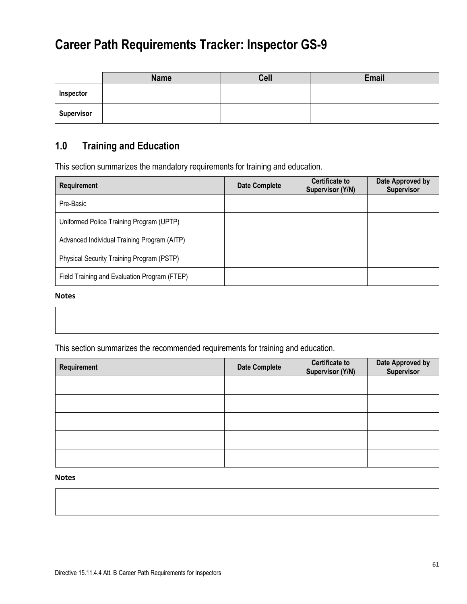|                   | <b>Name</b> | Cell | Email |
|-------------------|-------------|------|-------|
| Inspector         |             |      |       |
| <b>Supervisor</b> |             |      |       |

### **1.0 Training and Education**

This section summarizes the mandatory requirements for training and education.

| <b>Requirement</b>                           | <b>Date Complete</b> | <b>Certificate to</b><br>Supervisor (Y/N) | Date Approved by<br>Supervisor |
|----------------------------------------------|----------------------|-------------------------------------------|--------------------------------|
| Pre-Basic                                    |                      |                                           |                                |
| Uniformed Police Training Program (UPTP)     |                      |                                           |                                |
| Advanced Individual Training Program (AITP)  |                      |                                           |                                |
| Physical Security Training Program (PSTP)    |                      |                                           |                                |
| Field Training and Evaluation Program (FTEP) |                      |                                           |                                |

#### **Notes**

This section summarizes the recommended requirements for training and education.

| Requirement | <b>Date Complete</b> | <b>Certificate to</b><br>Supervisor (Y/N) | Date Approved by<br>Supervisor |
|-------------|----------------------|-------------------------------------------|--------------------------------|
|             |                      |                                           |                                |
|             |                      |                                           |                                |
|             |                      |                                           |                                |
|             |                      |                                           |                                |
|             |                      |                                           |                                |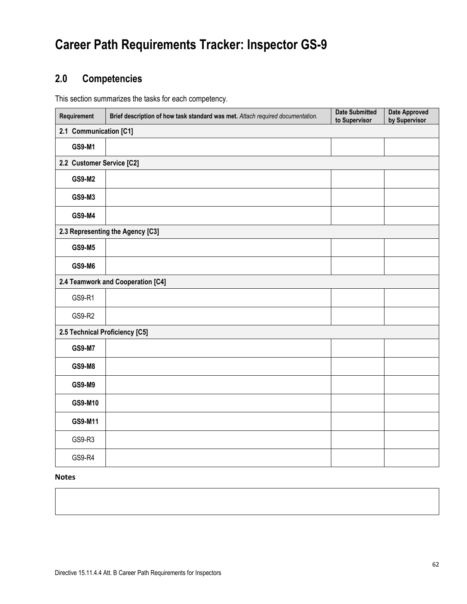### **2.0 Competencies**

This section summarizes the tasks for each competency.

| Requirement                    | Brief description of how task standard was met. Attach required documentation. | <b>Date Submitted</b><br>to Supervisor | <b>Date Approved</b><br>by Supervisor |  |  |  |  |
|--------------------------------|--------------------------------------------------------------------------------|----------------------------------------|---------------------------------------|--|--|--|--|
|                                | 2.1 Communication [C1]                                                         |                                        |                                       |  |  |  |  |
| GS9-M1                         |                                                                                |                                        |                                       |  |  |  |  |
| 2.2 Customer Service [C2]      |                                                                                |                                        |                                       |  |  |  |  |
| GS9-M2                         |                                                                                |                                        |                                       |  |  |  |  |
| GS9-M3                         |                                                                                |                                        |                                       |  |  |  |  |
| GS9-M4                         |                                                                                |                                        |                                       |  |  |  |  |
|                                | 2.3 Representing the Agency [C3]                                               |                                        |                                       |  |  |  |  |
| GS9-M5                         |                                                                                |                                        |                                       |  |  |  |  |
| <b>GS9-M6</b>                  |                                                                                |                                        |                                       |  |  |  |  |
|                                | 2.4 Teamwork and Cooperation [C4]                                              |                                        |                                       |  |  |  |  |
| GS9-R1                         |                                                                                |                                        |                                       |  |  |  |  |
| GS9-R2                         |                                                                                |                                        |                                       |  |  |  |  |
| 2.5 Technical Proficiency [C5] |                                                                                |                                        |                                       |  |  |  |  |
| <b>GS9-M7</b>                  |                                                                                |                                        |                                       |  |  |  |  |
| <b>GS9-M8</b>                  |                                                                                |                                        |                                       |  |  |  |  |
| GS9-M9                         |                                                                                |                                        |                                       |  |  |  |  |
| GS9-M10                        |                                                                                |                                        |                                       |  |  |  |  |
| GS9-M11                        |                                                                                |                                        |                                       |  |  |  |  |
| GS9-R3                         |                                                                                |                                        |                                       |  |  |  |  |
| GS9-R4                         |                                                                                |                                        |                                       |  |  |  |  |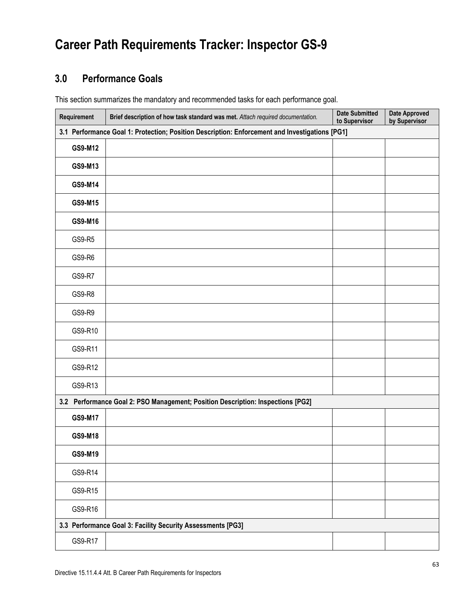### **3.0 Performance Goals**

This section summarizes the mandatory and recommended tasks for each performance goal.

| Requirement   | Brief description of how task standard was met. Attach required documentation.                 | <b>Date Submitted</b><br>to Supervisor | <b>Date Approved</b><br>by Supervisor |
|---------------|------------------------------------------------------------------------------------------------|----------------------------------------|---------------------------------------|
|               | 3.1 Performance Goal 1: Protection; Position Description: Enforcement and Investigations [PG1] |                                        |                                       |
| GS9-M12       |                                                                                                |                                        |                                       |
| GS9-M13       |                                                                                                |                                        |                                       |
| GS9-M14       |                                                                                                |                                        |                                       |
| GS9-M15       |                                                                                                |                                        |                                       |
| GS9-M16       |                                                                                                |                                        |                                       |
| GS9-R5        |                                                                                                |                                        |                                       |
| GS9-R6        |                                                                                                |                                        |                                       |
| <b>GS9-R7</b> |                                                                                                |                                        |                                       |
| GS9-R8        |                                                                                                |                                        |                                       |
| GS9-R9        |                                                                                                |                                        |                                       |
| GS9-R10       |                                                                                                |                                        |                                       |
| GS9-R11       |                                                                                                |                                        |                                       |
| GS9-R12       |                                                                                                |                                        |                                       |
| GS9-R13       |                                                                                                |                                        |                                       |
|               | 3.2 Performance Goal 2: PSO Management; Position Description: Inspections [PG2]                |                                        |                                       |
| GS9-M17       |                                                                                                |                                        |                                       |
| GS9-M18       |                                                                                                |                                        |                                       |
| GS9-M19       |                                                                                                |                                        |                                       |
| GS9-R14       |                                                                                                |                                        |                                       |
| GS9-R15       |                                                                                                |                                        |                                       |
| GS9-R16       |                                                                                                |                                        |                                       |
|               | 3.3 Performance Goal 3: Facility Security Assessments [PG3]                                    |                                        |                                       |
| GS9-R17       |                                                                                                |                                        |                                       |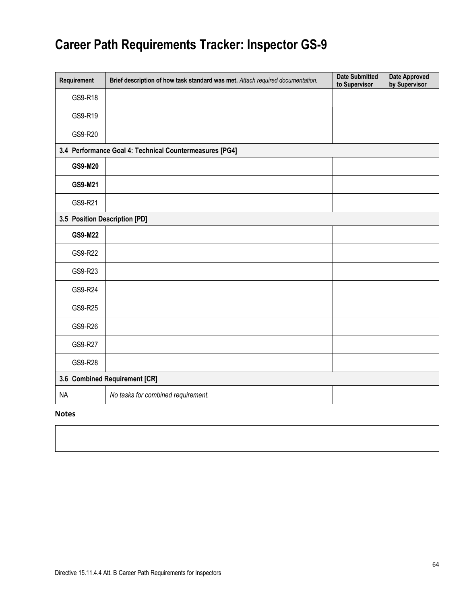|           | Requirement                   | Brief description of how task standard was met. Attach required documentation. | <b>Date Submitted</b><br>to Supervisor | <b>Date Approved</b><br>by Supervisor |
|-----------|-------------------------------|--------------------------------------------------------------------------------|----------------------------------------|---------------------------------------|
|           | GS9-R18                       |                                                                                |                                        |                                       |
|           | GS9-R19                       |                                                                                |                                        |                                       |
|           | GS9-R20                       |                                                                                |                                        |                                       |
|           |                               | 3.4 Performance Goal 4: Technical Countermeasures [PG4]                        |                                        |                                       |
|           | GS9-M20                       |                                                                                |                                        |                                       |
|           | GS9-M21                       |                                                                                |                                        |                                       |
|           | GS9-R21                       |                                                                                |                                        |                                       |
|           | 3.5 Position Description [PD] |                                                                                |                                        |                                       |
|           | GS9-M22                       |                                                                                |                                        |                                       |
|           | GS9-R22                       |                                                                                |                                        |                                       |
|           | GS9-R23                       |                                                                                |                                        |                                       |
|           | GS9-R24                       |                                                                                |                                        |                                       |
|           | GS9-R25                       |                                                                                |                                        |                                       |
|           | GS9-R26                       |                                                                                |                                        |                                       |
|           | GS9-R27                       |                                                                                |                                        |                                       |
|           | GS9-R28                       |                                                                                |                                        |                                       |
|           |                               | 3.6 Combined Requirement [CR]                                                  |                                        |                                       |
| <b>NA</b> |                               | No tasks for combined requirement.                                             |                                        |                                       |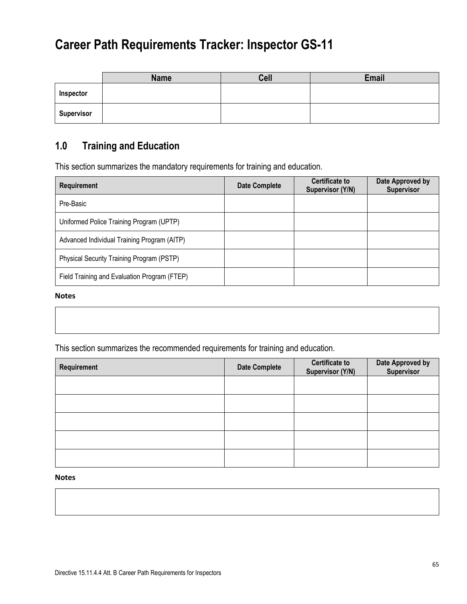|                   | <b>Name</b> | Cell | Email |
|-------------------|-------------|------|-------|
| Inspector         |             |      |       |
| <b>Supervisor</b> |             |      |       |

### **1.0 Training and Education**

This section summarizes the mandatory requirements for training and education.

| <b>Requirement</b>                           | <b>Date Complete</b> | <b>Certificate to</b><br>Supervisor (Y/N) | Date Approved by<br>Supervisor |
|----------------------------------------------|----------------------|-------------------------------------------|--------------------------------|
| Pre-Basic                                    |                      |                                           |                                |
| Uniformed Police Training Program (UPTP)     |                      |                                           |                                |
| Advanced Individual Training Program (AITP)  |                      |                                           |                                |
| Physical Security Training Program (PSTP)    |                      |                                           |                                |
| Field Training and Evaluation Program (FTEP) |                      |                                           |                                |

#### **Notes**

This section summarizes the recommended requirements for training and education.

| Requirement | <b>Date Complete</b> | <b>Certificate to</b><br>Supervisor (Y/N) | Date Approved by<br>Supervisor |
|-------------|----------------------|-------------------------------------------|--------------------------------|
|             |                      |                                           |                                |
|             |                      |                                           |                                |
|             |                      |                                           |                                |
|             |                      |                                           |                                |
|             |                      |                                           |                                |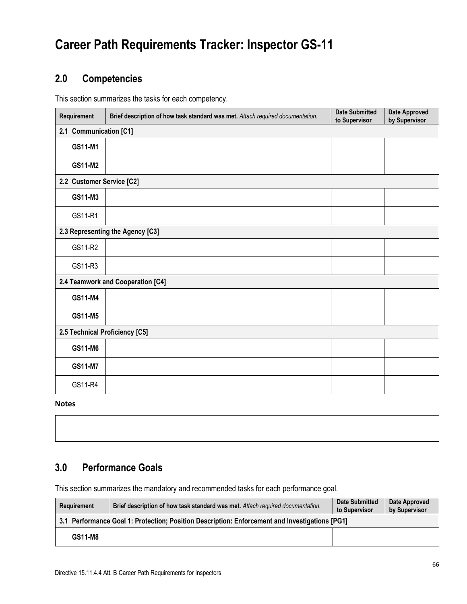### **2.0 Competencies**

This section summarizes the tasks for each competency.

| Requirement                    | Brief description of how task standard was met. Attach required documentation. | <b>Date Submitted</b><br>to Supervisor | <b>Date Approved</b><br>by Supervisor |  |  |  |
|--------------------------------|--------------------------------------------------------------------------------|----------------------------------------|---------------------------------------|--|--|--|
|                                | 2.1 Communication [C1]                                                         |                                        |                                       |  |  |  |
| GS11-M1                        |                                                                                |                                        |                                       |  |  |  |
| GS11-M2                        |                                                                                |                                        |                                       |  |  |  |
| 2.2 Customer Service [C2]      |                                                                                |                                        |                                       |  |  |  |
| GS11-M3                        |                                                                                |                                        |                                       |  |  |  |
| GS11-R1                        |                                                                                |                                        |                                       |  |  |  |
|                                | 2.3 Representing the Agency [C3]                                               |                                        |                                       |  |  |  |
| GS11-R2                        |                                                                                |                                        |                                       |  |  |  |
| GS11-R3                        |                                                                                |                                        |                                       |  |  |  |
|                                | 2.4 Teamwork and Cooperation [C4]                                              |                                        |                                       |  |  |  |
| GS11-M4                        |                                                                                |                                        |                                       |  |  |  |
| GS11-M5                        |                                                                                |                                        |                                       |  |  |  |
| 2.5 Technical Proficiency [C5] |                                                                                |                                        |                                       |  |  |  |
| GS11-M6                        |                                                                                |                                        |                                       |  |  |  |
| <b>GS11-M7</b>                 |                                                                                |                                        |                                       |  |  |  |
| GS11-R4                        |                                                                                |                                        |                                       |  |  |  |

**Notes**

### **3.0 Performance Goals**

This section summarizes the mandatory and recommended tasks for each performance goal.

| Requirement                                                                                    | Brief description of how task standard was met. Attach required documentation. | <b>Date Submitted</b><br>to Supervisor | Date Approved<br>by Supervisor |
|------------------------------------------------------------------------------------------------|--------------------------------------------------------------------------------|----------------------------------------|--------------------------------|
| 3.1 Performance Goal 1: Protection; Position Description: Enforcement and Investigations [PG1] |                                                                                |                                        |                                |
| GS11-M8                                                                                        |                                                                                |                                        |                                |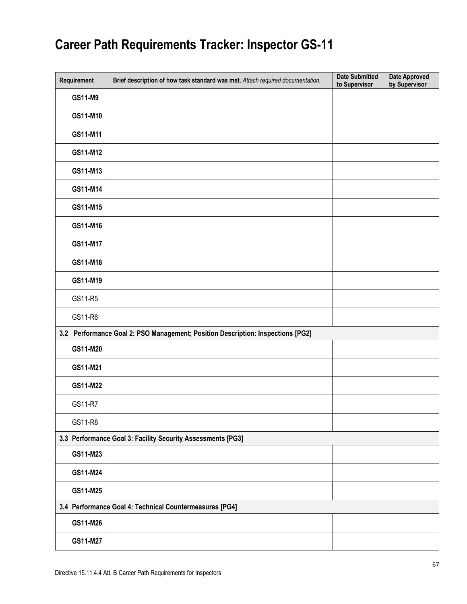| Requirement | Brief description of how task standard was met. Attach required documentation.  | <b>Date Submitted</b><br>to Supervisor | <b>Date Approved</b><br>by Supervisor |
|-------------|---------------------------------------------------------------------------------|----------------------------------------|---------------------------------------|
| GS11-M9     |                                                                                 |                                        |                                       |
| GS11-M10    |                                                                                 |                                        |                                       |
| GS11-M11    |                                                                                 |                                        |                                       |
| GS11-M12    |                                                                                 |                                        |                                       |
| GS11-M13    |                                                                                 |                                        |                                       |
| GS11-M14    |                                                                                 |                                        |                                       |
| GS11-M15    |                                                                                 |                                        |                                       |
| GS11-M16    |                                                                                 |                                        |                                       |
| GS11-M17    |                                                                                 |                                        |                                       |
| GS11-M18    |                                                                                 |                                        |                                       |
| GS11-M19    |                                                                                 |                                        |                                       |
| GS11-R5     |                                                                                 |                                        |                                       |
| GS11-R6     |                                                                                 |                                        |                                       |
|             | 3.2 Performance Goal 2: PSO Management; Position Description: Inspections [PG2] |                                        |                                       |
| GS11-M20    |                                                                                 |                                        |                                       |
| GS11-M21    |                                                                                 |                                        |                                       |
| GS11-M22    |                                                                                 |                                        |                                       |
| GS11-R7     |                                                                                 |                                        |                                       |
| GS11-R8     |                                                                                 |                                        |                                       |
|             | 3.3 Performance Goal 3: Facility Security Assessments [PG3]                     |                                        |                                       |
| GS11-M23    |                                                                                 |                                        |                                       |
| GS11-M24    |                                                                                 |                                        |                                       |
| GS11-M25    |                                                                                 |                                        |                                       |
|             | 3.4 Performance Goal 4: Technical Countermeasures [PG4]                         |                                        |                                       |
| GS11-M26    |                                                                                 |                                        |                                       |
| GS11-M27    |                                                                                 |                                        |                                       |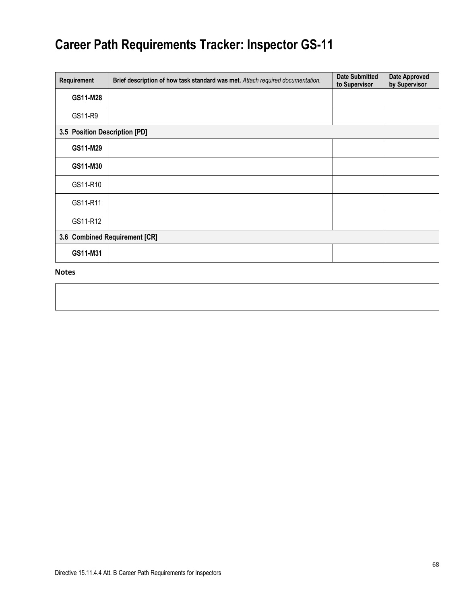| Requirement                   | Brief description of how task standard was met. Attach required documentation. | <b>Date Submitted</b><br>to Supervisor | <b>Date Approved</b><br>by Supervisor |  |
|-------------------------------|--------------------------------------------------------------------------------|----------------------------------------|---------------------------------------|--|
| GS11-M28                      |                                                                                |                                        |                                       |  |
| GS11-R9                       |                                                                                |                                        |                                       |  |
| 3.5 Position Description [PD] |                                                                                |                                        |                                       |  |
| GS11-M29                      |                                                                                |                                        |                                       |  |
| GS11-M30                      |                                                                                |                                        |                                       |  |
| GS11-R10                      |                                                                                |                                        |                                       |  |
| GS11-R11                      |                                                                                |                                        |                                       |  |
| GS11-R12                      |                                                                                |                                        |                                       |  |
| 3.6 Combined Requirement [CR] |                                                                                |                                        |                                       |  |
| GS11-M31                      |                                                                                |                                        |                                       |  |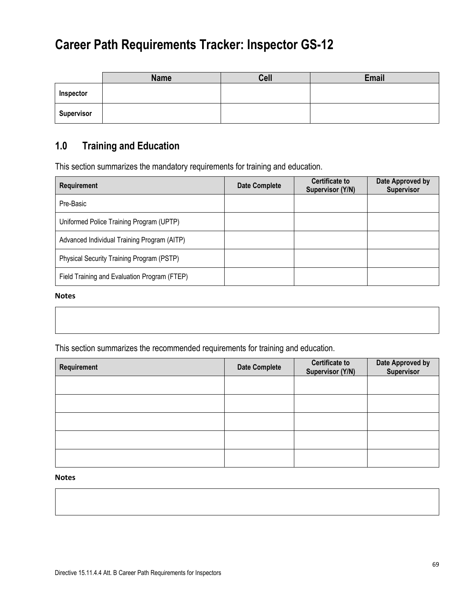|                   | <b>Name</b> | <b>Cell</b> | Email |
|-------------------|-------------|-------------|-------|
| Inspector         |             |             |       |
| <b>Supervisor</b> |             |             |       |

### **1.0 Training and Education**

This section summarizes the mandatory requirements for training and education.

| <b>Requirement</b>                           | <b>Date Complete</b> | <b>Certificate to</b><br>Supervisor (Y/N) | Date Approved by<br>Supervisor |
|----------------------------------------------|----------------------|-------------------------------------------|--------------------------------|
| Pre-Basic                                    |                      |                                           |                                |
| Uniformed Police Training Program (UPTP)     |                      |                                           |                                |
| Advanced Individual Training Program (AITP)  |                      |                                           |                                |
| Physical Security Training Program (PSTP)    |                      |                                           |                                |
| Field Training and Evaluation Program (FTEP) |                      |                                           |                                |

#### **Notes**

This section summarizes the recommended requirements for training and education.

| Requirement | <b>Date Complete</b> | <b>Certificate to</b><br>Supervisor (Y/N) | Date Approved by<br>Supervisor |
|-------------|----------------------|-------------------------------------------|--------------------------------|
|             |                      |                                           |                                |
|             |                      |                                           |                                |
|             |                      |                                           |                                |
|             |                      |                                           |                                |
|             |                      |                                           |                                |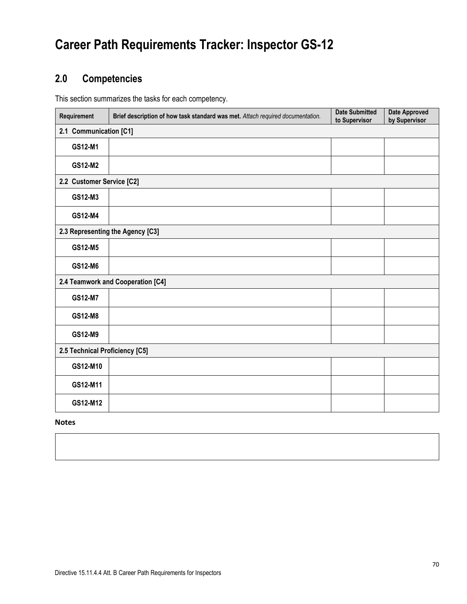### **2.0 Competencies**

This section summarizes the tasks for each competency.

| Requirement                      | Brief description of how task standard was met. Attach required documentation. | <b>Date Submitted</b><br>to Supervisor | <b>Date Approved</b><br>by Supervisor |  |
|----------------------------------|--------------------------------------------------------------------------------|----------------------------------------|---------------------------------------|--|
|                                  | 2.1 Communication [C1]                                                         |                                        |                                       |  |
| GS12-M1                          |                                                                                |                                        |                                       |  |
| GS12-M2                          |                                                                                |                                        |                                       |  |
|                                  | 2.2 Customer Service [C2]                                                      |                                        |                                       |  |
| GS12-M3                          |                                                                                |                                        |                                       |  |
| GS12-M4                          |                                                                                |                                        |                                       |  |
| 2.3 Representing the Agency [C3] |                                                                                |                                        |                                       |  |
| GS12-M5                          |                                                                                |                                        |                                       |  |
| GS12-M6                          |                                                                                |                                        |                                       |  |
|                                  | 2.4 Teamwork and Cooperation [C4]                                              |                                        |                                       |  |
| GS12-M7                          |                                                                                |                                        |                                       |  |
| GS12-M8                          |                                                                                |                                        |                                       |  |
| GS12-M9                          |                                                                                |                                        |                                       |  |
| 2.5 Technical Proficiency [C5]   |                                                                                |                                        |                                       |  |
| GS12-M10                         |                                                                                |                                        |                                       |  |
| GS12-M11                         |                                                                                |                                        |                                       |  |
| GS12-M12                         |                                                                                |                                        |                                       |  |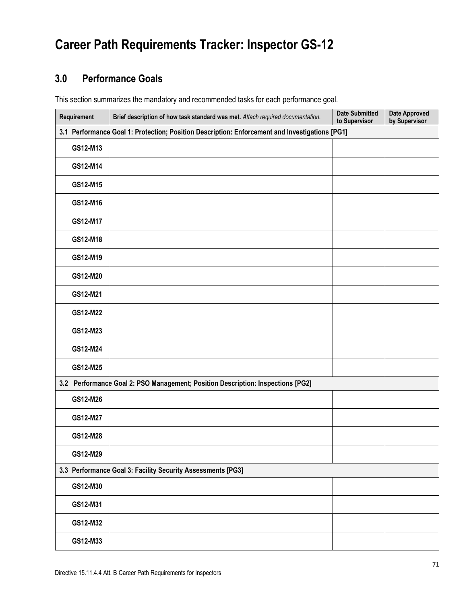### **3.0 Performance Goals**

This section summarizes the mandatory and recommended tasks for each performance goal.

| Requirement                                                 | Brief description of how task standard was met. Attach required documentation.                 | <b>Date Submitted</b><br>to Supervisor | <b>Date Approved</b><br>by Supervisor |  |  |
|-------------------------------------------------------------|------------------------------------------------------------------------------------------------|----------------------------------------|---------------------------------------|--|--|
|                                                             | 3.1 Performance Goal 1: Protection; Position Description: Enforcement and Investigations [PG1] |                                        |                                       |  |  |
| GS12-M13                                                    |                                                                                                |                                        |                                       |  |  |
| GS12-M14                                                    |                                                                                                |                                        |                                       |  |  |
| GS12-M15                                                    |                                                                                                |                                        |                                       |  |  |
| GS12-M16                                                    |                                                                                                |                                        |                                       |  |  |
| GS12-M17                                                    |                                                                                                |                                        |                                       |  |  |
| GS12-M18                                                    |                                                                                                |                                        |                                       |  |  |
| GS12-M19                                                    |                                                                                                |                                        |                                       |  |  |
| GS12-M20                                                    |                                                                                                |                                        |                                       |  |  |
| GS12-M21                                                    |                                                                                                |                                        |                                       |  |  |
| GS12-M22                                                    |                                                                                                |                                        |                                       |  |  |
| GS12-M23                                                    |                                                                                                |                                        |                                       |  |  |
| GS12-M24                                                    |                                                                                                |                                        |                                       |  |  |
| GS12-M25                                                    |                                                                                                |                                        |                                       |  |  |
|                                                             | 3.2 Performance Goal 2: PSO Management; Position Description: Inspections [PG2]                |                                        |                                       |  |  |
| GS12-M26                                                    |                                                                                                |                                        |                                       |  |  |
| GS12-M27                                                    |                                                                                                |                                        |                                       |  |  |
| GS12-M28                                                    |                                                                                                |                                        |                                       |  |  |
| GS12-M29                                                    |                                                                                                |                                        |                                       |  |  |
| 3.3 Performance Goal 3: Facility Security Assessments [PG3] |                                                                                                |                                        |                                       |  |  |
| GS12-M30                                                    |                                                                                                |                                        |                                       |  |  |
| GS12-M31                                                    |                                                                                                |                                        |                                       |  |  |
| GS12-M32                                                    |                                                                                                |                                        |                                       |  |  |
| GS12-M33                                                    |                                                                                                |                                        |                                       |  |  |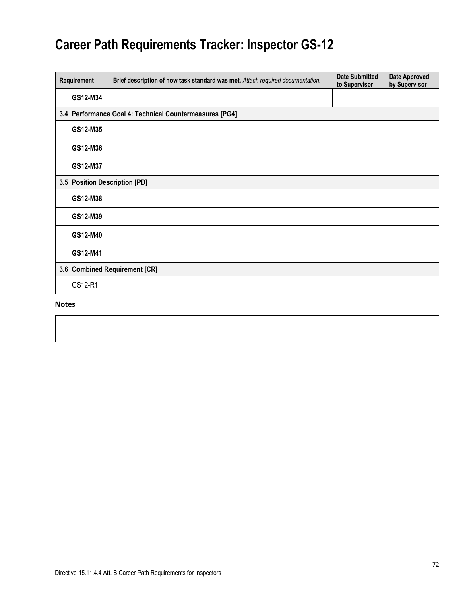| Requirement                   | Brief description of how task standard was met. Attach required documentation. | <b>Date Submitted</b><br>to Supervisor | <b>Date Approved</b><br>by Supervisor |  |
|-------------------------------|--------------------------------------------------------------------------------|----------------------------------------|---------------------------------------|--|
| GS12-M34                      |                                                                                |                                        |                                       |  |
|                               | 3.4 Performance Goal 4: Technical Countermeasures [PG4]                        |                                        |                                       |  |
| GS12-M35                      |                                                                                |                                        |                                       |  |
| GS12-M36                      |                                                                                |                                        |                                       |  |
| GS12-M37                      |                                                                                |                                        |                                       |  |
|                               | 3.5 Position Description [PD]                                                  |                                        |                                       |  |
| GS12-M38                      |                                                                                |                                        |                                       |  |
| GS12-M39                      |                                                                                |                                        |                                       |  |
| GS12-M40                      |                                                                                |                                        |                                       |  |
| GS12-M41                      |                                                                                |                                        |                                       |  |
| 3.6 Combined Requirement [CR] |                                                                                |                                        |                                       |  |
| GS12-R1                       |                                                                                |                                        |                                       |  |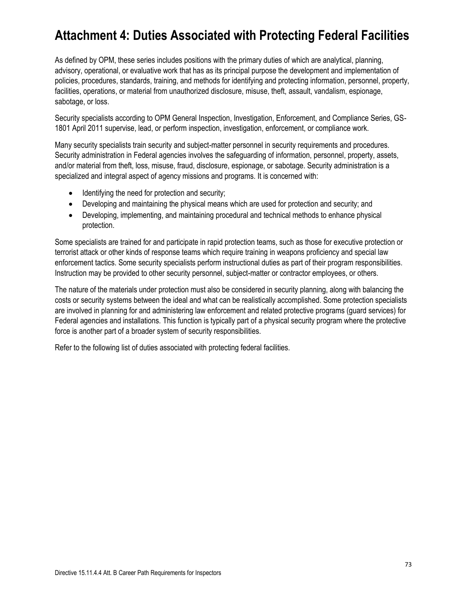As defined by OPM, these series includes positions with the primary duties of which are analytical, planning, advisory, operational, or evaluative work that has as its principal purpose the development and implementation of policies, procedures, standards, training, and methods for identifying and protecting information, personnel, property, facilities, operations, or material from unauthorized disclosure, misuse, theft, assault, vandalism, espionage, sabotage, or loss.

Security specialists according to OPM General Inspection, Investigation, Enforcement, and Compliance Series, GS-1801 April 2011 supervise, lead, or perform inspection, investigation, enforcement, or compliance work.

Many security specialists train security and subject-matter personnel in security requirements and procedures. Security administration in Federal agencies involves the safeguarding of information, personnel, property, assets, and/or material from theft, loss, misuse, fraud, disclosure, espionage, or sabotage. Security administration is a specialized and integral aspect of agency missions and programs. It is concerned with:

- Identifying the need for protection and security;
- Developing and maintaining the physical means which are used for protection and security; and
- Developing, implementing, and maintaining procedural and technical methods to enhance physical protection.

Some specialists are trained for and participate in rapid protection teams, such as those for executive protection or terrorist attack or other kinds of response teams which require training in weapons proficiency and special law enforcement tactics. Some security specialists perform instructional duties as part of their program responsibilities. Instruction may be provided to other security personnel, subject-matter or contractor employees, or others.

The nature of the materials under protection must also be considered in security planning, along with balancing the costs or security systems between the ideal and what can be realistically accomplished. Some protection specialists are involved in planning for and administering law enforcement and related protective programs (guard services) for Federal agencies and installations. This function is typically part of a physical security program where the protective force is another part of a broader system of security responsibilities.

Refer to the following list of duties associated with protecting federal facilities.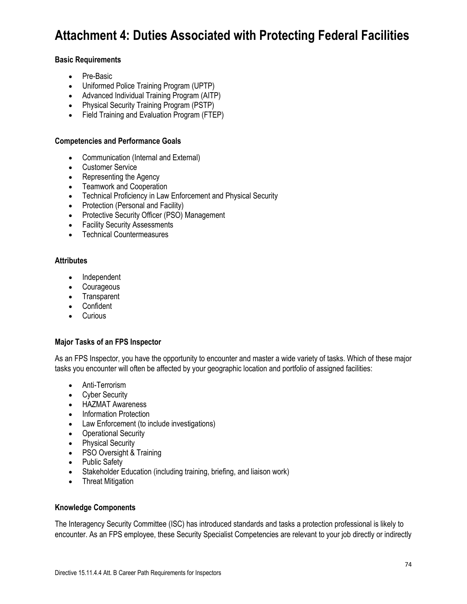### **Basic Requirements**

- Pre-Basic
- Uniformed Police Training Program (UPTP)
- Advanced Individual Training Program (AITP)
- Physical Security Training Program (PSTP)
- Field Training and Evaluation Program (FTEP)

#### **Competencies and Performance Goals**

- Communication (Internal and External)
- Customer Service
- Representing the Agency
- Teamwork and Cooperation
- Technical Proficiency in Law Enforcement and Physical Security
- Protection (Personal and Facility)
- Protective Security Officer (PSO) Management
- Facility Security Assessments
- Technical Countermeasures

#### **Attributes**

- Independent
- Courageous
- Transparent
- Confident
- Curious

## **Major Tasks of an FPS Inspector**

As an FPS Inspector, you have the opportunity to encounter and master a wide variety of tasks. Which of these major tasks you encounter will often be affected by your geographic location and portfolio of assigned facilities:

- Anti-Terrorism
- Cyber Security
- HAZMAT Awareness
- Information Protection
- Law Enforcement (to include investigations)
- Operational Security
- Physical Security
- PSO Oversight & Training
- Public Safety
- Stakeholder Education (including training, briefing, and liaison work)
- Threat Mitigation

#### **Knowledge Components**

The Interagency Security Committee (ISC) has introduced standards and tasks a protection professional is likely to encounter. As an FPS employee, these Security Specialist Competencies are relevant to your job directly or indirectly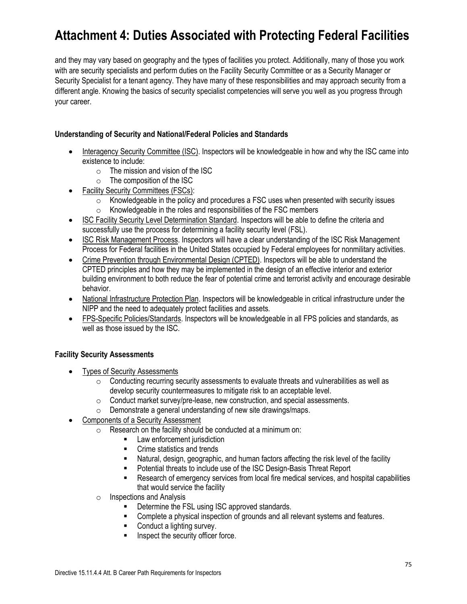and they may vary based on geography and the types of facilities you protect. Additionally, many of those you work with are security specialists and perform duties on the Facility Security Committee or as a Security Manager or Security Specialist for a tenant agency. They have many of these responsibilities and may approach security from a different angle. Knowing the basics of security specialist competencies will serve you well as you progress through your career.

## **Understanding of Security and National/Federal Policies and Standards**

- Interagency Security Committee (ISC). Inspectors will be knowledgeable in how and why the ISC came into existence to include:
	- $\circ$  The mission and vision of the ISC
	- o The composition of the ISC
- Facility Security Committees (FSCs):
	- $\circ$  Knowledgeable in the policy and procedures a FSC uses when presented with security issues
	- $\circ$  Knowledgeable in the roles and responsibilities of the FSC members
- ISC Facility Security Level Determination Standard. Inspectors will be able to define the criteria and successfully use the process for determining a facility security level (FSL).
- ISC Risk Management Process. Inspectors will have a clear understanding of the ISC Risk Management Process for Federal facilities in the United States occupied by Federal employees for nonmilitary activities.
- Crime Prevention through Environmental Design (CPTED). Inspectors will be able to understand the CPTED principles and how they may be implemented in the design of an effective interior and exterior building environment to both reduce the fear of potential crime and terrorist activity and encourage desirable behavior.
- National Infrastructure Protection Plan. Inspectors will be knowledgeable in critical infrastructure under the NIPP and the need to adequately protect facilities and assets.
- FPS-Specific Policies/Standards. Inspectors will be knowledgeable in all FPS policies and standards, as well as those issued by the ISC.

## **Facility Security Assessments**

- **Types of Security Assessments** 
	- $\circ$  Conducting recurring security assessments to evaluate threats and vulnerabilities as well as develop security countermeasures to mitigate risk to an acceptable level.
	- o Conduct market survey/pre-lease, new construction, and special assessments.
	- o Demonstrate a general understanding of new site drawings/maps.
- Components of a Security Assessment
	- $\circ$  Research on the facility should be conducted at a minimum on:
		- Law enforcement jurisdiction
		- Crime statistics and trends
		- Natural, design, geographic, and human factors affecting the risk level of the facility
		- Potential threats to include use of the ISC Design-Basis Threat Report
		- Research of emergency services from local fire medical services, and hospital capabilities that would service the facility
	- o Inspections and Analysis
		- Determine the FSL using ISC approved standards.
		- Complete a physical inspection of grounds and all relevant systems and features.
		- Conduct a lighting survey.
		- Inspect the security officer force.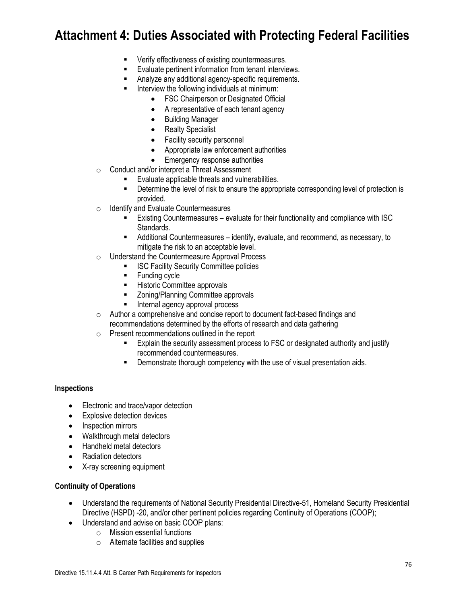- Verify effectiveness of existing countermeasures.
- Evaluate pertinent information from tenant interviews.
- Analyze any additional agency-specific requirements.
- Interview the following individuals at minimum:
	- FSC Chairperson or Designated Official
	- A representative of each tenant agency
	- Building Manager
	- Realty Specialist
	- Facility security personnel
	- Appropriate law enforcement authorities
	- Emergency response authorities
- o Conduct and/or interpret a Threat Assessment
	- Evaluate applicable threats and vulnerabilities.
	- **EXECT** Determine the level of risk to ensure the appropriate corresponding level of protection is provided.
- o Identify and Evaluate Countermeasures
	- Existing Countermeasures evaluate for their functionality and compliance with ISC Standards.
	- Additional Countermeasures identify, evaluate, and recommend, as necessary, to mitigate the risk to an acceptable level.
- o Understand the Countermeasure Approval Process
	- **ISC Facility Security Committee policies**
	- Funding cycle
	- Historic Committee approvals
	- Zoning/Planning Committee approvals
	- Internal agency approval process
- o Author a comprehensive and concise report to document fact-based findings and recommendations determined by the efforts of research and data gathering
- o Present recommendations outlined in the report
	- Explain the security assessment process to FSC or designated authority and justify recommended countermeasures.
	- **EXE** Demonstrate thorough competency with the use of visual presentation aids.

#### **Inspections**

- Electronic and trace/vapor detection
- Explosive detection devices
- Inspection mirrors
- Walkthrough metal detectors
- Handheld metal detectors
- Radiation detectors
- X-ray screening equipment

#### **Continuity of Operations**

- Understand the requirements of National Security Presidential Directive-51, Homeland Security Presidential Directive (HSPD) -20, and/or other pertinent policies regarding Continuity of Operations (COOP);
- Understand and advise on basic COOP plans:
	- o Mission essential functions
	- o Alternate facilities and supplies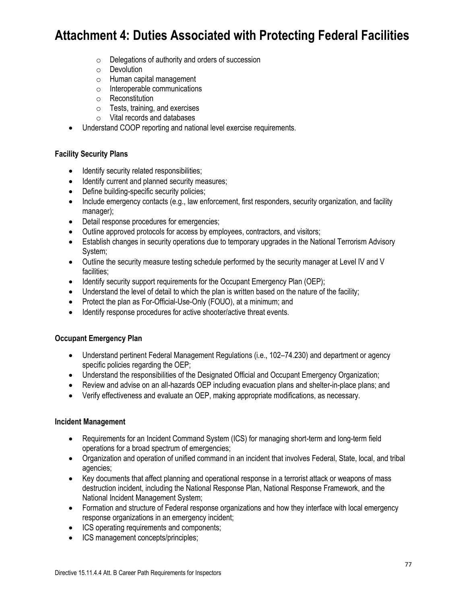- o Delegations of authority and orders of succession
- o Devolution
- o Human capital management
- o Interoperable communications
- o Reconstitution
- o Tests, training, and exercises
- o Vital records and databases
- Understand COOP reporting and national level exercise requirements.

## **Facility Security Plans**

- Identify security related responsibilities;
- Identify current and planned security measures:
- Define building-specific security policies;
- Include emergency contacts (e.g., law enforcement, first responders, security organization, and facility manager);
- Detail response procedures for emergencies;
- Outline approved protocols for access by employees, contractors, and visitors;
- Establish changes in security operations due to temporary upgrades in the National Terrorism Advisory System;
- Outline the security measure testing schedule performed by the security manager at Level IV and V facilities;
- Identify security support requirements for the Occupant Emergency Plan (OEP);
- Understand the level of detail to which the plan is written based on the nature of the facility;
- Protect the plan as For-Official-Use-Only (FOUO), at a minimum; and
- Identify response procedures for active shooter/active threat events.

## **Occupant Emergency Plan**

- Understand pertinent Federal Management Regulations (i.e., 102–74.230) and department or agency specific policies regarding the OEP;
- Understand the responsibilities of the Designated Official and Occupant Emergency Organization;
- Review and advise on an all-hazards OEP including evacuation plans and shelter-in-place plans; and
- Verify effectiveness and evaluate an OEP, making appropriate modifications, as necessary.

#### **Incident Management**

- Requirements for an Incident Command System (ICS) for managing short-term and long-term field operations for a broad spectrum of emergencies;
- Organization and operation of unified command in an incident that involves Federal, State, local, and tribal agencies;
- Key documents that affect planning and operational response in a terrorist attack or weapons of mass destruction incident, including the National Response Plan, National Response Framework, and the National Incident Management System;
- Formation and structure of Federal response organizations and how they interface with local emergency response organizations in an emergency incident;
- ICS operating requirements and components;
- ICS management concepts/principles;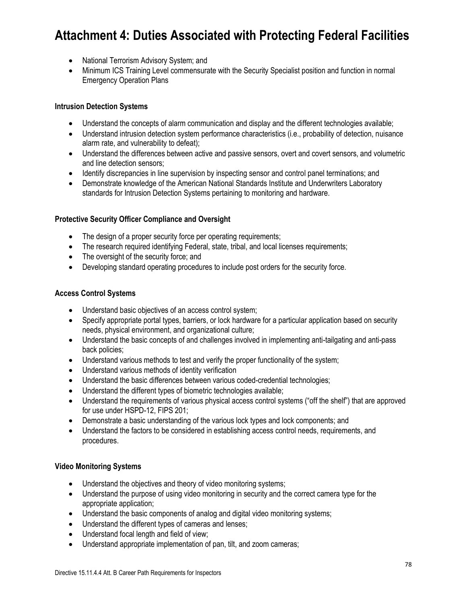- National Terrorism Advisory System; and
- Minimum ICS Training Level commensurate with the Security Specialist position and function in normal Emergency Operation Plans

## **Intrusion Detection Systems**

- Understand the concepts of alarm communication and display and the different technologies available;
- Understand intrusion detection system performance characteristics (i.e., probability of detection, nuisance alarm rate, and vulnerability to defeat);
- Understand the differences between active and passive sensors, overt and covert sensors, and volumetric and line detection sensors;
- Identify discrepancies in line supervision by inspecting sensor and control panel terminations; and
- Demonstrate knowledge of the American National Standards Institute and Underwriters Laboratory standards for Intrusion Detection Systems pertaining to monitoring and hardware.

### **Protective Security Officer Compliance and Oversight**

- The design of a proper security force per operating requirements;
- The research required identifying Federal, state, tribal, and local licenses requirements;
- The oversight of the security force; and
- Developing standard operating procedures to include post orders for the security force.

#### **Access Control Systems**

- Understand basic objectives of an access control system;
- Specify appropriate portal types, barriers, or lock hardware for a particular application based on security needs, physical environment, and organizational culture;
- Understand the basic concepts of and challenges involved in implementing anti-tailgating and anti-pass back policies;
- Understand various methods to test and verify the proper functionality of the system;
- Understand various methods of identity verification
- Understand the basic differences between various coded-credential technologies;
- Understand the different types of biometric technologies available;
- Understand the requirements of various physical access control systems ("off the shelf") that are approved for use under HSPD-12, FIPS 201;
- Demonstrate a basic understanding of the various lock types and lock components; and
- Understand the factors to be considered in establishing access control needs, requirements, and procedures.

#### **Video Monitoring Systems**

- Understand the objectives and theory of video monitoring systems;
- Understand the purpose of using video monitoring in security and the correct camera type for the appropriate application;
- Understand the basic components of analog and digital video monitoring systems;
- Understand the different types of cameras and lenses;
- Understand focal length and field of view;
- Understand appropriate implementation of pan, tilt, and zoom cameras;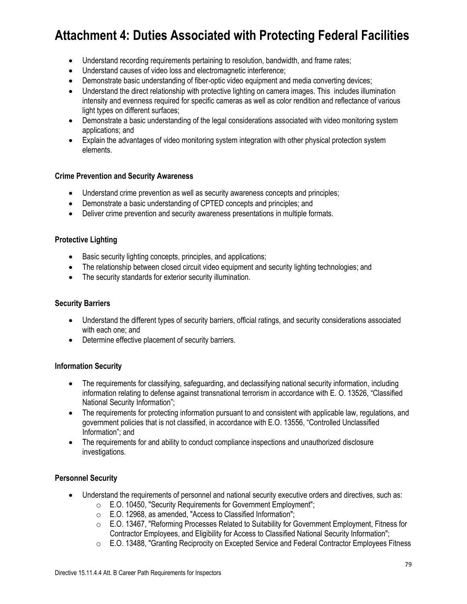- Understand recording requirements pertaining to resolution, bandwidth, and frame rates;
- Understand causes of video loss and electromagnetic interference;
- Demonstrate basic understanding of fiber-optic video equipment and media converting devices;
- Understand the direct relationship with protective lighting on camera images. This includes illumination intensity and evenness required for specific cameras as well as color rendition and reflectance of various light types on different surfaces;
- Demonstrate a basic understanding of the legal considerations associated with video monitoring system applications; and
- Explain the advantages of video monitoring system integration with other physical protection system elements.

### **Crime Prevention and Security Awareness**

- Understand crime prevention as well as security awareness concepts and principles;
- Demonstrate a basic understanding of CPTED concepts and principles; and
- Deliver crime prevention and security awareness presentations in multiple formats.

### **Protective Lighting**

- Basic security lighting concepts, principles, and applications;
- The relationship between closed circuit video equipment and security lighting technologies; and
- The security standards for exterior security illumination.

#### **Security Barriers**

- Understand the different types of security barriers, official ratings, and security considerations associated with each one; and
- Determine effective placement of security barriers.

#### **Information Security**

- The requirements for classifying, safeguarding, and declassifying national security information, including information relating to defense against transnational terrorism in accordance with E. O. 13526, "Classified National Security Information";
- The requirements for protecting information pursuant to and consistent with applicable law, regulations, and government policies that is not classified, in accordance with E.O. 13556, "Controlled Unclassified Information"; and
- The requirements for and ability to conduct compliance inspections and unauthorized disclosure investigations.

### **Personnel Security**

- Understand the requirements of personnel and national security executive orders and directives, such as:
	- o E.O. 10450, "Security Requirements for Government Employment";
	- o E.O. 12968, as amended, "Access to Classified Information";
	- o E.O. 13467, "Reforming Processes Related to Suitability for Government Employment, Fitness for Contractor Employees, and Eligibility for Access to Classified National Security Information";
	- o E.O. 13488, "Granting Reciprocity on Excepted Service and Federal Contractor Employees Fitness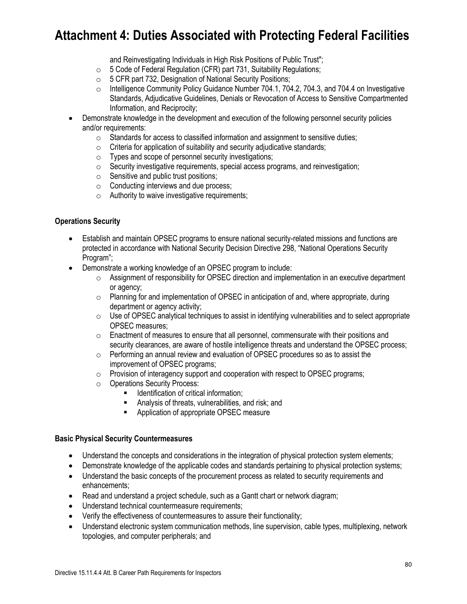and Reinvestigating Individuals in High Risk Positions of Public Trust":

- $\circ$  5 Code of Federal Regulation (CFR) part 731, Suitability Regulations;
- $\circ$  5 CFR part 732, Designation of National Security Positions;
- o Intelligence Community Policy Guidance Number 704.1, 704.2, 704.3, and 704.4 on Investigative Standards, Adjudicative Guidelines, Denials or Revocation of Access to Sensitive Compartmented Information, and Reciprocity;
- Demonstrate knowledge in the development and execution of the following personnel security policies and/or requirements:
	- $\circ$  Standards for access to classified information and assignment to sensitive duties;
	- $\circ$  Criteria for application of suitability and security adjudicative standards;
	- o Types and scope of personnel security investigations;
	- o Security investigative requirements, special access programs, and reinvestigation;
	- $\circ$  Sensitive and public trust positions;
	- o Conducting interviews and due process;
	- $\circ$  Authority to waive investigative requirements;

#### **Operations Security**

- Establish and maintain OPSEC programs to ensure national security-related missions and functions are protected in accordance with National Security Decision Directive 298, "National Operations Security Program";
- Demonstrate a working knowledge of an OPSEC program to include:
	- $\circ$  Assignment of responsibility for OPSEC direction and implementation in an executive department or agency;
	- $\circ$  Planning for and implementation of OPSEC in anticipation of and, where appropriate, during department or agency activity;
	- $\circ$  Use of OPSEC analytical techniques to assist in identifying vulnerabilities and to select appropriate OPSEC measures;
	- $\circ$  Enactment of measures to ensure that all personnel, commensurate with their positions and security clearances, are aware of hostile intelligence threats and understand the OPSEC process;
	- o Performing an annual review and evaluation of OPSEC procedures so as to assist the improvement of OPSEC programs;
	- o Provision of interagency support and cooperation with respect to OPSEC programs;
	- o Operations Security Process:
		- Identification of critical information;
		- Analysis of threats, vulnerabilities, and risk; and
		- Application of appropriate OPSEC measure

#### **Basic Physical Security Countermeasures**

- Understand the concepts and considerations in the integration of physical protection system elements;
- Demonstrate knowledge of the applicable codes and standards pertaining to physical protection systems;
- Understand the basic concepts of the procurement process as related to security requirements and enhancements;
- Read and understand a project schedule, such as a Gantt chart or network diagram;
- Understand technical countermeasure requirements;
- Verify the effectiveness of countermeasures to assure their functionality;
- Understand electronic system communication methods, line supervision, cable types, multiplexing, network topologies, and computer peripherals; and